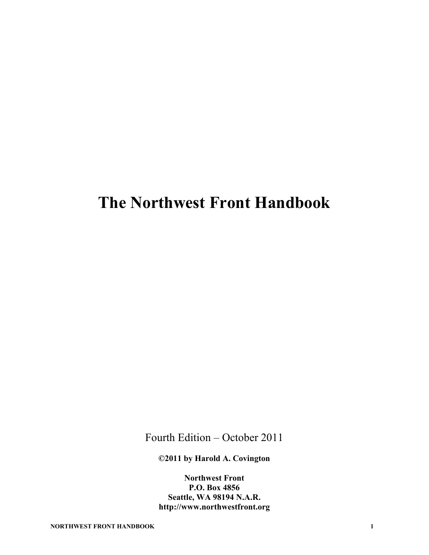# **The Northwest Front Handbook**

Fourth Edition – October 2011

**©2011 by Harold A. Covington** 

**Northwest Front P.O. Box 4856 Seattle, WA 98194 N.A.R. http://www.northwestfront.org**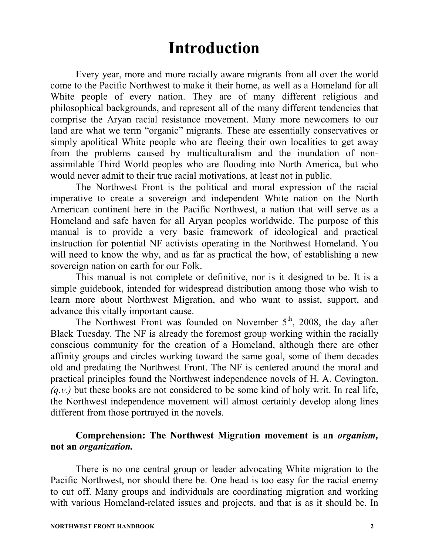## **Introduction**

 Every year, more and more racially aware migrants from all over the world come to the Pacific Northwest to make it their home, as well as a Homeland for all White people of every nation. They are of many different religious and philosophical backgrounds, and represent all of the many different tendencies that comprise the Aryan racial resistance movement. Many more newcomers to our land are what we term "organic" migrants. These are essentially conservatives or simply apolitical White people who are fleeing their own localities to get away from the problems caused by multiculturalism and the inundation of nonassimilable Third World peoples who are flooding into North America, but who would never admit to their true racial motivations, at least not in public.

 The Northwest Front is the political and moral expression of the racial imperative to create a sovereign and independent White nation on the North American continent here in the Pacific Northwest, a nation that will serve as a Homeland and safe haven for all Aryan peoples worldwide. The purpose of this manual is to provide a very basic framework of ideological and practical instruction for potential NF activists operating in the Northwest Homeland. You will need to know the why, and as far as practical the how, of establishing a new sovereign nation on earth for our Folk.

This manual is not complete or definitive, nor is it designed to be. It is a simple guidebook, intended for widespread distribution among those who wish to learn more about Northwest Migration, and who want to assist, support, and advance this vitally important cause.

The Northwest Front was founded on November  $5<sup>th</sup>$ , 2008, the day after Black Tuesday. The NF is already the foremost group working within the racially conscious community for the creation of a Homeland, although there are other affinity groups and circles working toward the same goal, some of them decades old and predating the Northwest Front. The NF is centered around the moral and practical principles found the Northwest independence novels of H. A. Covington. *(q.v.)* but these books are not considered to be some kind of holy writ. In real life, the Northwest independence movement will almost certainly develop along lines different from those portrayed in the novels.

## **Comprehension: The Northwest Migration movement is an** *organism,* **not an** *organization.*

There is no one central group or leader advocating White migration to the Pacific Northwest, nor should there be. One head is too easy for the racial enemy to cut off. Many groups and individuals are coordinating migration and working with various Homeland-related issues and projects, and that is as it should be. In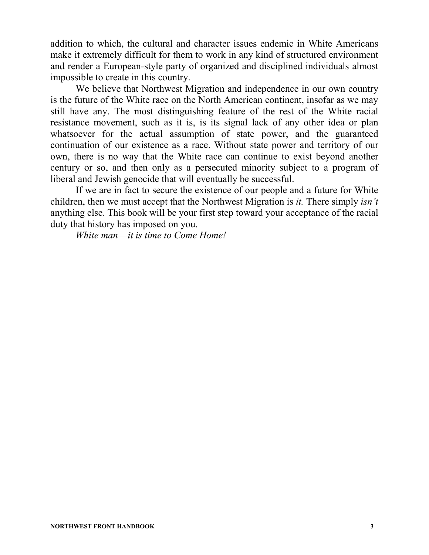addition to which, the cultural and character issues endemic in White Americans make it extremely difficult for them to work in any kind of structured environment and render a European-style party of organized and disciplined individuals almost impossible to create in this country.

 We believe that Northwest Migration and independence in our own country is the future of the White race on the North American continent, insofar as we may still have any. The most distinguishing feature of the rest of the White racial resistance movement, such as it is, is its signal lack of any other idea or plan whatsoever for the actual assumption of state power, and the guaranteed continuation of our existence as a race. Without state power and territory of our own, there is no way that the White race can continue to exist beyond another century or so, and then only as a persecuted minority subject to a program of liberal and Jewish genocide that will eventually be successful.

If we are in fact to secure the existence of our people and a future for White children, then we must accept that the Northwest Migration is *it.* There simply *isn't*  anything else. This book will be your first step toward your acceptance of the racial duty that history has imposed on you.

*White man*—*it is time to Come Home!*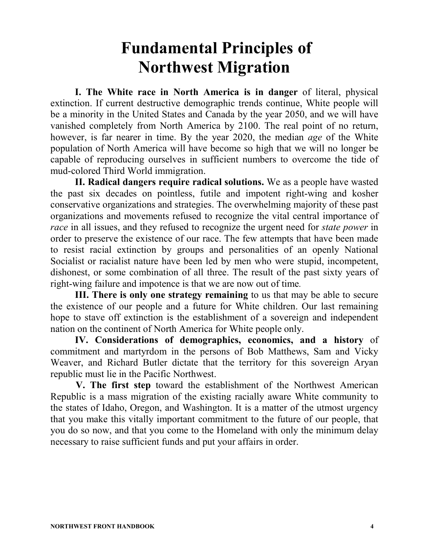## **Fundamental Principles of Northwest Migration**

 **I. The White race in North America is in danger** of literal, physical extinction. If current destructive demographic trends continue, White people will be a minority in the United States and Canada by the year 2050, and we will have vanished completely from North America by 2100. The real point of no return, however, is far nearer in time. By the year 2020, the median *age* of the White population of North America will have become so high that we will no longer be capable of reproducing ourselves in sufficient numbers to overcome the tide of mud-colored Third World immigration.

 **II. Radical dangers require radical solutions.** We as a people have wasted the past six decades on pointless, futile and impotent right-wing and kosher conservative organizations and strategies. The overwhelming majority of these past organizations and movements refused to recognize the vital central importance of *race* in all issues, and they refused to recognize the urgent need for *state power* in order to preserve the existence of our race. The few attempts that have been made to resist racial extinction by groups and personalities of an openly National Socialist or racialist nature have been led by men who were stupid, incompetent, dishonest, or some combination of all three. The result of the past sixty years of right-wing failure and impotence is that we are now out of time*.*

 **III. There is only one strategy remaining** to us that may be able to secure the existence of our people and a future for White children. Our last remaining hope to stave off extinction is the establishment of a sovereign and independent nation on the continent of North America for White people only.

 **IV. Considerations of demographics, economics, and a history** of commitment and martyrdom in the persons of Bob Matthews, Sam and Vicky Weaver, and Richard Butler dictate that the territory for this sovereign Aryan republic must lie in the Pacific Northwest.

 **V. The first step** toward the establishment of the Northwest American Republic is a mass migration of the existing racially aware White community to the states of Idaho, Oregon, and Washington. It is a matter of the utmost urgency that you make this vitally important commitment to the future of our people, that you do so now, and that you come to the Homeland with only the minimum delay necessary to raise sufficient funds and put your affairs in order.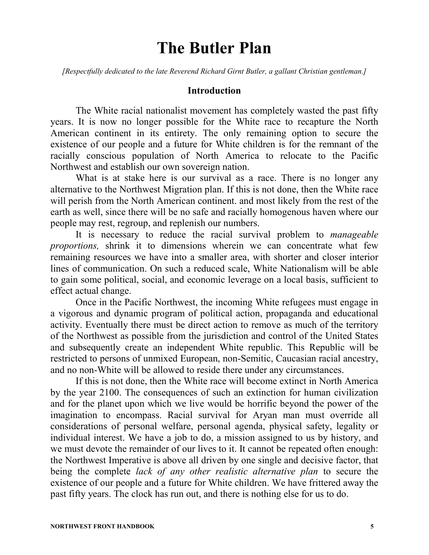## **The Butler Plan**

*[Respectfully dedicated to the late Reverend Richard Girnt Butler, a gallant Christian gentleman.]* 

#### **Introduction**

 The White racial nationalist movement has completely wasted the past fifty years. It is now no longer possible for the White race to recapture the North American continent in its entirety. The only remaining option to secure the existence of our people and a future for White children is for the remnant of the racially conscious population of North America to relocate to the Pacific Northwest and establish our own sovereign nation.

 What is at stake here is our survival as a race. There is no longer any alternative to the Northwest Migration plan. If this is not done, then the White race will perish from the North American continent. and most likely from the rest of the earth as well, since there will be no safe and racially homogenous haven where our people may rest, regroup, and replenish our numbers.

It is necessary to reduce the racial survival problem to *manageable proportions,* shrink it to dimensions wherein we can concentrate what few remaining resources we have into a smaller area, with shorter and closer interior lines of communication. On such a reduced scale, White Nationalism will be able to gain some political, social, and economic leverage on a local basis, sufficient to effect actual change.

 Once in the Pacific Northwest, the incoming White refugees must engage in a vigorous and dynamic program of political action, propaganda and educational activity. Eventually there must be direct action to remove as much of the territory of the Northwest as possible from the jurisdiction and control of the United States and subsequently create an independent White republic. This Republic will be restricted to persons of unmixed European, non-Semitic, Caucasian racial ancestry, and no non-White will be allowed to reside there under any circumstances.

 If this is not done, then the White race will become extinct in North America by the year 2100. The consequences of such an extinction for human civilization and for the planet upon which we live would be horrific beyond the power of the imagination to encompass. Racial survival for Aryan man must override all considerations of personal welfare, personal agenda, physical safety, legality or individual interest. We have a job to do, a mission assigned to us by history, and we must devote the remainder of our lives to it. It cannot be repeated often enough: the Northwest Imperative is above all driven by one single and decisive factor, that being the complete *lack of any other realistic alternative plan* to secure the existence of our people and a future for White children. We have frittered away the past fifty years. The clock has run out, and there is nothing else for us to do.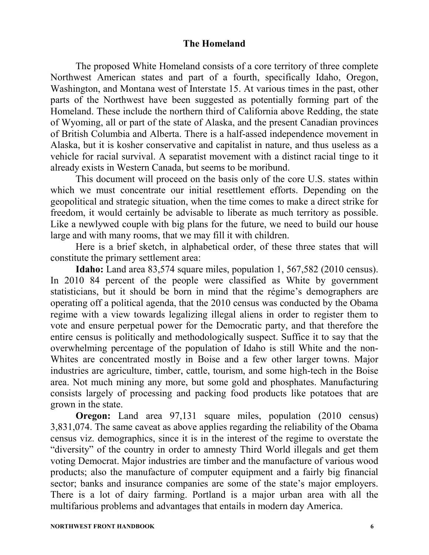### **The Homeland**

 The proposed White Homeland consists of a core territory of three complete Northwest American states and part of a fourth, specifically Idaho, Oregon, Washington, and Montana west of Interstate 15. At various times in the past, other parts of the Northwest have been suggested as potentially forming part of the Homeland. These include the northern third of California above Redding, the state of Wyoming, all or part of the state of Alaska, and the present Canadian provinces of British Columbia and Alberta. There is a half-assed independence movement in Alaska, but it is kosher conservative and capitalist in nature, and thus useless as a vehicle for racial survival. A separatist movement with a distinct racial tinge to it already exists in Western Canada, but seems to be moribund.

 This document will proceed on the basis only of the core U.S. states within which we must concentrate our initial resettlement efforts. Depending on the geopolitical and strategic situation, when the time comes to make a direct strike for freedom, it would certainly be advisable to liberate as much territory as possible. Like a newlywed couple with big plans for the future, we need to build our house large and with many rooms, that we may fill it with children.

Here is a brief sketch, in alphabetical order, of these three states that will constitute the primary settlement area:

 **Idaho:** Land area 83,574 square miles, population 1, 567,582 (2010 census). In 2010 84 percent of the people were classified as White by government statisticians, but it should be born in mind that the régime's demographers are operating off a political agenda, that the 2010 census was conducted by the Obama regime with a view towards legalizing illegal aliens in order to register them to vote and ensure perpetual power for the Democratic party, and that therefore the entire census is politically and methodologically suspect. Suffice it to say that the overwhelming percentage of the population of Idaho is still White and the non-Whites are concentrated mostly in Boise and a few other larger towns. Major industries are agriculture, timber, cattle, tourism, and some high-tech in the Boise area. Not much mining any more, but some gold and phosphates. Manufacturing consists largely of processing and packing food products like potatoes that are grown in the state.

**Oregon:** Land area 97,131 square miles, population (2010 census) 3,831,074. The same caveat as above applies regarding the reliability of the Obama census viz. demographics, since it is in the interest of the regime to overstate the "diversity" of the country in order to amnesty Third World illegals and get them voting Democrat. Major industries are timber and the manufacture of various wood products; also the manufacture of computer equipment and a fairly big financial sector; banks and insurance companies are some of the state's major employers. There is a lot of dairy farming. Portland is a major urban area with all the multifarious problems and advantages that entails in modern day America.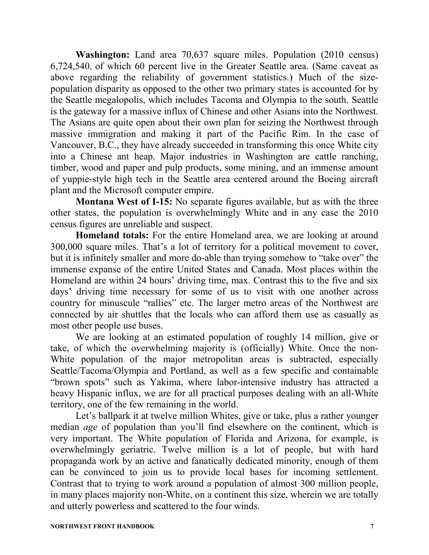**Washington:** Land area 70,637 square miles. Population (2010 census) 6,724,540, of which 60 percent live in the Greater Seattle area. (Same caveat as above regarding the reliability of government statistics.) Much of the sizepopulation disparity as opposed to the other two primary states is accounted for by the Seattle megalopolis, which includes Tacoma and Olympia to the south. Seattle is the gateway for a massive influx of Chinese and other Asians into the Northwest. The Asians are quite open about their own plan for seizing the Northwest through massive immigration and making it part of the Pacific Rim. In the case of Vancouver, B.C., they have already succeeded in transforming this once White city into a Chinese ant heap. Major industries in Washington are cattle ranching, timber, wood and paper and pulp products, some mining, and an immense amount of yuppie-style high tech in the Seattle area centered around the Boeing aircraft plant and the Microsoft computer empire.

**Montana West of I-15:** No separate figures available, but as with the three other states, the population is overwhelmingly White and in any case the 2010 census figures are unreliable and suspect.

 **Homeland totals:** For the entire Homeland area, we are looking at around 300,000 square miles. That's a lot of territory for a political movement to cover, but it is infinitely smaller and more do-able than trying somehow to "take over" the immense expanse of the entire United States and Canada. Most places within the Homeland are within 24 hours' driving time, max. Contrast this to the five and six days' driving time necessary for some of us to visit with one another across country for minuscule "rallies" etc. The larger metro areas of the Northwest are connected by air shuttles that the locals who can afford them use as casually as most other people use buses.

 We are looking at an estimated population of roughly 14 million, give or take, of which the overwhelming majority is (officially) White. Once the non-White population of the major metropolitan areas is subtracted, especially Seattle/Tacoma/Olympia and Portland, as well as a few specific and containable "brown spots" such as Yakima, where labor-intensive industry has attracted a heavy Hispanic influx, we are for all practical purposes dealing with an all-White territory, one of the few remaining in the world.

Let's ballpark it at twelve million Whites, give or take, plus a rather younger median *age* of population than you'll find elsewhere on the continent, which is very important. The White population of Florida and Arizona, for example, is overwhelmingly geriatric. Twelve million is a lot of people, but with hard propaganda work by an active and fanatically dedicated minority, enough of them can be convinced to join us to provide local bases for incoming settlement. Contrast that to trying to work around a population of almost 300 million people, in many places majority non-White, on a continent this size, wherein we are totally and utterly powerless and scattered to the four winds.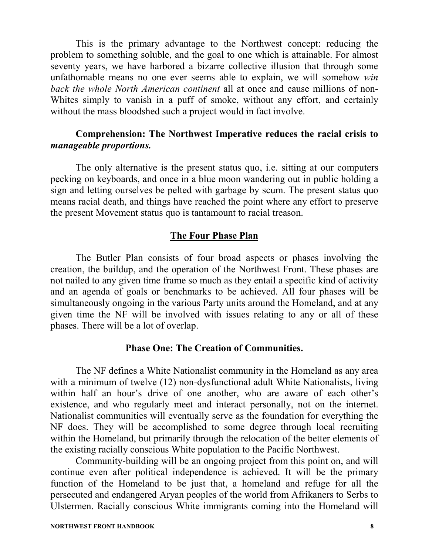This is the primary advantage to the Northwest concept: reducing the problem to something soluble, and the goal to one which is attainable. For almost seventy years, we have harbored a bizarre collective illusion that through some unfathomable means no one ever seems able to explain, we will somehow *win back the whole North American continent* all at once and cause millions of non-Whites simply to vanish in a puff of smoke, without any effort, and certainly without the mass bloodshed such a project would in fact involve.

### **Comprehension: The Northwest Imperative reduces the racial crisis to**  *manageable proportions.*

The only alternative is the present status quo, i.e. sitting at our computers pecking on keyboards, and once in a blue moon wandering out in public holding a sign and letting ourselves be pelted with garbage by scum. The present status quo means racial death, and things have reached the point where any effort to preserve the present Movement status quo is tantamount to racial treason.

#### **The Four Phase Plan**

 The Butler Plan consists of four broad aspects or phases involving the creation, the buildup, and the operation of the Northwest Front. These phases are not nailed to any given time frame so much as they entail a specific kind of activity and an agenda of goals or benchmarks to be achieved. All four phases will be simultaneously ongoing in the various Party units around the Homeland, and at any given time the NF will be involved with issues relating to any or all of these phases. There will be a lot of overlap.

#### **Phase One: The Creation of Communities.**

The NF defines a White Nationalist community in the Homeland as any area with a minimum of twelve (12) non-dysfunctional adult White Nationalists, living within half an hour's drive of one another, who are aware of each other's existence, and who regularly meet and interact personally, not on the internet. Nationalist communities will eventually serve as the foundation for everything the NF does. They will be accomplished to some degree through local recruiting within the Homeland, but primarily through the relocation of the better elements of the existing racially conscious White population to the Pacific Northwest.

Community-building will be an ongoing project from this point on, and will continue even after political independence is achieved. It will be the primary function of the Homeland to be just that, a homeland and refuge for all the persecuted and endangered Aryan peoples of the world from Afrikaners to Serbs to Ulstermen. Racially conscious White immigrants coming into the Homeland will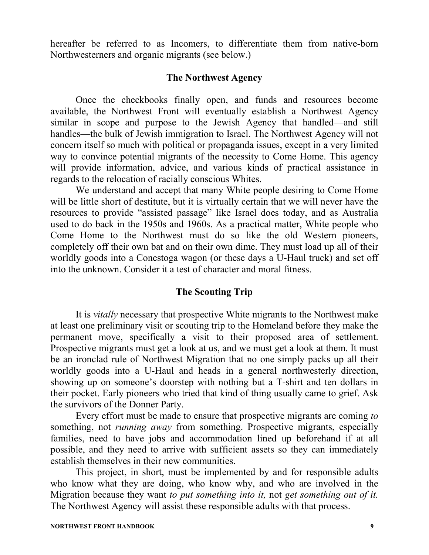hereafter be referred to as Incomers, to differentiate them from native-born Northwesterners and organic migrants (see below.)

#### **The Northwest Agency**

 Once the checkbooks finally open, and funds and resources become available, the Northwest Front will eventually establish a Northwest Agency similar in scope and purpose to the Jewish Agency that handled—and still handles—the bulk of Jewish immigration to Israel. The Northwest Agency will not concern itself so much with political or propaganda issues, except in a very limited way to convince potential migrants of the necessity to Come Home. This agency will provide information, advice, and various kinds of practical assistance in regards to the relocation of racially conscious Whites.

We understand and accept that many White people desiring to Come Home will be little short of destitute, but it is virtually certain that we will never have the resources to provide "assisted passage" like Israel does today, and as Australia used to do back in the 1950s and 1960s. As a practical matter, White people who Come Home to the Northwest must do so like the old Western pioneers, completely off their own bat and on their own dime. They must load up all of their worldly goods into a Conestoga wagon (or these days a U-Haul truck) and set off into the unknown. Consider it a test of character and moral fitness.

## **The Scouting Trip**

 It is *vitally* necessary that prospective White migrants to the Northwest make at least one preliminary visit or scouting trip to the Homeland before they make the permanent move, specifically a visit to their proposed area of settlement. Prospective migrants must get a look at us, and we must get a look at them. It must be an ironclad rule of Northwest Migration that no one simply packs up all their worldly goods into a U-Haul and heads in a general northwesterly direction, showing up on someone's doorstep with nothing but a T-shirt and ten dollars in their pocket. Early pioneers who tried that kind of thing usually came to grief. Ask the survivors of the Donner Party.

Every effort must be made to ensure that prospective migrants are coming *to* something, not *running away* from something. Prospective migrants, especially families, need to have jobs and accommodation lined up beforehand if at all possible, and they need to arrive with sufficient assets so they can immediately establish themselves in their new communities.

 This project, in short, must be implemented by and for responsible adults who know what they are doing, who know why, and who are involved in the Migration because they want *to put something into it,* not *get something out of it.* The Northwest Agency will assist these responsible adults with that process.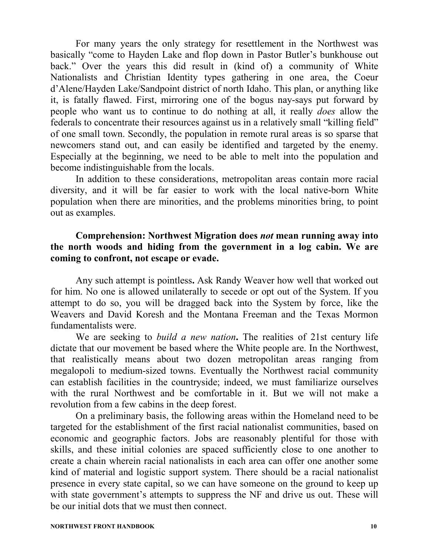For many years the only strategy for resettlement in the Northwest was basically "come to Hayden Lake and flop down in Pastor Butler's bunkhouse out back." Over the years this did result in (kind of) a community of White Nationalists and Christian Identity types gathering in one area, the Coeur d'Alene/Hayden Lake/Sandpoint district of north Idaho. This plan, or anything like it, is fatally flawed. First, mirroring one of the bogus nay-says put forward by people who want us to continue to do nothing at all, it really *does* allow the federals to concentrate their resources against us in a relatively small "killing field" of one small town. Secondly, the population in remote rural areas is so sparse that newcomers stand out, and can easily be identified and targeted by the enemy. Especially at the beginning, we need to be able to melt into the population and become indistinguishable from the locals.

 In addition to these considerations, metropolitan areas contain more racial diversity, and it will be far easier to work with the local native-born White population when there are minorities, and the problems minorities bring, to point out as examples.

## **Comprehension: Northwest Migration does** *not* **mean running away into the north woods and hiding from the government in a log cabin. We are coming to confront, not escape or evade.**

Any such attempt is pointless**.** Ask Randy Weaver how well that worked out for him. No one is allowed unilaterally to secede or opt out of the System. If you attempt to do so, you will be dragged back into the System by force, like the Weavers and David Koresh and the Montana Freeman and the Texas Mormon fundamentalists were.

We are seeking to *build a new nation***.** The realities of 21st century life dictate that our movement be based where the White people are. In the Northwest, that realistically means about two dozen metropolitan areas ranging from megalopoli to medium-sized towns. Eventually the Northwest racial community can establish facilities in the countryside; indeed, we must familiarize ourselves with the rural Northwest and be comfortable in it. But we will not make a revolution from a few cabins in the deep forest.

 On a preliminary basis, the following areas within the Homeland need to be targeted for the establishment of the first racial nationalist communities, based on economic and geographic factors. Jobs are reasonably plentiful for those with skills, and these initial colonies are spaced sufficiently close to one another to create a chain wherein racial nationalists in each area can offer one another some kind of material and logistic support system. There should be a racial nationalist presence in every state capital, so we can have someone on the ground to keep up with state government's attempts to suppress the NF and drive us out. These will be our initial dots that we must then connect.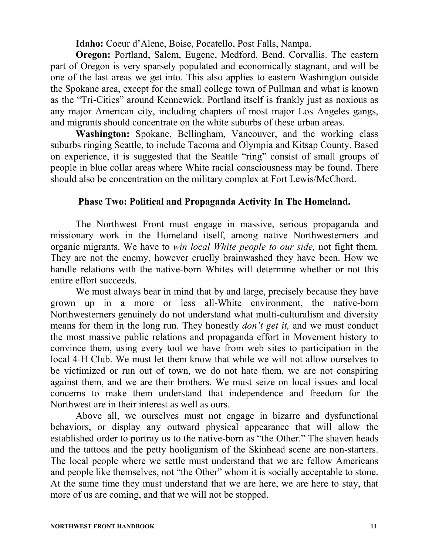**Idaho:** Coeur d'Alene, Boise, Pocatello, Post Falls, Nampa.

 **Oregon:** Portland, Salem, Eugene, Medford, Bend, Corvallis. The eastern part of Oregon is very sparsely populated and economically stagnant, and will be one of the last areas we get into. This also applies to eastern Washington outside the Spokane area, except for the small college town of Pullman and what is known as the "Tri-Cities" around Kennewick. Portland itself is frankly just as noxious as any major American city, including chapters of most major Los Angeles gangs, and migrants should concentrate on the white suburbs of these urban areas.

 **Washington:** Spokane, Bellingham, Vancouver, and the working class suburbs ringing Seattle, to include Tacoma and Olympia and Kitsap County. Based on experience, it is suggested that the Seattle "ring" consist of small groups of people in blue collar areas where White racial consciousness may be found. There should also be concentration on the military complex at Fort Lewis/McChord.

### **Phase Two: Political and Propaganda Activity In The Homeland.**

The Northwest Front must engage in massive, serious propaganda and missionary work in the Homeland itself, among native Northwesterners and organic migrants. We have to *win local White people to our side,* not fight them. They are not the enemy, however cruelly brainwashed they have been. How we handle relations with the native-born Whites will determine whether or not this entire effort succeeds.

 We must always bear in mind that by and large, precisely because they have grown up in a more or less all-White environment, the native-born Northwesterners genuinely do not understand what multi-culturalism and diversity means for them in the long run. They honestly *don't get it,* and we must conduct the most massive public relations and propaganda effort in Movement history to convince them, using every tool we have from web sites to participation in the local 4-H Club. We must let them know that while we will not allow ourselves to be victimized or run out of town, we do not hate them, we are not conspiring against them, and we are their brothers. We must seize on local issues and local concerns to make them understand that independence and freedom for the Northwest are in their interest as well as ours.

 Above all, we ourselves must not engage in bizarre and dysfunctional behaviors, or display any outward physical appearance that will allow the established order to portray us to the native-born as "the Other." The shaven heads and the tattoos and the petty hooliganism of the Skinhead scene are non-starters. The local people where we settle must understand that we are fellow Americans and people like themselves, not "the Other" whom it is socially acceptable to stone. At the same time they must understand that we are here, we are here to stay, that more of us are coming, and that we will not be stopped.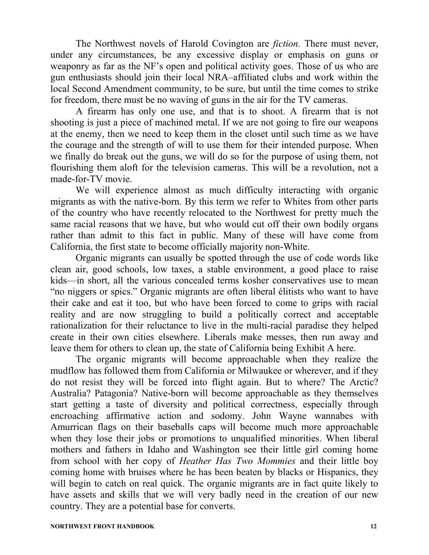The Northwest novels of Harold Covington are *fiction.* There must never, under any circumstances, be any excessive display or emphasis on guns or weaponry as far as the NF's open and political activity goes. Those of us who are gun enthusiasts should join their local NRA–affiliated clubs and work within the local Second Amendment community, to be sure, but until the time comes to strike for freedom, there must be no waving of guns in the air for the TV cameras.

A firearm has only one use, and that is to shoot. A firearm that is not shooting is just a piece of machined metal. If we are not going to fire our weapons at the enemy, then we need to keep them in the closet until such time as we have the courage and the strength of will to use them for their intended purpose. When we finally do break out the guns, we will do so for the purpose of using them, not flourishing them aloft for the television cameras. This will be a revolution, not a made-for-TV movie.

 We will experience almost as much difficulty interacting with organic migrants as with the native-born. By this term we refer to Whites from other parts of the country who have recently relocated to the Northwest for pretty much the same racial reasons that we have, but who would cut off their own bodily organs rather than admit to this fact in public. Many of these will have come from California, the first state to become officially majority non-White.

Organic migrants can usually be spotted through the use of code words like clean air, good schools, low taxes, a stable environment, a good place to raise kids—in short, all the various concealed terms kosher conservatives use to mean "no niggers or spics." Organic migrants are often liberal élitists who want to have their cake and eat it too, but who have been forced to come to grips with racial reality and are now struggling to build a politically correct and acceptable rationalization for their reluctance to live in the multi-racial paradise they helped create in their own cities elsewhere. Liberals make messes, then run away and leave them for others to clean up, the state of California being Exhibit A here.

 The organic migrants will become approachable when they realize the mudflow has followed them from California or Milwaukee or wherever, and if they do not resist they will be forced into flight again. But to where? The Arctic? Australia? Patagonia? Native-born will become approachable as they themselves start getting a taste of diversity and political correctness, especially through encroaching affirmative action and sodomy. John Wayne wannabes with Amurrican flags on their baseballs caps will become much more approachable when they lose their jobs or promotions to unqualified minorities. When liberal mothers and fathers in Idaho and Washington see their little girl coming home from school with her copy of *Heather Has Two Mommies* and their little boy coming home with bruises where he has been beaten by blacks or Hispanics, they will begin to catch on real quick. The organic migrants are in fact quite likely to have assets and skills that we will very badly need in the creation of our new country. They are a potential base for converts.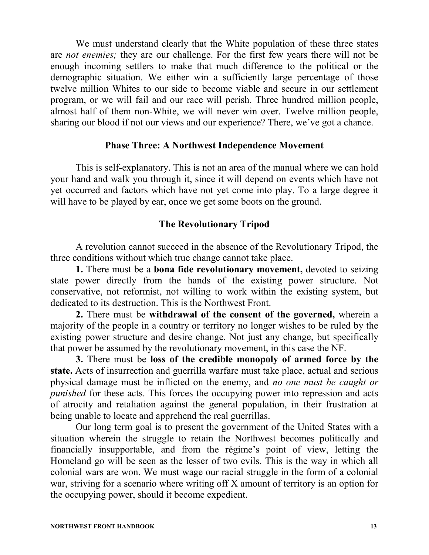We must understand clearly that the White population of these three states are *not enemies;* they are our challenge. For the first few years there will not be enough incoming settlers to make that much difference to the political or the demographic situation. We either win a sufficiently large percentage of those twelve million Whites to our side to become viable and secure in our settlement program, or we will fail and our race will perish. Three hundred million people, almost half of them non-White, we will never win over. Twelve million people, sharing our blood if not our views and our experience? There, we've got a chance.

#### **Phase Three: A Northwest Independence Movement**

 This is self-explanatory. This is not an area of the manual where we can hold your hand and walk you through it, since it will depend on events which have not yet occurred and factors which have not yet come into play. To a large degree it will have to be played by ear, once we get some boots on the ground.

#### **The Revolutionary Tripod**

 A revolution cannot succeed in the absence of the Revolutionary Tripod, the three conditions without which true change cannot take place.

 **1.** There must be a **bona fide revolutionary movement,** devoted to seizing state power directly from the hands of the existing power structure. Not conservative, not reformist, not willing to work within the existing system, but dedicated to its destruction. This is the Northwest Front.

 **2.** There must be **withdrawal of the consent of the governed,** wherein a majority of the people in a country or territory no longer wishes to be ruled by the existing power structure and desire change. Not just any change, but specifically that power be assumed by the revolutionary movement, in this case the NF.

 **3.** There must be **loss of the credible monopoly of armed force by the state.** Acts of insurrection and guerrilla warfare must take place, actual and serious physical damage must be inflicted on the enemy, and *no one must be caught or punished* for these acts. This forces the occupying power into repression and acts of atrocity and retaliation against the general population, in their frustration at being unable to locate and apprehend the real guerrillas.

 Our long term goal is to present the government of the United States with a situation wherein the struggle to retain the Northwest becomes politically and financially insupportable, and from the régime's point of view, letting the Homeland go will be seen as the lesser of two evils. This is the way in which all colonial wars are won. We must wage our racial struggle in the form of a colonial war, striving for a scenario where writing off X amount of territory is an option for the occupying power, should it become expedient.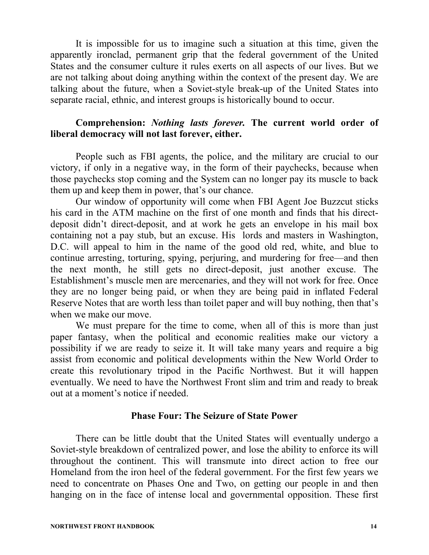It is impossible for us to imagine such a situation at this time, given the apparently ironclad, permanent grip that the federal government of the United States and the consumer culture it rules exerts on all aspects of our lives. But we are not talking about doing anything within the context of the present day. We are talking about the future, when a Soviet-style break-up of the United States into separate racial, ethnic, and interest groups is historically bound to occur.

## **Comprehension:** *Nothing lasts forever.* **The current world order of liberal democracy will not last forever, either.**

People such as FBI agents, the police, and the military are crucial to our victory, if only in a negative way, in the form of their paychecks, because when those paychecks stop coming and the System can no longer pay its muscle to back them up and keep them in power, that's our chance.

Our window of opportunity will come when FBI Agent Joe Buzzcut sticks his card in the ATM machine on the first of one month and finds that his directdeposit didn't direct-deposit, and at work he gets an envelope in his mail box containing not a pay stub, but an excuse. His lords and masters in Washington, D.C. will appeal to him in the name of the good old red, white, and blue to continue arresting, torturing, spying, perjuring, and murdering for free—and then the next month, he still gets no direct-deposit, just another excuse. The Establishment's muscle men are mercenaries, and they will not work for free. Once they are no longer being paid, or when they are being paid in inflated Federal Reserve Notes that are worth less than toilet paper and will buy nothing, then that's when we make our move.

 We must prepare for the time to come, when all of this is more than just paper fantasy, when the political and economic realities make our victory a possibility if we are ready to seize it. It will take many years and require a big assist from economic and political developments within the New World Order to create this revolutionary tripod in the Pacific Northwest. But it will happen eventually. We need to have the Northwest Front slim and trim and ready to break out at a moment's notice if needed.

#### **Phase Four: The Seizure of State Power**

 There can be little doubt that the United States will eventually undergo a Soviet-style breakdown of centralized power, and lose the ability to enforce its will throughout the continent. This will transmute into direct action to free our Homeland from the iron heel of the federal government. For the first few years we need to concentrate on Phases One and Two, on getting our people in and then hanging on in the face of intense local and governmental opposition. These first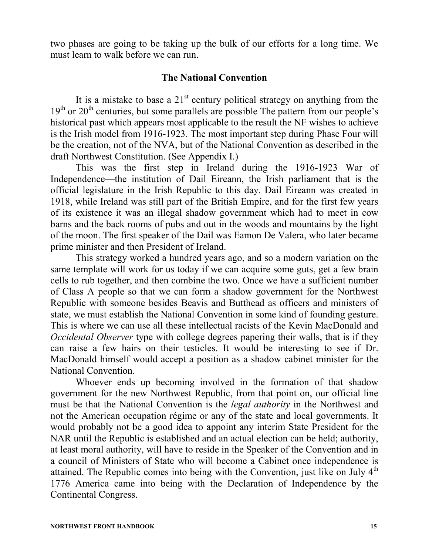two phases are going to be taking up the bulk of our efforts for a long time. We must learn to walk before we can run.

#### **The National Convention**

It is a mistake to base a  $21<sup>st</sup>$  century political strategy on anything from the 19<sup>th</sup> or 20<sup>th</sup> centuries, but some parallels are possible The pattern from our people's historical past which appears most applicable to the result the NF wishes to achieve is the Irish model from 1916-1923. The most important step during Phase Four will be the creation, not of the NVA, but of the National Convention as described in the draft Northwest Constitution. (See Appendix I.)

This was the first step in Ireland during the 1916-1923 War of Independence—the institution of Dail Eireann, the Irish parliament that is the official legislature in the Irish Republic to this day. Dail Eireann was created in 1918, while Ireland was still part of the British Empire, and for the first few years of its existence it was an illegal shadow government which had to meet in cow barns and the back rooms of pubs and out in the woods and mountains by the light of the moon. The first speaker of the Dail was Eamon De Valera, who later became prime minister and then President of Ireland.

This strategy worked a hundred years ago, and so a modern variation on the same template will work for us today if we can acquire some guts, get a few brain cells to rub together, and then combine the two. Once we have a sufficient number of Class A people so that we can form a shadow government for the Northwest Republic with someone besides Beavis and Butthead as officers and ministers of state, we must establish the National Convention in some kind of founding gesture. This is where we can use all these intellectual racists of the Kevin MacDonald and *Occidental Observer* type with college degrees papering their walls, that is if they can raise a few hairs on their testicles. It would be interesting to see if Dr. MacDonald himself would accept a position as a shadow cabinet minister for the National Convention.

Whoever ends up becoming involved in the formation of that shadow government for the new Northwest Republic, from that point on, our official line must be that the National Convention is the *legal authority* in the Northwest and not the American occupation régime or any of the state and local governments. It would probably not be a good idea to appoint any interim State President for the NAR until the Republic is established and an actual election can be held; authority, at least moral authority, will have to reside in the Speaker of the Convention and in a council of Ministers of State who will become a Cabinet once independence is attained. The Republic comes into being with the Convention, just like on July 4<sup>th</sup> 1776 America came into being with the Declaration of Independence by the Continental Congress.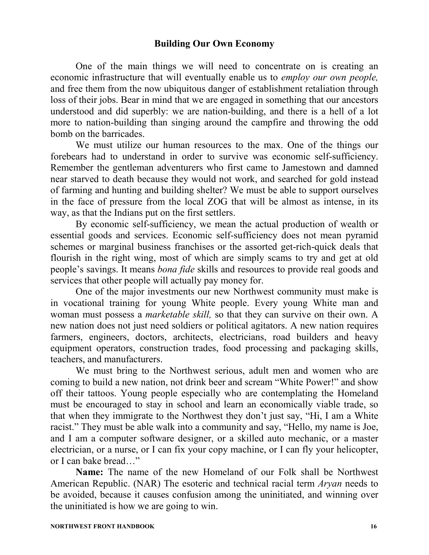## **Building Our Own Economy**

 One of the main things we will need to concentrate on is creating an economic infrastructure that will eventually enable us to *employ our own people,* and free them from the now ubiquitous danger of establishment retaliation through loss of their jobs. Bear in mind that we are engaged in something that our ancestors understood and did superbly: we are nation-building, and there is a hell of a lot more to nation-building than singing around the campfire and throwing the odd bomb on the barricades.

We must utilize our human resources to the max. One of the things our forebears had to understand in order to survive was economic self-sufficiency. Remember the gentleman adventurers who first came to Jamestown and damned near starved to death because they would not work, and searched for gold instead of farming and hunting and building shelter? We must be able to support ourselves in the face of pressure from the local ZOG that will be almost as intense, in its way, as that the Indians put on the first settlers.

 By economic self-sufficiency, we mean the actual production of wealth or essential goods and services. Economic self-sufficiency does not mean pyramid schemes or marginal business franchises or the assorted get-rich-quick deals that flourish in the right wing, most of which are simply scams to try and get at old people's savings. It means *bona fide* skills and resources to provide real goods and services that other people will actually pay money for.

One of the major investments our new Northwest community must make is in vocational training for young White people. Every young White man and woman must possess a *marketable skill,* so that they can survive on their own. A new nation does not just need soldiers or political agitators. A new nation requires farmers, engineers, doctors, architects, electricians, road builders and heavy equipment operators, construction trades, food processing and packaging skills, teachers, and manufacturers.

 We must bring to the Northwest serious, adult men and women who are coming to build a new nation, not drink beer and scream "White Power!" and show off their tattoos. Young people especially who are contemplating the Homeland must be encouraged to stay in school and learn an economically viable trade, so that when they immigrate to the Northwest they don't just say, "Hi, I am a White racist." They must be able walk into a community and say, "Hello, my name is Joe, and I am a computer software designer, or a skilled auto mechanic, or a master electrician, or a nurse, or I can fix your copy machine, or I can fly your helicopter, or I can bake bread…"

 **Name:** The name of the new Homeland of our Folk shall be Northwest American Republic. (NAR) The esoteric and technical racial term *Aryan* needs to be avoided, because it causes confusion among the uninitiated, and winning over the uninitiated is how we are going to win.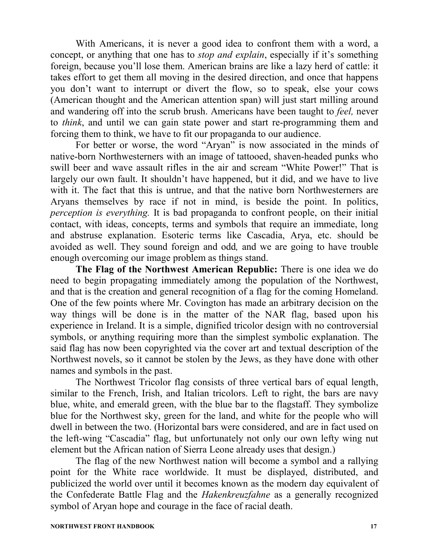With Americans, it is never a good idea to confront them with a word, a concept, or anything that one has to *stop and explain*, especially if it's something foreign, because you'll lose them. American brains are like a lazy herd of cattle: it takes effort to get them all moving in the desired direction, and once that happens you don't want to interrupt or divert the flow, so to speak, else your cows (American thought and the American attention span) will just start milling around and wandering off into the scrub brush. Americans have been taught to *feel,* never to *think*, and until we can gain state power and start re-programming them and forcing them to think, we have to fit our propaganda to our audience.

For better or worse, the word "Aryan" is now associated in the minds of native-born Northwesterners with an image of tattooed, shaven-headed punks who swill beer and wave assault rifles in the air and scream "White Power!" That is largely our own fault. It shouldn't have happened, but it did, and we have to live with it. The fact that this is untrue, and that the native born Northwesterners are Aryans themselves by race if not in mind, is beside the point. In politics, *perception is everything.* It is bad propaganda to confront people, on their initial contact, with ideas, concepts, terms and symbols that require an immediate, long and abstruse explanation. Esoteric terms like Cascadia, Arya, etc. should be avoided as well. They sound foreign and odd*,* and we are going to have trouble enough overcoming our image problem as things stand.

 **The Flag of the Northwest American Republic:** There is one idea we do need to begin propagating immediately among the population of the Northwest, and that is the creation and general recognition of a flag for the coming Homeland. One of the few points where Mr. Covington has made an arbitrary decision on the way things will be done is in the matter of the NAR flag, based upon his experience in Ireland. It is a simple, dignified tricolor design with no controversial symbols, or anything requiring more than the simplest symbolic explanation. The said flag has now been copyrighted via the cover art and textual description of the Northwest novels, so it cannot be stolen by the Jews, as they have done with other names and symbols in the past.

 The Northwest Tricolor flag consists of three vertical bars of equal length, similar to the French, Irish, and Italian tricolors. Left to right, the bars are navy blue, white, and emerald green, with the blue bar to the flagstaff. They symbolize blue for the Northwest sky, green for the land, and white for the people who will dwell in between the two. (Horizontal bars were considered, and are in fact used on the left-wing "Cascadia" flag, but unfortunately not only our own lefty wing nut element but the African nation of Sierra Leone already uses that design.)

 The flag of the new Northwest nation will become a symbol and a rallying point for the White race worldwide. It must be displayed, distributed, and publicized the world over until it becomes known as the modern day equivalent of the Confederate Battle Flag and the *Hakenkreuzfahne* as a generally recognized symbol of Aryan hope and courage in the face of racial death.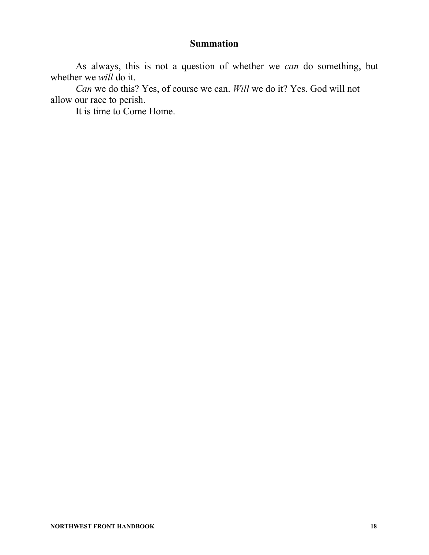## **Summation**

 As always, this is not a question of whether we *can* do something, but whether we *will* do it.

 *Can* we do this? Yes, of course we can. *Will* we do it? Yes. God will not allow our race to perish.

It is time to Come Home.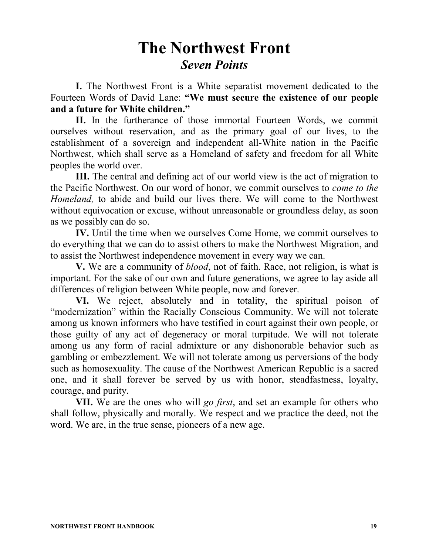## **The Northwest Front** *Seven Points*

**I.** The Northwest Front is a White separatist movement dedicated to the Fourteen Words of David Lane: **"We must secure the existence of our people and a future for White children."** 

 **II.** In the furtherance of those immortal Fourteen Words, we commit ourselves without reservation, and as the primary goal of our lives, to the establishment of a sovereign and independent all-White nation in the Pacific Northwest, which shall serve as a Homeland of safety and freedom for all White peoples the world over.

 **III.** The central and defining act of our world view is the act of migration to the Pacific Northwest. On our word of honor, we commit ourselves to *come to the Homeland,* to abide and build our lives there. We will come to the Northwest without equivocation or excuse, without unreasonable or groundless delay, as soon as we possibly can do so.

 **IV.** Until the time when we ourselves Come Home, we commit ourselves to do everything that we can do to assist others to make the Northwest Migration, and to assist the Northwest independence movement in every way we can.

 **V.** We are a community of *blood*, not of faith. Race, not religion, is what is important. For the sake of our own and future generations, we agree to lay aside all differences of religion between White people, now and forever.

 **VI.** We reject, absolutely and in totality, the spiritual poison of "modernization" within the Racially Conscious Community. We will not tolerate among us known informers who have testified in court against their own people, or those guilty of any act of degeneracy or moral turpitude. We will not tolerate among us any form of racial admixture or any dishonorable behavior such as gambling or embezzlement. We will not tolerate among us perversions of the body such as homosexuality. The cause of the Northwest American Republic is a sacred one, and it shall forever be served by us with honor, steadfastness, loyalty, courage, and purity.

 **VII.** We are the ones who will *go first*, and set an example for others who shall follow, physically and morally. We respect and we practice the deed, not the word. We are, in the true sense, pioneers of a new age.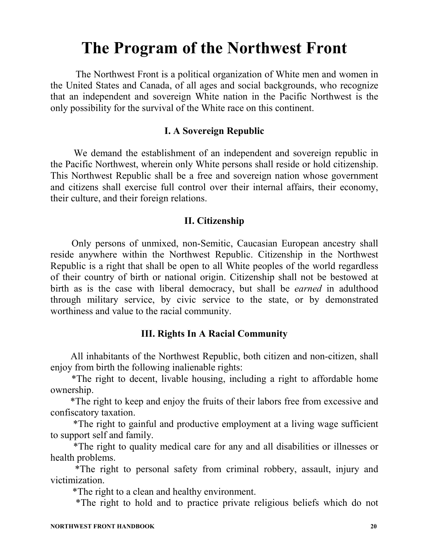## **The Program of the Northwest Front**

 The Northwest Front is a political organization of White men and women in the United States and Canada, of all ages and social backgrounds, who recognize that an independent and sovereign White nation in the Pacific Northwest is the only possibility for the survival of the White race on this continent.

#### **I. A Sovereign Republic**

 We demand the establishment of an independent and sovereign republic in the Pacific Northwest, wherein only White persons shall reside or hold citizenship. This Northwest Republic shall be a free and sovereign nation whose government and citizens shall exercise full control over their internal affairs, their economy, their culture, and their foreign relations.

#### **II. Citizenship**

 Only persons of unmixed, non-Semitic, Caucasian European ancestry shall reside anywhere within the Northwest Republic. Citizenship in the Northwest Republic is a right that shall be open to all White peoples of the world regardless of their country of birth or national origin. Citizenship shall not be bestowed at birth as is the case with liberal democracy, but shall be *earned* in adulthood through military service, by civic service to the state, or by demonstrated worthiness and value to the racial community.

#### **III. Rights In A Racial Community**

 All inhabitants of the Northwest Republic, both citizen and non-citizen, shall enjoy from birth the following inalienable rights:

 \*The right to decent, livable housing, including a right to affordable home ownership.

 \*The right to keep and enjoy the fruits of their labors free from excessive and confiscatory taxation.

 \*The right to gainful and productive employment at a living wage sufficient to support self and family.

 \*The right to quality medical care for any and all disabilities or illnesses or health problems.

 \*The right to personal safety from criminal robbery, assault, injury and victimization.

\*The right to a clean and healthy environment.

\*The right to hold and to practice private religious beliefs which do not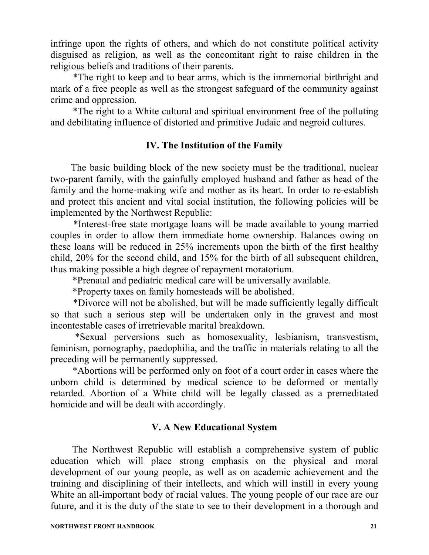infringe upon the rights of others, and which do not constitute political activity disguised as religion, as well as the concomitant right to raise children in the religious beliefs and traditions of their parents.

 \*The right to keep and to bear arms, which is the immemorial birthright and mark of a free people as well as the strongest safeguard of the community against crime and oppression.

 \*The right to a White cultural and spiritual environment free of the polluting and debilitating influence of distorted and primitive Judaic and negroid cultures.

## **IV. The Institution of the Family**

 The basic building block of the new society must be the traditional, nuclear two-parent family, with the gainfully employed husband and father as head of the family and the home-making wife and mother as its heart. In order to re-establish and protect this ancient and vital social institution, the following policies will be implemented by the Northwest Republic:

 \*Interest-free state mortgage loans will be made available to young married couples in order to allow them immediate home ownership. Balances owing on these loans will be reduced in 25% increments upon the birth of the first healthy child, 20% for the second child, and 15% for the birth of all subsequent children, thus making possible a high degree of repayment moratorium.

\*Prenatal and pediatric medical care will be universally available.

\*Property taxes on family homesteads will be abolished.

 \*Divorce will not be abolished, but will be made sufficiently legally difficult so that such a serious step will be undertaken only in the gravest and most incontestable cases of irretrievable marital breakdown.

 \*Sexual perversions such as homosexuality, lesbianism, transvestism, feminism, pornography, paedophilia, and the traffic in materials relating to all the preceding will be permanently suppressed.

 \*Abortions will be performed only on foot of a court order in cases where the unborn child is determined by medical science to be deformed or mentally retarded. Abortion of a White child will be legally classed as a premeditated homicide and will be dealt with accordingly.

## **V. A New Educational System**

 The Northwest Republic will establish a comprehensive system of public education which will place strong emphasis on the physical and moral development of our young people, as well as on academic achievement and the training and disciplining of their intellects, and which will instill in every young White an all-important body of racial values. The young people of our race are our future, and it is the duty of the state to see to their development in a thorough and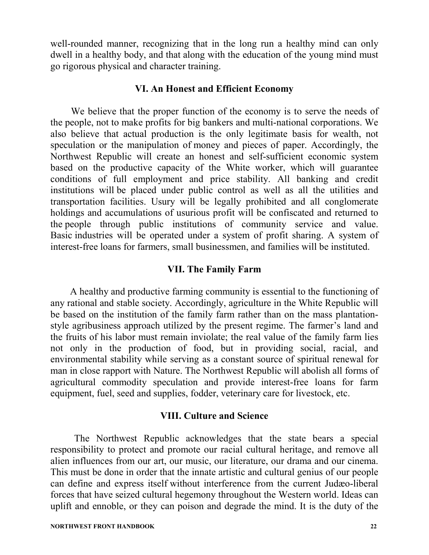well-rounded manner, recognizing that in the long run a healthy mind can only dwell in a healthy body, and that along with the education of the young mind must go rigorous physical and character training.

#### **VI. An Honest and Efficient Economy**

 We believe that the proper function of the economy is to serve the needs of the people, not to make profits for big bankers and multi-national corporations. We also believe that actual production is the only legitimate basis for wealth, not speculation or the manipulation of money and pieces of paper. Accordingly, the Northwest Republic will create an honest and self-sufficient economic system based on the productive capacity of the White worker, which will guarantee conditions of full employment and price stability. All banking and credit institutions will be placed under public control as well as all the utilities and transportation facilities. Usury will be legally prohibited and all conglomerate holdings and accumulations of usurious profit will be confiscated and returned to the people through public institutions of community service and value. Basic industries will be operated under a system of profit sharing. A system of interest-free loans for farmers, small businessmen, and families will be instituted.

#### **VII. The Family Farm**

 A healthy and productive farming community is essential to the functioning of any rational and stable society. Accordingly, agriculture in the White Republic will be based on the institution of the family farm rather than on the mass plantationstyle agribusiness approach utilized by the present regime. The farmer's land and the fruits of his labor must remain inviolate; the real value of the family farm lies not only in the production of food, but in providing social, racial, and environmental stability while serving as a constant source of spiritual renewal for man in close rapport with Nature. The Northwest Republic will abolish all forms of agricultural commodity speculation and provide interest-free loans for farm equipment, fuel, seed and supplies, fodder, veterinary care for livestock, etc.

#### **VIII. Culture and Science**

 The Northwest Republic acknowledges that the state bears a special responsibility to protect and promote our racial cultural heritage, and remove all alien influences from our art, our music, our literature, our drama and our cinema. This must be done in order that the innate artistic and cultural genius of our people can define and express itself without interference from the current Judæo-liberal forces that have seized cultural hegemony throughout the Western world. Ideas can uplift and ennoble, or they can poison and degrade the mind. It is the duty of the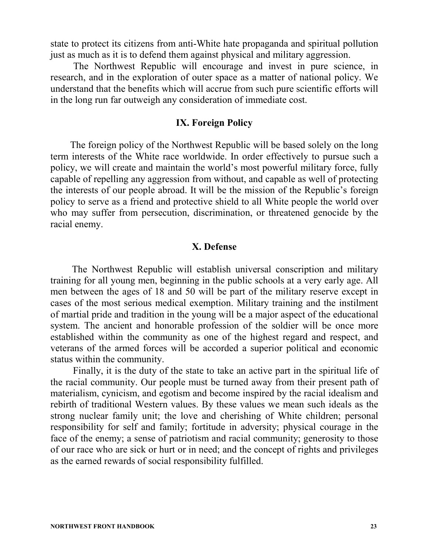state to protect its citizens from anti-White hate propaganda and spiritual pollution just as much as it is to defend them against physical and military aggression.

 The Northwest Republic will encourage and invest in pure science, in research, and in the exploration of outer space as a matter of national policy. We understand that the benefits which will accrue from such pure scientific efforts will in the long run far outweigh any consideration of immediate cost.

#### **IX. Foreign Policy**

 The foreign policy of the Northwest Republic will be based solely on the long term interests of the White race worldwide. In order effectively to pursue such a policy, we will create and maintain the world's most powerful military force, fully capable of repelling any aggression from without, and capable as well of protecting the interests of our people abroad. It will be the mission of the Republic's foreign policy to serve as a friend and protective shield to all White people the world over who may suffer from persecution, discrimination, or threatened genocide by the racial enemy.

#### **X. Defense**

 The Northwest Republic will establish universal conscription and military training for all young men, beginning in the public schools at a very early age. All men between the ages of 18 and 50 will be part of the military reserve except in cases of the most serious medical exemption. Military training and the instilment of martial pride and tradition in the young will be a major aspect of the educational system. The ancient and honorable profession of the soldier will be once more established within the community as one of the highest regard and respect, and veterans of the armed forces will be accorded a superior political and economic status within the community.

 Finally, it is the duty of the state to take an active part in the spiritual life of the racial community. Our people must be turned away from their present path of materialism, cynicism, and egotism and become inspired by the racial idealism and rebirth of traditional Western values. By these values we mean such ideals as the strong nuclear family unit; the love and cherishing of White children; personal responsibility for self and family; fortitude in adversity; physical courage in the face of the enemy; a sense of patriotism and racial community; generosity to those of our race who are sick or hurt or in need; and the concept of rights and privileges as the earned rewards of social responsibility fulfilled.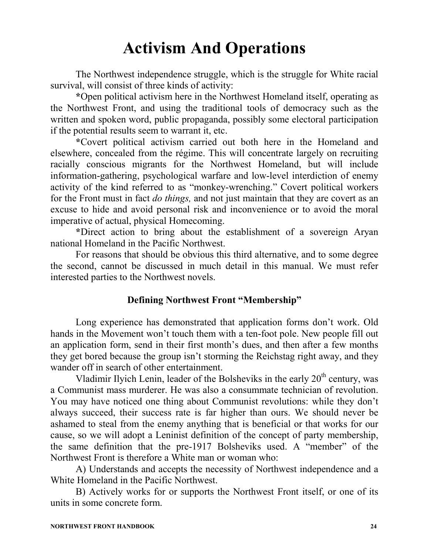## **Activism And Operations**

 The Northwest independence struggle, which is the struggle for White racial survival, will consist of three kinds of activity:

**\***Open political activism here in the Northwest Homeland itself, operating as the Northwest Front, and using the traditional tools of democracy such as the written and spoken word, public propaganda, possibly some electoral participation if the potential results seem to warrant it, etc.

**\***Covert political activism carried out both here in the Homeland and elsewhere, concealed from the régime. This will concentrate largely on recruiting racially conscious migrants for the Northwest Homeland, but will include information-gathering, psychological warfare and low-level interdiction of enemy activity of the kind referred to as "monkey-wrenching." Covert political workers for the Front must in fact *do things,* and not just maintain that they are covert as an excuse to hide and avoid personal risk and inconvenience or to avoid the moral imperative of actual, physical Homecoming.

**\***Direct action to bring about the establishment of a sovereign Aryan national Homeland in the Pacific Northwest.

For reasons that should be obvious this third alternative, and to some degree the second, cannot be discussed in much detail in this manual. We must refer interested parties to the Northwest novels.

## **Defining Northwest Front "Membership"**

Long experience has demonstrated that application forms don't work. Old hands in the Movement won't touch them with a ten-foot pole. New people fill out an application form, send in their first month's dues, and then after a few months they get bored because the group isn't storming the Reichstag right away, and they wander off in search of other entertainment.

Vladimir Ilyich Lenin, leader of the Bolsheviks in the early  $20<sup>th</sup>$  century, was a Communist mass murderer. He was also a consummate technician of revolution. You may have noticed one thing about Communist revolutions: while they don't always succeed, their success rate is far higher than ours. We should never be ashamed to steal from the enemy anything that is beneficial or that works for our cause, so we will adopt a Leninist definition of the concept of party membership, the same definition that the pre-1917 Bolsheviks used. A "member" of the Northwest Front is therefore a White man or woman who:

A) Understands and accepts the necessity of Northwest independence and a White Homeland in the Pacific Northwest.

B) Actively works for or supports the Northwest Front itself, or one of its units in some concrete form.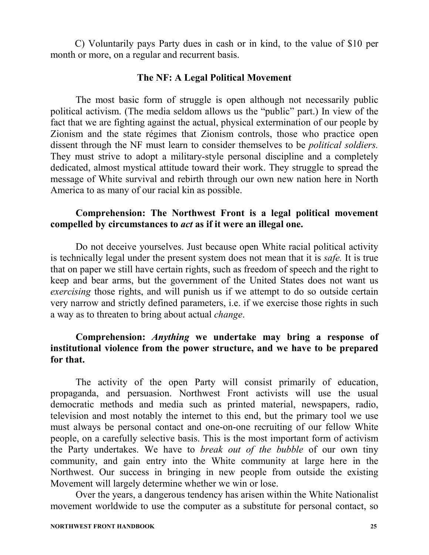C) Voluntarily pays Party dues in cash or in kind, to the value of \$10 per month or more, on a regular and recurrent basis.

#### **The NF: A Legal Political Movement**

The most basic form of struggle is open although not necessarily public political activism. (The media seldom allows us the "public" part.) In view of the fact that we are fighting against the actual, physical extermination of our people by Zionism and the state régimes that Zionism controls, those who practice open dissent through the NF must learn to consider themselves to be *political soldiers.*  They must strive to adopt a military-style personal discipline and a completely dedicated, almost mystical attitude toward their work. They struggle to spread the message of White survival and rebirth through our own new nation here in North America to as many of our racial kin as possible.

## **Comprehension: The Northwest Front is a legal political movement compelled by circumstances to** *act* **as if it were an illegal one.**

Do not deceive yourselves. Just because open White racial political activity is technically legal under the present system does not mean that it is *safe.* It is true that on paper we still have certain rights, such as freedom of speech and the right to keep and bear arms, but the government of the United States does not want us *exercising* those rights, and will punish us if we attempt to do so outside certain very narrow and strictly defined parameters, i.e. if we exercise those rights in such a way as to threaten to bring about actual *change*.

## **Comprehension:** *Anything* **we undertake may bring a response of institutional violence from the power structure, and we have to be prepared for that.**

The activity of the open Party will consist primarily of education, propaganda, and persuasion. Northwest Front activists will use the usual democratic methods and media such as printed material, newspapers, radio, television and most notably the internet to this end, but the primary tool we use must always be personal contact and one-on-one recruiting of our fellow White people, on a carefully selective basis. This is the most important form of activism the Party undertakes. We have to *break out of the bubble* of our own tiny community, and gain entry into the White community at large here in the Northwest. Our success in bringing in new people from outside the existing Movement will largely determine whether we win or lose.

Over the years, a dangerous tendency has arisen within the White Nationalist movement worldwide to use the computer as a substitute for personal contact, so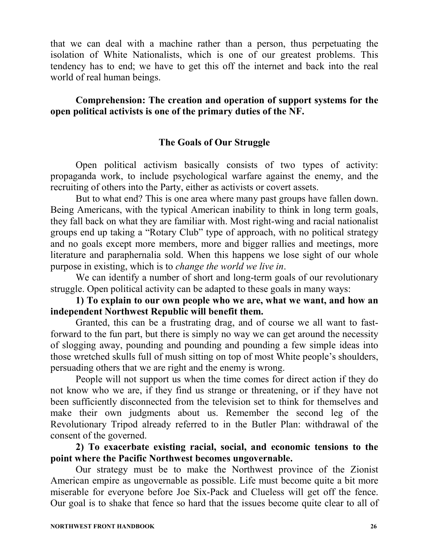that we can deal with a machine rather than a person, thus perpetuating the isolation of White Nationalists, which is one of our greatest problems. This tendency has to end; we have to get this off the internet and back into the real world of real human beings.

## **Comprehension: The creation and operation of support systems for the open political activists is one of the primary duties of the NF.**

## **The Goals of Our Struggle**

Open political activism basically consists of two types of activity: propaganda work, to include psychological warfare against the enemy, and the recruiting of others into the Party, either as activists or covert assets.

But to what end? This is one area where many past groups have fallen down. Being Americans, with the typical American inability to think in long term goals, they fall back on what they are familiar with. Most right-wing and racial nationalist groups end up taking a "Rotary Club" type of approach, with no political strategy and no goals except more members, more and bigger rallies and meetings, more literature and paraphernalia sold. When this happens we lose sight of our whole purpose in existing, which is to *change the world we live in*.

We can identify a number of short and long-term goals of our revolutionary struggle. Open political activity can be adapted to these goals in many ways:

## **1) To explain to our own people who we are, what we want, and how an independent Northwest Republic will benefit them.**

Granted, this can be a frustrating drag, and of course we all want to fastforward to the fun part, but there is simply no way we can get around the necessity of slogging away, pounding and pounding and pounding a few simple ideas into those wretched skulls full of mush sitting on top of most White people's shoulders, persuading others that we are right and the enemy is wrong.

People will not support us when the time comes for direct action if they do not know who we are, if they find us strange or threatening, or if they have not been sufficiently disconnected from the television set to think for themselves and make their own judgments about us. Remember the second leg of the Revolutionary Tripod already referred to in the Butler Plan: withdrawal of the consent of the governed.

## **2) To exacerbate existing racial, social, and economic tensions to the point where the Pacific Northwest becomes ungovernable.**

Our strategy must be to make the Northwest province of the Zionist American empire as ungovernable as possible. Life must become quite a bit more miserable for everyone before Joe Six-Pack and Clueless will get off the fence. Our goal is to shake that fence so hard that the issues become quite clear to all of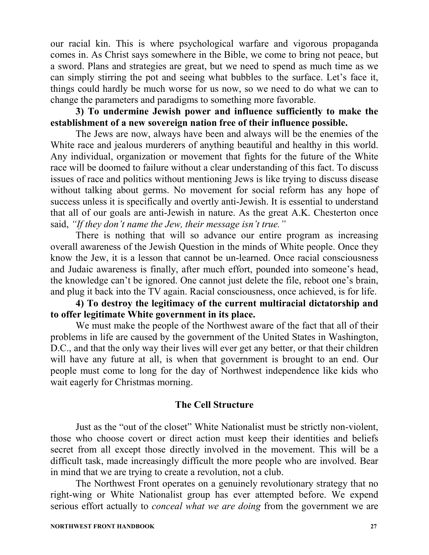our racial kin. This is where psychological warfare and vigorous propaganda comes in. As Christ says somewhere in the Bible, we come to bring not peace, but a sword. Plans and strategies are great, but we need to spend as much time as we can simply stirring the pot and seeing what bubbles to the surface. Let's face it, things could hardly be much worse for us now, so we need to do what we can to change the parameters and paradigms to something more favorable.

## **3) To undermine Jewish power and influence sufficiently to make the establishment of a new sovereign nation free of their influence possible.**

The Jews are now, always have been and always will be the enemies of the White race and jealous murderers of anything beautiful and healthy in this world. Any individual, organization or movement that fights for the future of the White race will be doomed to failure without a clear understanding of this fact. To discuss issues of race and politics without mentioning Jews is like trying to discuss disease without talking about germs. No movement for social reform has any hope of success unless it is specifically and overtly anti-Jewish. It is essential to understand that all of our goals are anti-Jewish in nature. As the great A.K. Chesterton once said, *"If they don't name the Jew, their message isn't true."* 

There is nothing that will so advance our entire program as increasing overall awareness of the Jewish Question in the minds of White people. Once they know the Jew, it is a lesson that cannot be un-learned. Once racial consciousness and Judaic awareness is finally, after much effort, pounded into someone's head, the knowledge can't be ignored. One cannot just delete the file, reboot one's brain, and plug it back into the TV again. Racial consciousness, once achieved, is for life.

**4) To destroy the legitimacy of the current multiracial dictatorship and to offer legitimate White government in its place.** 

We must make the people of the Northwest aware of the fact that all of their problems in life are caused by the government of the United States in Washington, D.C., and that the only way their lives will ever get any better, or that their children will have any future at all, is when that government is brought to an end. Our people must come to long for the day of Northwest independence like kids who wait eagerly for Christmas morning.

## **The Cell Structure**

Just as the "out of the closet" White Nationalist must be strictly non-violent, those who choose covert or direct action must keep their identities and beliefs secret from all except those directly involved in the movement. This will be a difficult task, made increasingly difficult the more people who are involved. Bear in mind that we are trying to create a revolution, not a club.

The Northwest Front operates on a genuinely revolutionary strategy that no right-wing or White Nationalist group has ever attempted before. We expend serious effort actually to *conceal what we are doing* from the government we are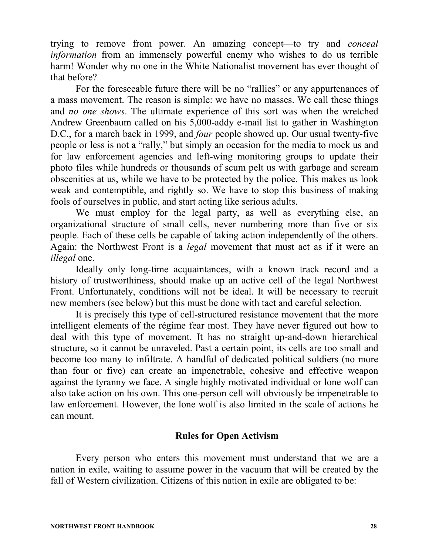trying to remove from power. An amazing concept—to try and *conceal information* from an immensely powerful enemy who wishes to do us terrible harm! Wonder why no one in the White Nationalist movement has ever thought of that before?

For the foreseeable future there will be no "rallies" or any appurtenances of a mass movement. The reason is simple: we have no masses. We call these things and *no one shows*. The ultimate experience of this sort was when the wretched Andrew Greenbaum called on his 5,000-addy e-mail list to gather in Washington D.C., for a march back in 1999, and *four* people showed up. Our usual twenty-five people or less is not a "rally," but simply an occasion for the media to mock us and for law enforcement agencies and left-wing monitoring groups to update their photo files while hundreds or thousands of scum pelt us with garbage and scream obscenities at us, while we have to be protected by the police. This makes us look weak and contemptible, and rightly so. We have to stop this business of making fools of ourselves in public, and start acting like serious adults.

We must employ for the legal party, as well as everything else, an organizational structure of small cells, never numbering more than five or six people. Each of these cells be capable of taking action independently of the others. Again: the Northwest Front is a *legal* movement that must act as if it were an *illegal* one.

Ideally only long-time acquaintances, with a known track record and a history of trustworthiness, should make up an active cell of the legal Northwest Front. Unfortunately, conditions will not be ideal. It will be necessary to recruit new members (see below) but this must be done with tact and careful selection.

It is precisely this type of cell-structured resistance movement that the more intelligent elements of the régime fear most. They have never figured out how to deal with this type of movement. It has no straight up-and-down hierarchical structure, so it cannot be unraveled. Past a certain point, its cells are too small and become too many to infiltrate. A handful of dedicated political soldiers (no more than four or five) can create an impenetrable, cohesive and effective weapon against the tyranny we face. A single highly motivated individual or lone wolf can also take action on his own. This one-person cell will obviously be impenetrable to law enforcement. However, the lone wolf is also limited in the scale of actions he can mount.

## **Rules for Open Activism**

Every person who enters this movement must understand that we are a nation in exile, waiting to assume power in the vacuum that will be created by the fall of Western civilization. Citizens of this nation in exile are obligated to be: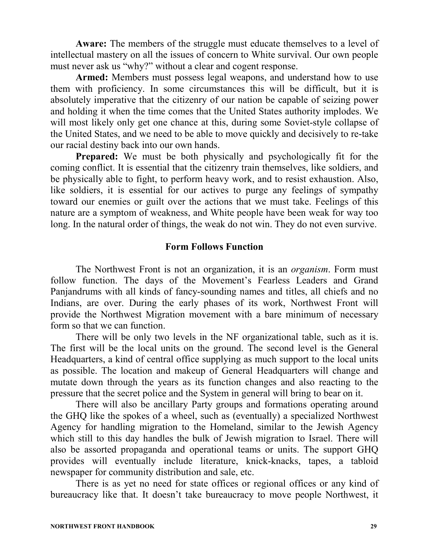**Aware:** The members of the struggle must educate themselves to a level of intellectual mastery on all the issues of concern to White survival. Our own people must never ask us "why?" without a clear and cogent response.

**Armed:** Members must possess legal weapons, and understand how to use them with proficiency. In some circumstances this will be difficult, but it is absolutely imperative that the citizenry of our nation be capable of seizing power and holding it when the time comes that the United States authority implodes. We will most likely only get one chance at this, during some Soviet-style collapse of the United States, and we need to be able to move quickly and decisively to re-take our racial destiny back into our own hands.

**Prepared:** We must be both physically and psychologically fit for the coming conflict. It is essential that the citizenry train themselves, like soldiers, and be physically able to fight, to perform heavy work, and to resist exhaustion. Also, like soldiers, it is essential for our actives to purge any feelings of sympathy toward our enemies or guilt over the actions that we must take. Feelings of this nature are a symptom of weakness, and White people have been weak for way too long. In the natural order of things, the weak do not win. They do not even survive.

### **Form Follows Function**

 The Northwest Front is not an organization, it is an *organism*. Form must follow function. The days of the Movement's Fearless Leaders and Grand Panjandrums with all kinds of fancy-sounding names and titles, all chiefs and no Indians, are over. During the early phases of its work, Northwest Front will provide the Northwest Migration movement with a bare minimum of necessary form so that we can function.

There will be only two levels in the NF organizational table, such as it is. The first will be the local units on the ground. The second level is the General Headquarters, a kind of central office supplying as much support to the local units as possible. The location and makeup of General Headquarters will change and mutate down through the years as its function changes and also reacting to the pressure that the secret police and the System in general will bring to bear on it.

There will also be ancillary Party groups and formations operating around the GHQ like the spokes of a wheel, such as (eventually) a specialized Northwest Agency for handling migration to the Homeland, similar to the Jewish Agency which still to this day handles the bulk of Jewish migration to Israel. There will also be assorted propaganda and operational teams or units. The support GHQ provides will eventually include literature, knick-knacks, tapes, a tabloid newspaper for community distribution and sale, etc.

There is as yet no need for state offices or regional offices or any kind of bureaucracy like that. It doesn't take bureaucracy to move people Northwest, it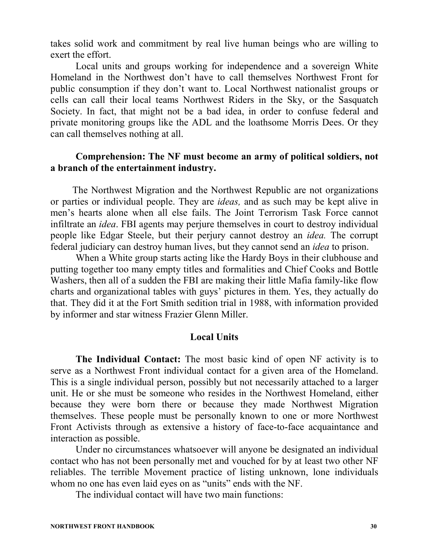takes solid work and commitment by real live human beings who are willing to exert the effort.

Local units and groups working for independence and a sovereign White Homeland in the Northwest don't have to call themselves Northwest Front for public consumption if they don't want to. Local Northwest nationalist groups or cells can call their local teams Northwest Riders in the Sky, or the Sasquatch Society. In fact, that might not be a bad idea, in order to confuse federal and private monitoring groups like the ADL and the loathsome Morris Dees. Or they can call themselves nothing at all.

## **Comprehension: The NF must become an army of political soldiers, not a branch of the entertainment industry.**

 The Northwest Migration and the Northwest Republic are not organizations or parties or individual people. They are *ideas,* and as such may be kept alive in men's hearts alone when all else fails. The Joint Terrorism Task Force cannot infiltrate an *idea*. FBI agents may perjure themselves in court to destroy individual people like Edgar Steele, but their perjury cannot destroy an *idea.* The corrupt federal judiciary can destroy human lives, but they cannot send an *idea* to prison.

When a White group starts acting like the Hardy Boys in their clubhouse and putting together too many empty titles and formalities and Chief Cooks and Bottle Washers, then all of a sudden the FBI are making their little Mafia family-like flow charts and organizational tables with guys' pictures in them. Yes, they actually do that. They did it at the Fort Smith sedition trial in 1988, with information provided by informer and star witness Frazier Glenn Miller.

## **Local Units**

**The Individual Contact:** The most basic kind of open NF activity is to serve as a Northwest Front individual contact for a given area of the Homeland. This is a single individual person, possibly but not necessarily attached to a larger unit. He or she must be someone who resides in the Northwest Homeland, either because they were born there or because they made Northwest Migration themselves. These people must be personally known to one or more Northwest Front Activists through as extensive a history of face-to-face acquaintance and interaction as possible.

Under no circumstances whatsoever will anyone be designated an individual contact who has not been personally met and vouched for by at least two other NF reliables. The terrible Movement practice of listing unknown, lone individuals whom no one has even laid eyes on as "units" ends with the NF.

The individual contact will have two main functions: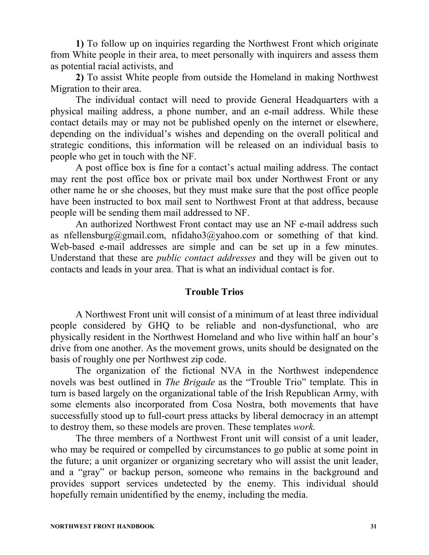**1)** To follow up on inquiries regarding the Northwest Front which originate from White people in their area, to meet personally with inquirers and assess them as potential racial activists, and

**2)** To assist White people from outside the Homeland in making Northwest Migration to their area.

The individual contact will need to provide General Headquarters with a physical mailing address, a phone number, and an e-mail address. While these contact details may or may not be published openly on the internet or elsewhere, depending on the individual's wishes and depending on the overall political and strategic conditions, this information will be released on an individual basis to people who get in touch with the NF.

A post office box is fine for a contact's actual mailing address. The contact may rent the post office box or private mail box under Northwest Front or any other name he or she chooses, but they must make sure that the post office people have been instructed to box mail sent to Northwest Front at that address, because people will be sending them mail addressed to NF.

An authorized Northwest Front contact may use an NF e-mail address such as nfellensburg@gmail.com, nfidaho3@yahoo.com or something of that kind. Web-based e-mail addresses are simple and can be set up in a few minutes. Understand that these are *public contact addresses* and they will be given out to contacts and leads in your area. That is what an individual contact is for.

## **Trouble Trios**

 A Northwest Front unit will consist of a minimum of at least three individual people considered by GHQ to be reliable and non-dysfunctional, who are physically resident in the Northwest Homeland and who live within half an hour's drive from one another. As the movement grows, units should be designated on the basis of roughly one per Northwest zip code.

The organization of the fictional NVA in the Northwest independence novels was best outlined in *The Brigade* as the "Trouble Trio" template*.* This in turn is based largely on the organizational table of the Irish Republican Army, with some elements also incorporated from Cosa Nostra, both movements that have successfully stood up to full-court press attacks by liberal democracy in an attempt to destroy them, so these models are proven. These templates *work.* 

The three members of a Northwest Front unit will consist of a unit leader, who may be required or compelled by circumstances to go public at some point in the future; a unit organizer or organizing secretary who will assist the unit leader, and a "gray" or backup person, someone who remains in the background and provides support services undetected by the enemy. This individual should hopefully remain unidentified by the enemy, including the media.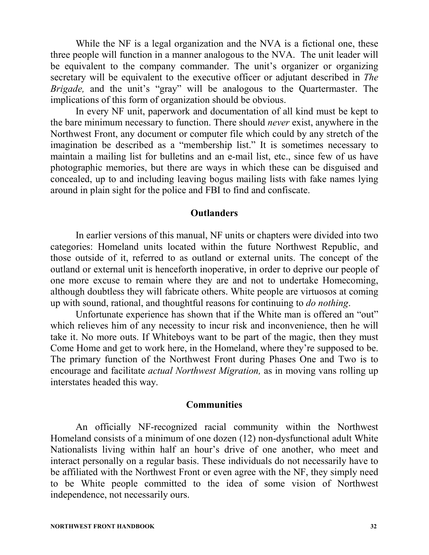While the NF is a legal organization and the NVA is a fictional one, these three people will function in a manner analogous to the NVA. The unit leader will be equivalent to the company commander. The unit's organizer or organizing secretary will be equivalent to the executive officer or adjutant described in *The Brigade,* and the unit's "gray" will be analogous to the Quartermaster. The implications of this form of organization should be obvious.

 In every NF unit, paperwork and documentation of all kind must be kept to the bare minimum necessary to function. There should *never* exist, anywhere in the Northwest Front, any document or computer file which could by any stretch of the imagination be described as a "membership list." It is sometimes necessary to maintain a mailing list for bulletins and an e-mail list, etc., since few of us have photographic memories, but there are ways in which these can be disguised and concealed, up to and including leaving bogus mailing lists with fake names lying around in plain sight for the police and FBI to find and confiscate.

#### **Outlanders**

 In earlier versions of this manual, NF units or chapters were divided into two categories: Homeland units located within the future Northwest Republic, and those outside of it, referred to as outland or external units. The concept of the outland or external unit is henceforth inoperative, in order to deprive our people of one more excuse to remain where they are and not to undertake Homecoming, although doubtless they will fabricate others. White people are virtuosos at coming up with sound, rational, and thoughtful reasons for continuing to *do nothing*.

Unfortunate experience has shown that if the White man is offered an "out" which relieves him of any necessity to incur risk and inconvenience, then he will take it. No more outs. If Whiteboys want to be part of the magic, then they must Come Home and get to work here, in the Homeland, where they're supposed to be. The primary function of the Northwest Front during Phases One and Two is to encourage and facilitate *actual Northwest Migration,* as in moving vans rolling up interstates headed this way.

#### **Communities**

An officially NF-recognized racial community within the Northwest Homeland consists of a minimum of one dozen (12) non-dysfunctional adult White Nationalists living within half an hour's drive of one another, who meet and interact personally on a regular basis. These individuals do not necessarily have to be affiliated with the Northwest Front or even agree with the NF, they simply need to be White people committed to the idea of some vision of Northwest independence, not necessarily ours.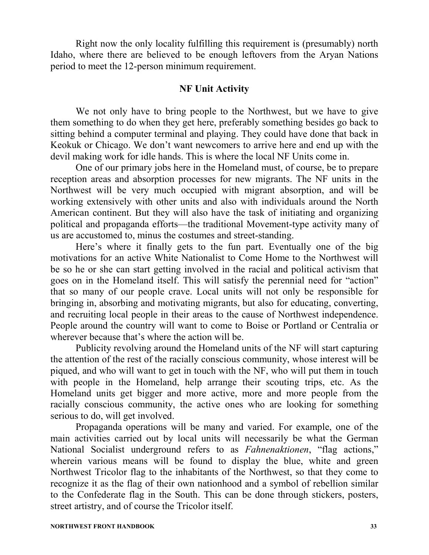Right now the only locality fulfilling this requirement is (presumably) north Idaho, where there are believed to be enough leftovers from the Aryan Nations period to meet the 12-person minimum requirement.

#### **NF Unit Activity**

 We not only have to bring people to the Northwest, but we have to give them something to do when they get here, preferably something besides go back to sitting behind a computer terminal and playing. They could have done that back in Keokuk or Chicago. We don't want newcomers to arrive here and end up with the devil making work for idle hands. This is where the local NF Units come in.

 One of our primary jobs here in the Homeland must, of course, be to prepare reception areas and absorption processes for new migrants. The NF units in the Northwest will be very much occupied with migrant absorption, and will be working extensively with other units and also with individuals around the North American continent. But they will also have the task of initiating and organizing political and propaganda efforts—the traditional Movement-type activity many of us are accustomed to, minus the costumes and street-standing.

Here's where it finally gets to the fun part. Eventually one of the big motivations for an active White Nationalist to Come Home to the Northwest will be so he or she can start getting involved in the racial and political activism that goes on in the Homeland itself. This will satisfy the perennial need for "action" that so many of our people crave. Local units will not only be responsible for bringing in, absorbing and motivating migrants, but also for educating, converting, and recruiting local people in their areas to the cause of Northwest independence. People around the country will want to come to Boise or Portland or Centralia or wherever because that's where the action will be.

Publicity revolving around the Homeland units of the NF will start capturing the attention of the rest of the racially conscious community, whose interest will be piqued, and who will want to get in touch with the NF, who will put them in touch with people in the Homeland, help arrange their scouting trips, etc. As the Homeland units get bigger and more active, more and more people from the racially conscious community, the active ones who are looking for something serious to do, will get involved.

Propaganda operations will be many and varied. For example, one of the main activities carried out by local units will necessarily be what the German National Socialist underground refers to as *Fahnenaktionen*, "flag actions," wherein various means will be found to display the blue, white and green Northwest Tricolor flag to the inhabitants of the Northwest, so that they come to recognize it as the flag of their own nationhood and a symbol of rebellion similar to the Confederate flag in the South. This can be done through stickers, posters, street artistry, and of course the Tricolor itself.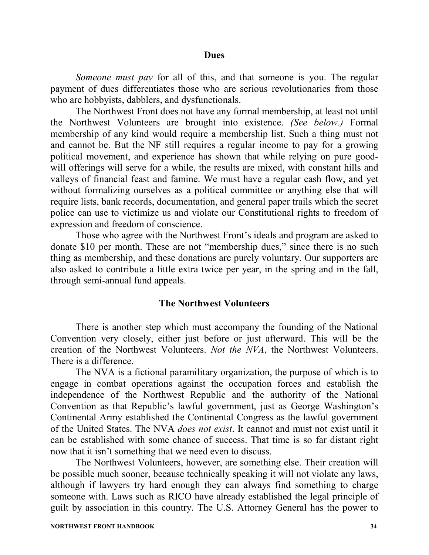*Someone must pay* for all of this, and that someone is you. The regular payment of dues differentiates those who are serious revolutionaries from those who are hobbyists, dabblers, and dysfunctionals.

The Northwest Front does not have any formal membership, at least not until the Northwest Volunteers are brought into existence. *(See below.)* Formal membership of any kind would require a membership list. Such a thing must not and cannot be. But the NF still requires a regular income to pay for a growing political movement, and experience has shown that while relying on pure goodwill offerings will serve for a while, the results are mixed, with constant hills and valleys of financial feast and famine. We must have a regular cash flow, and yet without formalizing ourselves as a political committee or anything else that will require lists, bank records, documentation, and general paper trails which the secret police can use to victimize us and violate our Constitutional rights to freedom of expression and freedom of conscience.

Those who agree with the Northwest Front's ideals and program are asked to donate \$10 per month. These are not "membership dues," since there is no such thing as membership, and these donations are purely voluntary. Our supporters are also asked to contribute a little extra twice per year, in the spring and in the fall, through semi-annual fund appeals.

#### **The Northwest Volunteers**

There is another step which must accompany the founding of the National Convention very closely, either just before or just afterward. This will be the creation of the Northwest Volunteers. *Not the NVA*, the Northwest Volunteers. There is a difference.

The NVA is a fictional paramilitary organization, the purpose of which is to engage in combat operations against the occupation forces and establish the independence of the Northwest Republic and the authority of the National Convention as that Republic's lawful government, just as George Washington's Continental Army established the Continental Congress as the lawful government of the United States. The NVA *does not exist*. It cannot and must not exist until it can be established with some chance of success. That time is so far distant right now that it isn't something that we need even to discuss.

The Northwest Volunteers, however, are something else. Their creation will be possible much sooner, because technically speaking it will not violate any laws, although if lawyers try hard enough they can always find something to charge someone with. Laws such as RICO have already established the legal principle of guilt by association in this country. The U.S. Attorney General has the power to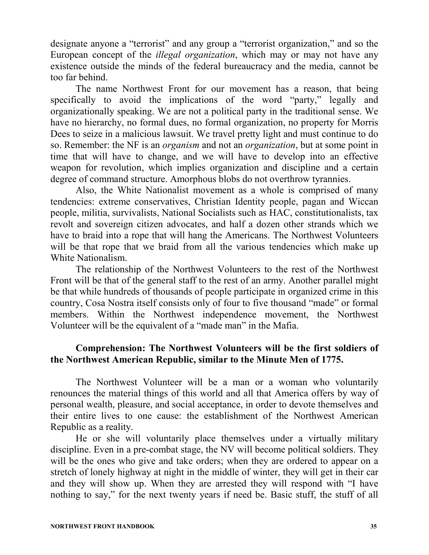designate anyone a "terrorist" and any group a "terrorist organization," and so the European concept of the *illegal organization*, which may or may not have any existence outside the minds of the federal bureaucracy and the media, cannot be too far behind.

The name Northwest Front for our movement has a reason, that being specifically to avoid the implications of the word "party," legally and organizationally speaking. We are not a political party in the traditional sense. We have no hierarchy, no formal dues, no formal organization, no property for Morris Dees to seize in a malicious lawsuit. We travel pretty light and must continue to do so. Remember: the NF is an *organism* and not an *organization*, but at some point in time that will have to change, and we will have to develop into an effective weapon for revolution, which implies organization and discipline and a certain degree of command structure. Amorphous blobs do not overthrow tyrannies.

Also, the White Nationalist movement as a whole is comprised of many tendencies: extreme conservatives, Christian Identity people, pagan and Wiccan people, militia, survivalists, National Socialists such as HAC, constitutionalists, tax revolt and sovereign citizen advocates, and half a dozen other strands which we have to braid into a rope that will hang the Americans. The Northwest Volunteers will be that rope that we braid from all the various tendencies which make up White Nationalism.

The relationship of the Northwest Volunteers to the rest of the Northwest Front will be that of the general staff to the rest of an army. Another parallel might be that while hundreds of thousands of people participate in organized crime in this country, Cosa Nostra itself consists only of four to five thousand "made" or formal members. Within the Northwest independence movement, the Northwest Volunteer will be the equivalent of a "made man" in the Mafia.

## **Comprehension: The Northwest Volunteers will be the first soldiers of the Northwest American Republic, similar to the Minute Men of 1775.**

The Northwest Volunteer will be a man or a woman who voluntarily renounces the material things of this world and all that America offers by way of personal wealth, pleasure, and social acceptance, in order to devote themselves and their entire lives to one cause: the establishment of the Northwest American Republic as a reality.

He or she will voluntarily place themselves under a virtually military discipline. Even in a pre-combat stage, the NV will become political soldiers. They will be the ones who give and take orders; when they are ordered to appear on a stretch of lonely highway at night in the middle of winter, they will get in their car and they will show up. When they are arrested they will respond with "I have nothing to say," for the next twenty years if need be. Basic stuff, the stuff of all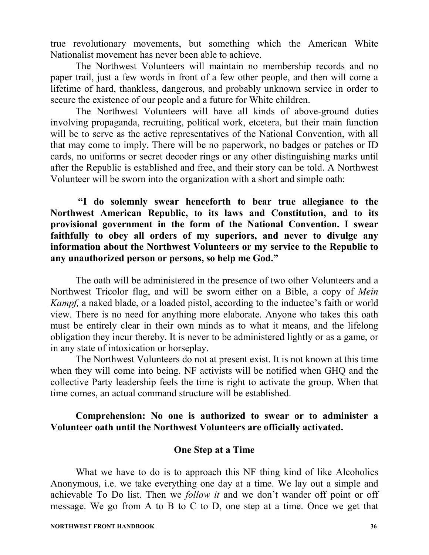true revolutionary movements, but something which the American White Nationalist movement has never been able to achieve.

The Northwest Volunteers will maintain no membership records and no paper trail, just a few words in front of a few other people, and then will come a lifetime of hard, thankless, dangerous, and probably unknown service in order to secure the existence of our people and a future for White children.

The Northwest Volunteers will have all kinds of above-ground duties involving propaganda, recruiting, political work, etcetera, but their main function will be to serve as the active representatives of the National Convention, with all that may come to imply. There will be no paperwork, no badges or patches or ID cards, no uniforms or secret decoder rings or any other distinguishing marks until after the Republic is established and free, and their story can be told. A Northwest Volunteer will be sworn into the organization with a short and simple oath:

 **"I do solemnly swear henceforth to bear true allegiance to the Northwest American Republic, to its laws and Constitution, and to its provisional government in the form of the National Convention. I swear faithfully to obey all orders of my superiors, and never to divulge any information about the Northwest Volunteers or my service to the Republic to any unauthorized person or persons, so help me God."** 

The oath will be administered in the presence of two other Volunteers and a Northwest Tricolor flag, and will be sworn either on a Bible, a copy of *Mein Kampf,* a naked blade, or a loaded pistol, according to the inductee's faith or world view. There is no need for anything more elaborate. Anyone who takes this oath must be entirely clear in their own minds as to what it means, and the lifelong obligation they incur thereby. It is never to be administered lightly or as a game, or in any state of intoxication or horseplay.

The Northwest Volunteers do not at present exist. It is not known at this time when they will come into being. NF activists will be notified when GHO and the collective Party leadership feels the time is right to activate the group. When that time comes, an actual command structure will be established.

## **Comprehension: No one is authorized to swear or to administer a Volunteer oath until the Northwest Volunteers are officially activated.**

## **One Step at a Time**

 What we have to do is to approach this NF thing kind of like Alcoholics Anonymous, i.e. we take everything one day at a time. We lay out a simple and achievable To Do list. Then we *follow it* and we don't wander off point or off message. We go from A to B to C to D, one step at a time. Once we get that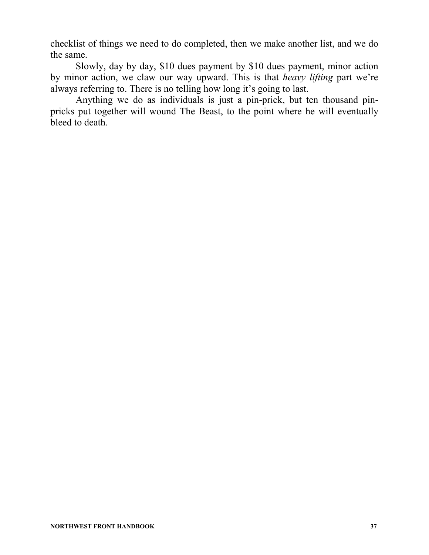checklist of things we need to do completed, then we make another list, and we do the same.

 Slowly, day by day, \$10 dues payment by \$10 dues payment, minor action by minor action, we claw our way upward. This is that *heavy lifting* part we're always referring to. There is no telling how long it's going to last.

 Anything we do as individuals is just a pin-prick, but ten thousand pinpricks put together will wound The Beast, to the point where he will eventually bleed to death.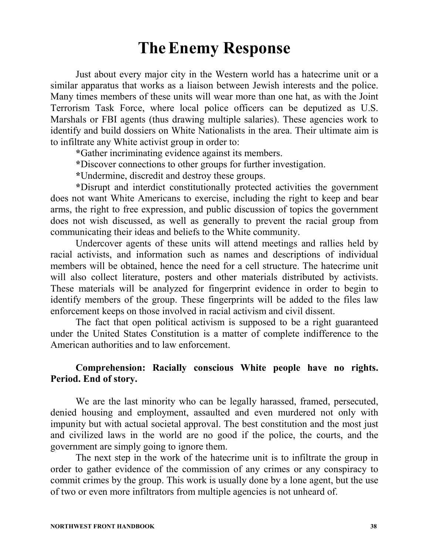### **TheEnemy Response**

Just about every major city in the Western world has a hatecrime unit or a similar apparatus that works as a liaison between Jewish interests and the police. Many times members of these units will wear more than one hat, as with the Joint Terrorism Task Force, where local police officers can be deputized as U.S. Marshals or FBI agents (thus drawing multiple salaries). These agencies work to identify and build dossiers on White Nationalists in the area. Their ultimate aim is to infiltrate any White activist group in order to:

**\***Gather incriminating evidence against its members.

**\***Discover connections to other groups for further investigation.

**\***Undermine, discredit and destroy these groups.

**\***Disrupt and interdict constitutionally protected activities the government does not want White Americans to exercise, including the right to keep and bear arms, the right to free expression, and public discussion of topics the government does not wish discussed, as well as generally to prevent the racial group from communicating their ideas and beliefs to the White community.

Undercover agents of these units will attend meetings and rallies held by racial activists, and information such as names and descriptions of individual members will be obtained, hence the need for a cell structure. The hatecrime unit will also collect literature, posters and other materials distributed by activists. These materials will be analyzed for fingerprint evidence in order to begin to identify members of the group. These fingerprints will be added to the files law enforcement keeps on those involved in racial activism and civil dissent.

The fact that open political activism is supposed to be a right guaranteed under the United States Constitution is a matter of complete indifference to the American authorities and to law enforcement.

#### **Comprehension: Racially conscious White people have no rights. Period. End of story.**

We are the last minority who can be legally harassed, framed, persecuted, denied housing and employment, assaulted and even murdered not only with impunity but with actual societal approval. The best constitution and the most just and civilized laws in the world are no good if the police, the courts, and the government are simply going to ignore them.

The next step in the work of the hatecrime unit is to infiltrate the group in order to gather evidence of the commission of any crimes or any conspiracy to commit crimes by the group. This work is usually done by a lone agent, but the use of two or even more infiltrators from multiple agencies is not unheard of.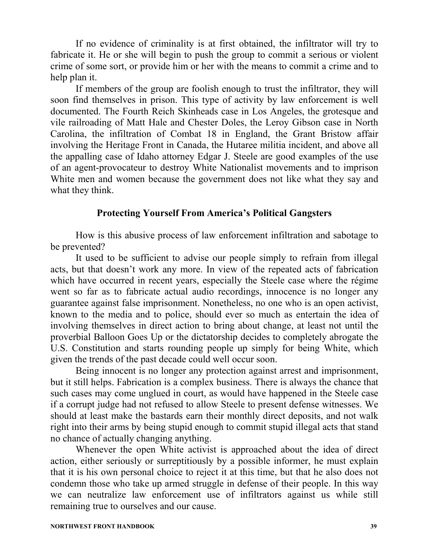If no evidence of criminality is at first obtained, the infiltrator will try to fabricate it. He or she will begin to push the group to commit a serious or violent crime of some sort, or provide him or her with the means to commit a crime and to help plan it.

If members of the group are foolish enough to trust the infiltrator, they will soon find themselves in prison. This type of activity by law enforcement is well documented. The Fourth Reich Skinheads case in Los Angeles, the grotesque and vile railroading of Matt Hale and Chester Doles, the Leroy Gibson case in North Carolina, the infiltration of Combat 18 in England, the Grant Bristow affair involving the Heritage Front in Canada, the Hutaree militia incident, and above all the appalling case of Idaho attorney Edgar J. Steele are good examples of the use of an agent-provocateur to destroy White Nationalist movements and to imprison White men and women because the government does not like what they say and what they think.

#### **Protecting Yourself From America's Political Gangsters**

How is this abusive process of law enforcement infiltration and sabotage to be prevented?

It used to be sufficient to advise our people simply to refrain from illegal acts, but that doesn't work any more. In view of the repeated acts of fabrication which have occurred in recent years, especially the Steele case where the régime went so far as to fabricate actual audio recordings, innocence is no longer any guarantee against false imprisonment. Nonetheless, no one who is an open activist, known to the media and to police, should ever so much as entertain the idea of involving themselves in direct action to bring about change, at least not until the proverbial Balloon Goes Up or the dictatorship decides to completely abrogate the U.S. Constitution and starts rounding people up simply for being White, which given the trends of the past decade could well occur soon.

Being innocent is no longer any protection against arrest and imprisonment, but it still helps. Fabrication is a complex business. There is always the chance that such cases may come unglued in court, as would have happened in the Steele case if a corrupt judge had not refused to allow Steele to present defense witnesses. We should at least make the bastards earn their monthly direct deposits, and not walk right into their arms by being stupid enough to commit stupid illegal acts that stand no chance of actually changing anything.

Whenever the open White activist is approached about the idea of direct action, either seriously or surreptitiously by a possible informer, he must explain that it is his own personal choice to reject it at this time, but that he also does not condemn those who take up armed struggle in defense of their people. In this way we can neutralize law enforcement use of infiltrators against us while still remaining true to ourselves and our cause.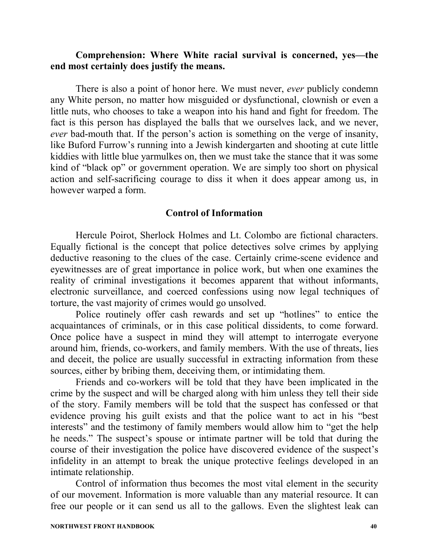#### **Comprehension: Where White racial survival is concerned, yes—the end most certainly does justify the means.**

There is also a point of honor here. We must never, *ever* publicly condemn any White person, no matter how misguided or dysfunctional, clownish or even a little nuts, who chooses to take a weapon into his hand and fight for freedom. The fact is this person has displayed the balls that we ourselves lack, and we never, *ever* bad-mouth that. If the person's action is something on the verge of insanity, like Buford Furrow's running into a Jewish kindergarten and shooting at cute little kiddies with little blue yarmulkes on, then we must take the stance that it was some kind of "black op" or government operation. We are simply too short on physical action and self-sacrificing courage to diss it when it does appear among us, in however warped a form.

#### **Control of Information**

Hercule Poirot, Sherlock Holmes and Lt. Colombo are fictional characters. Equally fictional is the concept that police detectives solve crimes by applying deductive reasoning to the clues of the case. Certainly crime-scene evidence and eyewitnesses are of great importance in police work, but when one examines the reality of criminal investigations it becomes apparent that without informants, electronic surveillance, and coerced confessions using now legal techniques of torture, the vast majority of crimes would go unsolved.

Police routinely offer cash rewards and set up "hotlines" to entice the acquaintances of criminals, or in this case political dissidents, to come forward. Once police have a suspect in mind they will attempt to interrogate everyone around him, friends, co-workers, and family members. With the use of threats, lies and deceit, the police are usually successful in extracting information from these sources, either by bribing them, deceiving them, or intimidating them.

Friends and co-workers will be told that they have been implicated in the crime by the suspect and will be charged along with him unless they tell their side of the story. Family members will be told that the suspect has confessed or that evidence proving his guilt exists and that the police want to act in his "best interests" and the testimony of family members would allow him to "get the help he needs." The suspect's spouse or intimate partner will be told that during the course of their investigation the police have discovered evidence of the suspect's infidelity in an attempt to break the unique protective feelings developed in an intimate relationship.

Control of information thus becomes the most vital element in the security of our movement. Information is more valuable than any material resource. It can free our people or it can send us all to the gallows. Even the slightest leak can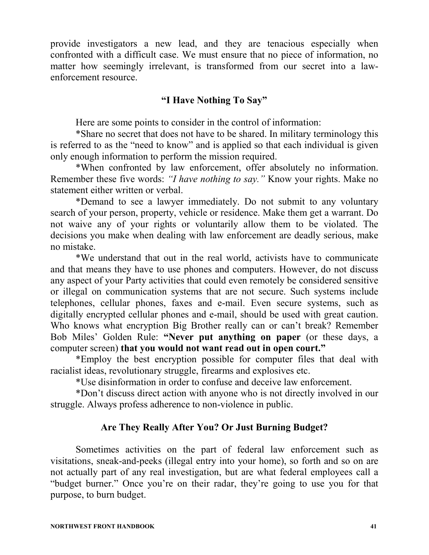provide investigators a new lead, and they are tenacious especially when confronted with a difficult case. We must ensure that no piece of information, no matter how seemingly irrelevant, is transformed from our secret into a lawenforcement resource.

#### **"I Have Nothing To Say"**

Here are some points to consider in the control of information:

\*Share no secret that does not have to be shared. In military terminology this is referred to as the "need to know" and is applied so that each individual is given only enough information to perform the mission required.

\*When confronted by law enforcement, offer absolutely no information. Remember these five words: *"I have nothing to say."* Know your rights. Make no statement either written or verbal.

\*Demand to see a lawyer immediately. Do not submit to any voluntary search of your person, property, vehicle or residence. Make them get a warrant. Do not waive any of your rights or voluntarily allow them to be violated. The decisions you make when dealing with law enforcement are deadly serious, make no mistake.

\*We understand that out in the real world, activists have to communicate and that means they have to use phones and computers. However, do not discuss any aspect of your Party activities that could even remotely be considered sensitive or illegal on communication systems that are not secure. Such systems include telephones, cellular phones, faxes and e-mail. Even secure systems, such as digitally encrypted cellular phones and e-mail, should be used with great caution. Who knows what encryption Big Brother really can or can't break? Remember Bob Miles' Golden Rule: **"Never put anything on paper** (or these days, a computer screen) **that you would not want read out in open court."** 

\*Employ the best encryption possible for computer files that deal with racialist ideas, revolutionary struggle, firearms and explosives etc.

\*Use disinformation in order to confuse and deceive law enforcement.

\*Don't discuss direct action with anyone who is not directly involved in our struggle. Always profess adherence to non-violence in public.

#### **Are They Really After You? Or Just Burning Budget?**

Sometimes activities on the part of federal law enforcement such as visitations, sneak-and-peeks (illegal entry into your home), so forth and so on are not actually part of any real investigation, but are what federal employees call a "budget burner." Once you're on their radar, they're going to use you for that purpose, to burn budget.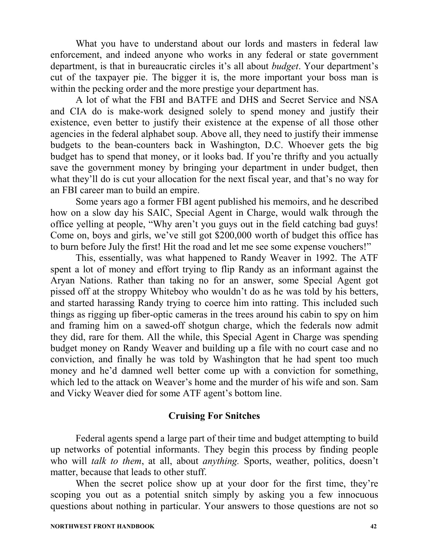What you have to understand about our lords and masters in federal law enforcement, and indeed anyone who works in any federal or state government department, is that in bureaucratic circles it's all about *budget*. Your department's cut of the taxpayer pie. The bigger it is, the more important your boss man is within the pecking order and the more prestige your department has.

A lot of what the FBI and BATFE and DHS and Secret Service and NSA and CIA do is make-work designed solely to spend money and justify their existence, even better to justify their existence at the expense of all those other agencies in the federal alphabet soup. Above all, they need to justify their immense budgets to the bean-counters back in Washington, D.C. Whoever gets the big budget has to spend that money, or it looks bad. If you're thrifty and you actually save the government money by bringing your department in under budget, then what they'll do is cut your allocation for the next fiscal year, and that's no way for an FBI career man to build an empire.

Some years ago a former FBI agent published his memoirs, and he described how on a slow day his SAIC, Special Agent in Charge, would walk through the office yelling at people, "Why aren't you guys out in the field catching bad guys! Come on, boys and girls, we've still got \$200,000 worth of budget this office has to burn before July the first! Hit the road and let me see some expense vouchers!"

This, essentially, was what happened to Randy Weaver in 1992. The ATF spent a lot of money and effort trying to flip Randy as an informant against the Aryan Nations. Rather than taking no for an answer, some Special Agent got pissed off at the stroppy Whiteboy who wouldn't do as he was told by his betters, and started harassing Randy trying to coerce him into ratting. This included such things as rigging up fiber-optic cameras in the trees around his cabin to spy on him and framing him on a sawed-off shotgun charge, which the federals now admit they did, rare for them. All the while, this Special Agent in Charge was spending budget money on Randy Weaver and building up a file with no court case and no conviction, and finally he was told by Washington that he had spent too much money and he'd damned well better come up with a conviction for something, which led to the attack on Weaver's home and the murder of his wife and son. Sam and Vicky Weaver died for some ATF agent's bottom line.

#### **Cruising For Snitches**

Federal agents spend a large part of their time and budget attempting to build up networks of potential informants. They begin this process by finding people who will *talk to them*, at all, about *anything.* Sports, weather, politics, doesn't matter, because that leads to other stuff.

When the secret police show up at your door for the first time, they're scoping you out as a potential snitch simply by asking you a few innocuous questions about nothing in particular. Your answers to those questions are not so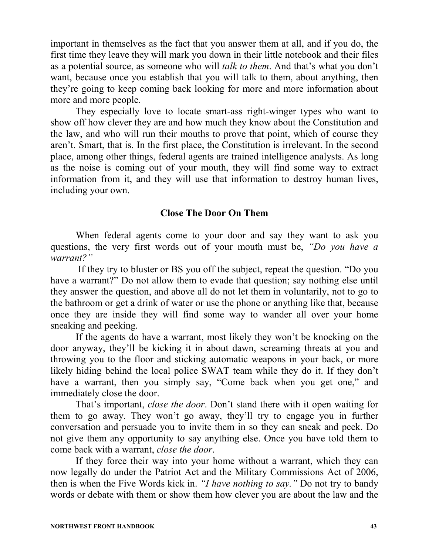important in themselves as the fact that you answer them at all, and if you do, the first time they leave they will mark you down in their little notebook and their files as a potential source, as someone who will *talk to them*. And that's what you don't want, because once you establish that you will talk to them, about anything, then they're going to keep coming back looking for more and more information about more and more people.

They especially love to locate smart-ass right-winger types who want to show off how clever they are and how much they know about the Constitution and the law, and who will run their mouths to prove that point, which of course they aren't. Smart, that is. In the first place, the Constitution is irrelevant. In the second place, among other things, federal agents are trained intelligence analysts. As long as the noise is coming out of your mouth, they will find some way to extract information from it, and they will use that information to destroy human lives, including your own.

#### **Close The Door On Them**

When federal agents come to your door and say they want to ask you questions, the very first words out of your mouth must be, *"Do you have a warrant?"* 

If they try to bluster or BS you off the subject, repeat the question. "Do you have a warrant?" Do not allow them to evade that question; say nothing else until they answer the question, and above all do not let them in voluntarily, not to go to the bathroom or get a drink of water or use the phone or anything like that, because once they are inside they will find some way to wander all over your home sneaking and peeking.

If the agents do have a warrant, most likely they won't be knocking on the door anyway, they'll be kicking it in about dawn, screaming threats at you and throwing you to the floor and sticking automatic weapons in your back, or more likely hiding behind the local police SWAT team while they do it. If they don't have a warrant, then you simply say, "Come back when you get one," and immediately close the door.

That's important, *close the door*. Don't stand there with it open waiting for them to go away. They won't go away, they'll try to engage you in further conversation and persuade you to invite them in so they can sneak and peek. Do not give them any opportunity to say anything else. Once you have told them to come back with a warrant, *close the door*.

If they force their way into your home without a warrant, which they can now legally do under the Patriot Act and the Military Commissions Act of 2006, then is when the Five Words kick in. *"I have nothing to say."* Do not try to bandy words or debate with them or show them how clever you are about the law and the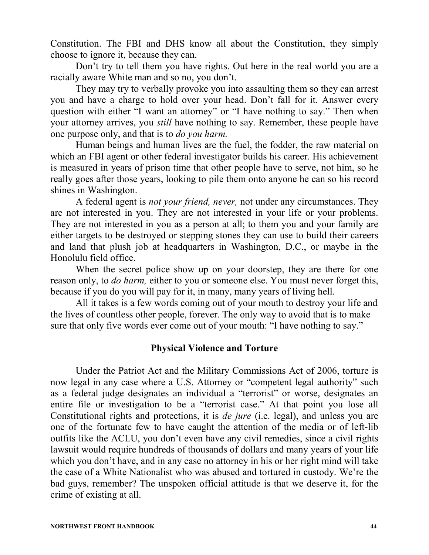Constitution. The FBI and DHS know all about the Constitution, they simply choose to ignore it, because they can.

Don't try to tell them you have rights. Out here in the real world you are a racially aware White man and so no, you don't.

They may try to verbally provoke you into assaulting them so they can arrest you and have a charge to hold over your head. Don't fall for it. Answer every question with either "I want an attorney" or "I have nothing to say." Then when your attorney arrives, you *still* have nothing to say. Remember, these people have one purpose only, and that is to *do you harm.*

Human beings and human lives are the fuel, the fodder, the raw material on which an FBI agent or other federal investigator builds his career. His achievement is measured in years of prison time that other people have to serve, not him, so he really goes after those years, looking to pile them onto anyone he can so his record shines in Washington.

A federal agent is *not your friend, never,* not under any circumstances. They are not interested in you. They are not interested in your life or your problems. They are not interested in you as a person at all; to them you and your family are either targets to be destroyed or stepping stones they can use to build their careers and land that plush job at headquarters in Washington, D.C., or maybe in the Honolulu field office.

When the secret police show up on your doorstep, they are there for one reason only, to *do harm,* either to you or someone else. You must never forget this, because if you do you will pay for it, in many, many years of living hell.

All it takes is a few words coming out of your mouth to destroy your life and the lives of countless other people, forever. The only way to avoid that is to make sure that only five words ever come out of your mouth: "I have nothing to say."

#### **Physical Violence and Torture**

 Under the Patriot Act and the Military Commissions Act of 2006, torture is now legal in any case where a U.S. Attorney or "competent legal authority" such as a federal judge designates an individual a "terrorist" or worse, designates an entire file or investigation to be a "terrorist case." At that point you lose all Constitutional rights and protections, it is *de jure* (i.e. legal), and unless you are one of the fortunate few to have caught the attention of the media or of left-lib outfits like the ACLU, you don't even have any civil remedies, since a civil rights lawsuit would require hundreds of thousands of dollars and many years of your life which you don't have, and in any case no attorney in his or her right mind will take the case of a White Nationalist who was abused and tortured in custody. We're the bad guys, remember? The unspoken official attitude is that we deserve it, for the crime of existing at all.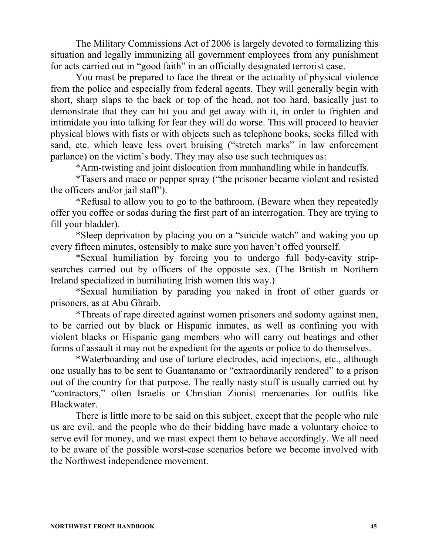The Military Commissions Act of 2006 is largely devoted to formalizing this situation and legally immunizing all government employees from any punishment for acts carried out in "good faith" in an officially designated terrorist case.

You must be prepared to face the threat or the actuality of physical violence from the police and especially from federal agents. They will generally begin with short, sharp slaps to the back or top of the head, not too hard, basically just to demonstrate that they can hit you and get away with it, in order to frighten and intimidate you into talking for fear they will do worse. This will proceed to heavier physical blows with fists or with objects such as telephone books, socks filled with sand, etc. which leave less overt bruising ("stretch marks" in law enforcement parlance) on the victim's body. They may also use such techniques as:

\*Arm-twisting and joint dislocation from manhandling while in handcuffs.

\*Tasers and mace or pepper spray ("the prisoner became violent and resisted the officers and/or jail staff").

\*Refusal to allow you to go to the bathroom. (Beware when they repeatedly offer you coffee or sodas during the first part of an interrogation. They are trying to fill your bladder).

\*Sleep deprivation by placing you on a "suicide watch" and waking you up every fifteen minutes, ostensibly to make sure you haven't offed yourself.

\*Sexual humiliation by forcing you to undergo full body-cavity stripsearches carried out by officers of the opposite sex. (The British in Northern Ireland specialized in humiliating Irish women this way.)

\*Sexual humiliation by parading you naked in front of other guards or prisoners, as at Abu Ghraib.

\*Threats of rape directed against women prisoners and sodomy against men, to be carried out by black or Hispanic inmates, as well as confining you with violent blacks or Hispanic gang members who will carry out beatings and other forms of assault it may not be expedient for the agents or police to do themselves.

\*Waterboarding and use of torture electrodes, acid injections, etc., although one usually has to be sent to Guantanamo or "extraordinarily rendered" to a prison out of the country for that purpose. The really nasty stuff is usually carried out by "contractors," often Israelis or Christian Zionist mercenaries for outfits like Blackwater.

There is little more to be said on this subject, except that the people who rule us are evil, and the people who do their bidding have made a voluntary choice to serve evil for money, and we must expect them to behave accordingly. We all need to be aware of the possible worst-case scenarios before we become involved with the Northwest independence movement.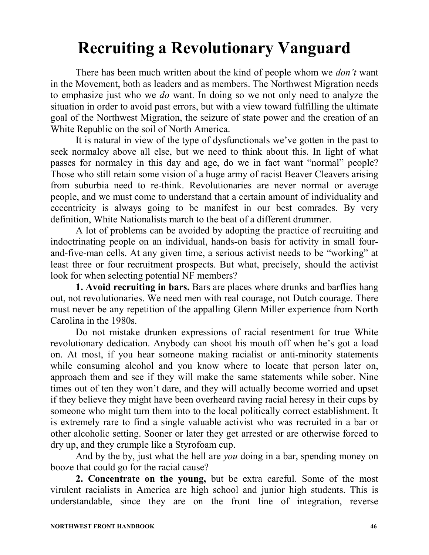# **Recruiting a Revolutionary Vanguard**

 There has been much written about the kind of people whom we *don't* want in the Movement, both as leaders and as members. The Northwest Migration needs to emphasize just who we *do* want. In doing so we not only need to analyze the situation in order to avoid past errors, but with a view toward fulfilling the ultimate goal of the Northwest Migration, the seizure of state power and the creation of an White Republic on the soil of North America.

 It is natural in view of the type of dysfunctionals we've gotten in the past to seek normalcy above all else, but we need to think about this. In light of what passes for normalcy in this day and age, do we in fact want "normal" people? Those who still retain some vision of a huge army of racist Beaver Cleavers arising from suburbia need to re-think. Revolutionaries are never normal or average people, and we must come to understand that a certain amount of individuality and eccentricity is always going to be manifest in our best comrades. By very definition, White Nationalists march to the beat of a different drummer.

 A lot of problems can be avoided by adopting the practice of recruiting and indoctrinating people on an individual, hands-on basis for activity in small fourand-five-man cells. At any given time, a serious activist needs to be "working" at least three or four recruitment prospects. But what, precisely, should the activist look for when selecting potential NF members?

 **1. Avoid recruiting in bars.** Bars are places where drunks and barflies hang out, not revolutionaries. We need men with real courage, not Dutch courage. There must never be any repetition of the appalling Glenn Miller experience from North Carolina in the 1980s.

Do not mistake drunken expressions of racial resentment for true White revolutionary dedication. Anybody can shoot his mouth off when he's got a load on. At most, if you hear someone making racialist or anti-minority statements while consuming alcohol and you know where to locate that person later on, approach them and see if they will make the same statements while sober. Nine times out of ten they won't dare, and they will actually become worried and upset if they believe they might have been overheard raving racial heresy in their cups by someone who might turn them into to the local politically correct establishment. It is extremely rare to find a single valuable activist who was recruited in a bar or other alcoholic setting. Sooner or later they get arrested or are otherwise forced to dry up, and they crumple like a Styrofoam cup.

And by the by, just what the hell are *you* doing in a bar, spending money on booze that could go for the racial cause?

 **2. Concentrate on the young,** but be extra careful. Some of the most virulent racialists in America are high school and junior high students. This is understandable, since they are on the front line of integration, reverse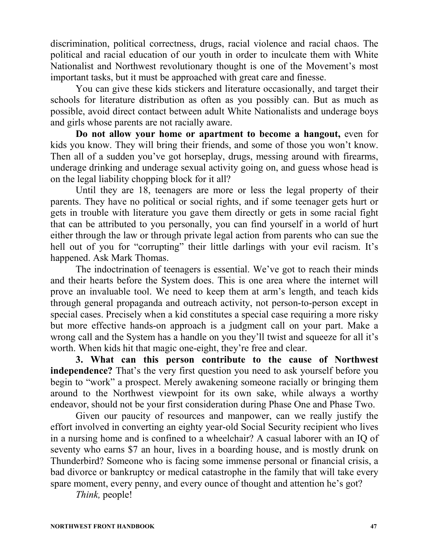discrimination, political correctness, drugs, racial violence and racial chaos. The political and racial education of our youth in order to inculcate them with White Nationalist and Northwest revolutionary thought is one of the Movement's most important tasks, but it must be approached with great care and finesse.

 You can give these kids stickers and literature occasionally, and target their schools for literature distribution as often as you possibly can. But as much as possible, avoid direct contact between adult White Nationalists and underage boys and girls whose parents are not racially aware.

**Do not allow your home or apartment to become a hangout,** even for kids you know. They will bring their friends, and some of those you won't know. Then all of a sudden you've got horseplay, drugs, messing around with firearms, underage drinking and underage sexual activity going on, and guess whose head is on the legal liability chopping block for it all?

 Until they are 18, teenagers are more or less the legal property of their parents. They have no political or social rights, and if some teenager gets hurt or gets in trouble with literature you gave them directly or gets in some racial fight that can be attributed to you personally, you can find yourself in a world of hurt either through the law or through private legal action from parents who can sue the hell out of you for "corrupting" their little darlings with your evil racism. It's happened. Ask Mark Thomas.

 The indoctrination of teenagers is essential. We've got to reach their minds and their hearts before the System does. This is one area where the internet will prove an invaluable tool. We need to keep them at arm's length, and teach kids through general propaganda and outreach activity, not person-to-person except in special cases. Precisely when a kid constitutes a special case requiring a more risky but more effective hands-on approach is a judgment call on your part. Make a wrong call and the System has a handle on you they'll twist and squeeze for all it's worth. When kids hit that magic one-eight, they're free and clear.

 **3. What can this person contribute to the cause of Northwest independence?** That's the very first question you need to ask yourself before you begin to "work" a prospect. Merely awakening someone racially or bringing them around to the Northwest viewpoint for its own sake, while always a worthy endeavor, should not be your first consideration during Phase One and Phase Two.

Given our paucity of resources and manpower, can we really justify the effort involved in converting an eighty year-old Social Security recipient who lives in a nursing home and is confined to a wheelchair? A casual laborer with an IQ of seventy who earns \$7 an hour, lives in a boarding house, and is mostly drunk on Thunderbird? Someone who is facing some immense personal or financial crisis, a bad divorce or bankruptcy or medical catastrophe in the family that will take every spare moment, every penny, and every ounce of thought and attention he's got?

*Think,* people!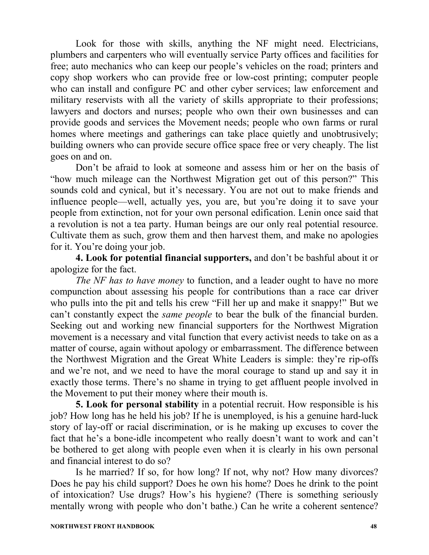Look for those with skills, anything the NF might need. Electricians, plumbers and carpenters who will eventually service Party offices and facilities for free; auto mechanics who can keep our people's vehicles on the road; printers and copy shop workers who can provide free or low-cost printing; computer people who can install and configure PC and other cyber services; law enforcement and military reservists with all the variety of skills appropriate to their professions; lawyers and doctors and nurses; people who own their own businesses and can provide goods and services the Movement needs; people who own farms or rural homes where meetings and gatherings can take place quietly and unobtrusively; building owners who can provide secure office space free or very cheaply. The list goes on and on.

 Don't be afraid to look at someone and assess him or her on the basis of "how much mileage can the Northwest Migration get out of this person?" This sounds cold and cynical, but it's necessary. You are not out to make friends and influence people—well, actually yes, you are, but you're doing it to save your people from extinction, not for your own personal edification. Lenin once said that a revolution is not a tea party. Human beings are our only real potential resource. Cultivate them as such, grow them and then harvest them, and make no apologies for it. You're doing your job.

 **4. Look for potential financial supporters,** and don't be bashful about it or apologize for the fact.

*The NF has to have money* to function, and a leader ought to have no more compunction about assessing his people for contributions than a race car driver who pulls into the pit and tells his crew "Fill her up and make it snappy!" But we can't constantly expect the *same people* to bear the bulk of the financial burden. Seeking out and working new financial supporters for the Northwest Migration movement is a necessary and vital function that every activist needs to take on as a matter of course, again without apology or embarrassment. The difference between the Northwest Migration and the Great White Leaders is simple: they're rip-offs and we're not, and we need to have the moral courage to stand up and say it in exactly those terms. There's no shame in trying to get affluent people involved in the Movement to put their money where their mouth is.

 **5. Look for personal stability** in a potential recruit. How responsible is his job? How long has he held his job? If he is unemployed, is his a genuine hard-luck story of lay-off or racial discrimination, or is he making up excuses to cover the fact that he's a bone-idle incompetent who really doesn't want to work and can't be bothered to get along with people even when it is clearly in his own personal and financial interest to do so?

Is he married? If so, for how long? If not, why not? How many divorces? Does he pay his child support? Does he own his home? Does he drink to the point of intoxication? Use drugs? How's his hygiene? (There is something seriously mentally wrong with people who don't bathe.) Can he write a coherent sentence?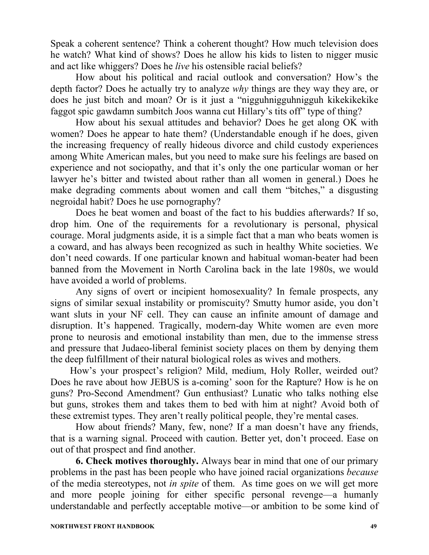Speak a coherent sentence? Think a coherent thought? How much television does he watch? What kind of shows? Does he allow his kids to listen to nigger music and act like whiggers? Does he *live* his ostensible racial beliefs?

 How about his political and racial outlook and conversation? How's the depth factor? Does he actually try to analyze *why* things are they way they are, or does he just bitch and moan? Or is it just a "nigguhnigguhnigguh kikekikekike faggot spic gawdamn sumbitch Joos wanna cut Hillary's tits off" type of thing?

 How about his sexual attitudes and behavior? Does he get along OK with women? Does he appear to hate them? (Understandable enough if he does, given the increasing frequency of really hideous divorce and child custody experiences among White American males, but you need to make sure his feelings are based on experience and not sociopathy, and that it's only the one particular woman or her lawyer he's bitter and twisted about rather than all women in general.) Does he make degrading comments about women and call them "bitches," a disgusting negroidal habit? Does he use pornography?

 Does he beat women and boast of the fact to his buddies afterwards? If so, drop him. One of the requirements for a revolutionary is personal, physical courage. Moral judgments aside, it is a simple fact that a man who beats women is a coward, and has always been recognized as such in healthy White societies. We don't need cowards. If one particular known and habitual woman-beater had been banned from the Movement in North Carolina back in the late 1980s, we would have avoided a world of problems.

 Any signs of overt or incipient homosexuality? In female prospects, any signs of similar sexual instability or promiscuity? Smutty humor aside, you don't want sluts in your NF cell. They can cause an infinite amount of damage and disruption. It's happened. Tragically, modern-day White women are even more prone to neurosis and emotional instability than men, due to the immense stress and pressure that Judaeo-liberal feminist society places on them by denying them the deep fulfillment of their natural biological roles as wives and mothers.

 How's your prospect's religion? Mild, medium, Holy Roller, weirded out? Does he rave about how JEBUS is a-coming' soon for the Rapture? How is he on guns? Pro-Second Amendment? Gun enthusiast? Lunatic who talks nothing else but guns, strokes them and takes them to bed with him at night? Avoid both of these extremist types. They aren't really political people, they're mental cases.

 How about friends? Many, few, none? If a man doesn't have any friends, that is a warning signal. Proceed with caution. Better yet, don't proceed. Ease on out of that prospect and find another.

 **6. Check motives thoroughly.** Always bear in mind that one of our primary problems in the past has been people who have joined racial organizations *because* of the media stereotypes, not *in spite* of them. As time goes on we will get more and more people joining for either specific personal revenge—a humanly understandable and perfectly acceptable motive—or ambition to be some kind of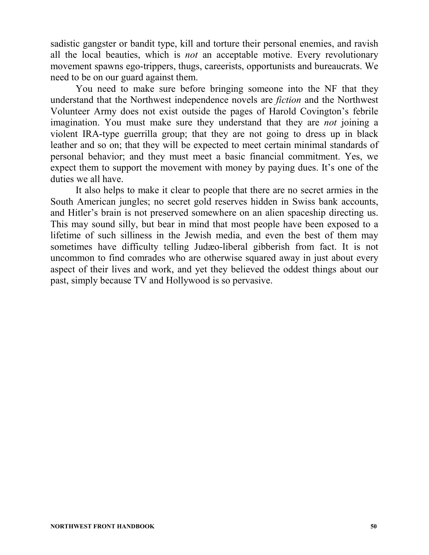sadistic gangster or bandit type, kill and torture their personal enemies, and ravish all the local beauties, which is *not* an acceptable motive. Every revolutionary movement spawns ego-trippers, thugs, careerists, opportunists and bureaucrats. We need to be on our guard against them.

 You need to make sure before bringing someone into the NF that they understand that the Northwest independence novels are *fiction* and the Northwest Volunteer Army does not exist outside the pages of Harold Covington's febrile imagination. You must make sure they understand that they are *not* joining a violent IRA-type guerrilla group; that they are not going to dress up in black leather and so on; that they will be expected to meet certain minimal standards of personal behavior; and they must meet a basic financial commitment. Yes, we expect them to support the movement with money by paying dues. It's one of the duties we all have.

 It also helps to make it clear to people that there are no secret armies in the South American jungles; no secret gold reserves hidden in Swiss bank accounts, and Hitler's brain is not preserved somewhere on an alien spaceship directing us. This may sound silly, but bear in mind that most people have been exposed to a lifetime of such silliness in the Jewish media, and even the best of them may sometimes have difficulty telling Judæo-liberal gibberish from fact. It is not uncommon to find comrades who are otherwise squared away in just about every aspect of their lives and work, and yet they believed the oddest things about our past, simply because TV and Hollywood is so pervasive.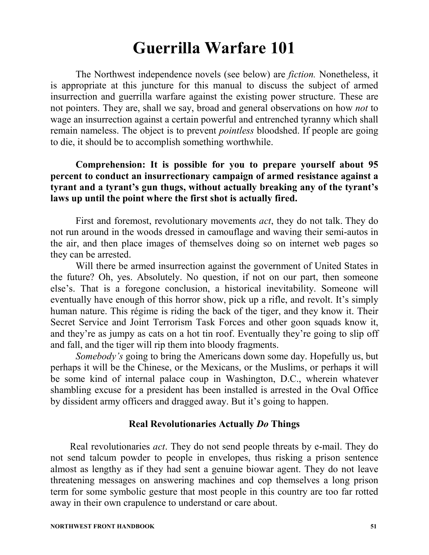## **Guerrilla Warfare 101**

The Northwest independence novels (see below) are *fiction.* Nonetheless, it is appropriate at this juncture for this manual to discuss the subject of armed insurrection and guerrilla warfare against the existing power structure. These are not pointers. They are, shall we say, broad and general observations on how *not* to wage an insurrection against a certain powerful and entrenched tyranny which shall remain nameless. The object is to prevent *pointless* bloodshed. If people are going to die, it should be to accomplish something worthwhile.

#### **Comprehension: It is possible for you to prepare yourself about 95 percent to conduct an insurrectionary campaign of armed resistance against a tyrant and a tyrant's gun thugs, without actually breaking any of the tyrant's laws up until the point where the first shot is actually fired.**

 First and foremost, revolutionary movements *act*, they do not talk. They do not run around in the woods dressed in camouflage and waving their semi-autos in the air, and then place images of themselves doing so on internet web pages so they can be arrested.

 Will there be armed insurrection against the government of United States in the future? Oh, yes. Absolutely. No question, if not on our part, then someone else's. That is a foregone conclusion, a historical inevitability. Someone will eventually have enough of this horror show, pick up a rifle, and revolt. It's simply human nature. This régime is riding the back of the tiger, and they know it. Their Secret Service and Joint Terrorism Task Forces and other goon squads know it, and they're as jumpy as cats on a hot tin roof. Eventually they're going to slip off and fall, and the tiger will rip them into bloody fragments.

*Somebody's* going to bring the Americans down some day. Hopefully us, but perhaps it will be the Chinese, or the Mexicans, or the Muslims, or perhaps it will be some kind of internal palace coup in Washington, D.C., wherein whatever shambling excuse for a president has been installed is arrested in the Oval Office by dissident army officers and dragged away. But it's going to happen.

#### **Real Revolutionaries Actually** *Do* **Things**

 Real revolutionaries *act*. They do not send people threats by e-mail. They do not send talcum powder to people in envelopes, thus risking a prison sentence almost as lengthy as if they had sent a genuine biowar agent. They do not leave threatening messages on answering machines and cop themselves a long prison term for some symbolic gesture that most people in this country are too far rotted away in their own crapulence to understand or care about.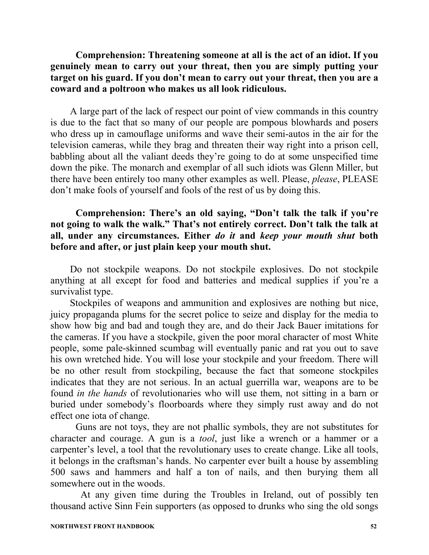**Comprehension: Threatening someone at all is the act of an idiot. If you genuinely mean to carry out your threat, then you are simply putting your target on his guard. If you don't mean to carry out your threat, then you are a coward and a poltroon who makes us all look ridiculous.** 

 A large part of the lack of respect our point of view commands in this country is due to the fact that so many of our people are pompous blowhards and posers who dress up in camouflage uniforms and wave their semi-autos in the air for the television cameras, while they brag and threaten their way right into a prison cell, babbling about all the valiant deeds they're going to do at some unspecified time down the pike. The monarch and exemplar of all such idiots was Glenn Miller, but there have been entirely too many other examples as well. Please, *please*, PLEASE don't make fools of yourself and fools of the rest of us by doing this.

#### **Comprehension: There's an old saying, "Don't talk the talk if you're not going to walk the walk." That's not entirely correct. Don't talk the talk at all, under any circumstances. Either** *do it* **and** *keep your mouth shut* **both before and after, or just plain keep your mouth shut.**

 Do not stockpile weapons. Do not stockpile explosives. Do not stockpile anything at all except for food and batteries and medical supplies if you're a survivalist type.

 Stockpiles of weapons and ammunition and explosives are nothing but nice, juicy propaganda plums for the secret police to seize and display for the media to show how big and bad and tough they are, and do their Jack Bauer imitations for the cameras. If you have a stockpile, given the poor moral character of most White people, some pale-skinned scumbag will eventually panic and rat you out to save his own wretched hide. You will lose your stockpile and your freedom. There will be no other result from stockpiling, because the fact that someone stockpiles indicates that they are not serious. In an actual guerrilla war, weapons are to be found *in the hands* of revolutionaries who will use them, not sitting in a barn or buried under somebody's floorboards where they simply rust away and do not effect one iota of change.

 Guns are not toys, they are not phallic symbols, they are not substitutes for character and courage. A gun is a *tool*, just like a wrench or a hammer or a carpenter's level, a tool that the revolutionary uses to create change. Like all tools, it belongs in the craftsman's hands. No carpenter ever built a house by assembling 500 saws and hammers and half a ton of nails, and then burying them all somewhere out in the woods.

 At any given time during the Troubles in Ireland, out of possibly ten thousand active Sinn Fein supporters (as opposed to drunks who sing the old songs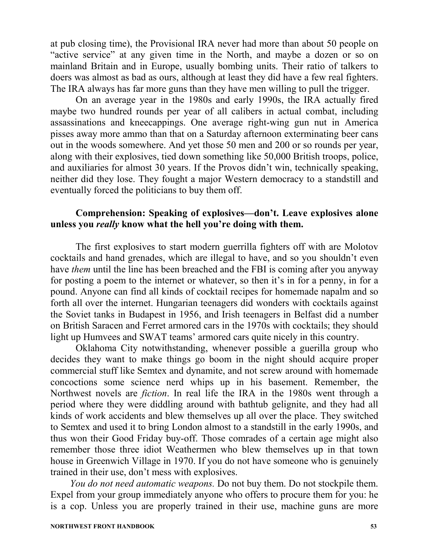at pub closing time), the Provisional IRA never had more than about 50 people on "active service" at any given time in the North, and maybe a dozen or so on mainland Britain and in Europe, usually bombing units. Their ratio of talkers to doers was almost as bad as ours, although at least they did have a few real fighters. The IRA always has far more guns than they have men willing to pull the trigger.

On an average year in the 1980s and early 1990s, the IRA actually fired maybe two hundred rounds per year of all calibers in actual combat, including assassinations and kneecappings. One average right-wing gun nut in America pisses away more ammo than that on a Saturday afternoon exterminating beer cans out in the woods somewhere. And yet those 50 men and 200 or so rounds per year, along with their explosives, tied down something like 50,000 British troops, police, and auxiliaries for almost 30 years. If the Provos didn't win, technically speaking, neither did they lose. They fought a major Western democracy to a standstill and eventually forced the politicians to buy them off.

#### **Comprehension: Speaking of explosives—don't. Leave explosives alone unless you** *really* **know what the hell you're doing with them.**

The first explosives to start modern guerrilla fighters off with are Molotov cocktails and hand grenades, which are illegal to have, and so you shouldn't even have *them* until the line has been breached and the FBI is coming after you anyway for posting a poem to the internet or whatever, so then it's in for a penny, in for a pound. Anyone can find all kinds of cocktail recipes for homemade napalm and so forth all over the internet. Hungarian teenagers did wonders with cocktails against the Soviet tanks in Budapest in 1956, and Irish teenagers in Belfast did a number on British Saracen and Ferret armored cars in the 1970s with cocktails; they should light up Humvees and SWAT teams' armored cars quite nicely in this country.

Oklahoma City notwithstanding, whenever possible a guerilla group who decides they want to make things go boom in the night should acquire proper commercial stuff like Semtex and dynamite, and not screw around with homemade concoctions some science nerd whips up in his basement. Remember, the Northwest novels are *fiction*. In real life the IRA in the 1980s went through a period where they were diddling around with bathtub gelignite, and they had all kinds of work accidents and blew themselves up all over the place. They switched to Semtex and used it to bring London almost to a standstill in the early 1990s, and thus won their Good Friday buy-off. Those comrades of a certain age might also remember those three idiot Weathermen who blew themselves up in that town house in Greenwich Village in 1970. If you do not have someone who is genuinely trained in their use, don't mess with explosives.

 *You do not need automatic weapons.* Do not buy them. Do not stockpile them. Expel from your group immediately anyone who offers to procure them for you: he is a cop. Unless you are properly trained in their use, machine guns are more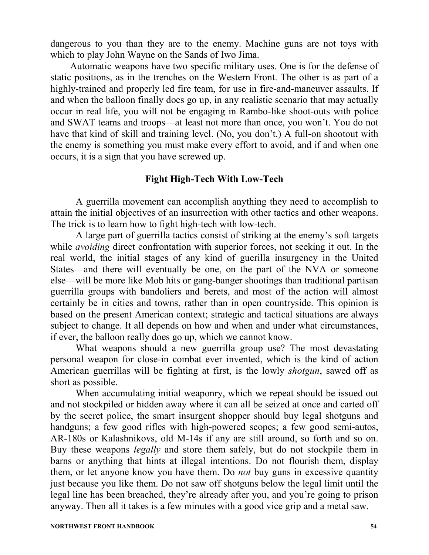dangerous to you than they are to the enemy. Machine guns are not toys with which to play John Wayne on the Sands of Iwo Jima.

 Automatic weapons have two specific military uses. One is for the defense of static positions, as in the trenches on the Western Front. The other is as part of a highly-trained and properly led fire team, for use in fire-and-maneuver assaults. If and when the balloon finally does go up, in any realistic scenario that may actually occur in real life, you will not be engaging in Rambo-like shoot-outs with police and SWAT teams and troops—at least not more than once, you won't. You do not have that kind of skill and training level. (No, you don't.) A full-on shootout with the enemy is something you must make every effort to avoid, and if and when one occurs, it is a sign that you have screwed up.

#### **Fight High-Tech With Low-Tech**

A guerrilla movement can accomplish anything they need to accomplish to attain the initial objectives of an insurrection with other tactics and other weapons. The trick is to learn how to fight high-tech with low-tech.

A large part of guerrilla tactics consist of striking at the enemy's soft targets while *avoiding* direct confrontation with superior forces, not seeking it out. In the real world, the initial stages of any kind of guerilla insurgency in the United States—and there will eventually be one, on the part of the NVA or someone else—will be more like Mob hits or gang-banger shootings than traditional partisan guerrilla groups with bandoliers and berets, and most of the action will almost certainly be in cities and towns, rather than in open countryside. This opinion is based on the present American context; strategic and tactical situations are always subject to change. It all depends on how and when and under what circumstances, if ever, the balloon really does go up, which we cannot know.

 What weapons should a new guerrilla group use? The most devastating personal weapon for close-in combat ever invented, which is the kind of action American guerrillas will be fighting at first, is the lowly *shotgun*, sawed off as short as possible.

When accumulating initial weaponry, which we repeat should be issued out and not stockpiled or hidden away where it can all be seized at once and carted off by the secret police, the smart insurgent shopper should buy legal shotguns and handguns; a few good rifles with high-powered scopes; a few good semi-autos, AR-180s or Kalashnikovs, old M-14s if any are still around, so forth and so on. Buy these weapons *legally* and store them safely, but do not stockpile them in barns or anything that hints at illegal intentions. Do not flourish them, display them, or let anyone know you have them. Do *not* buy guns in excessive quantity just because you like them. Do not saw off shotguns below the legal limit until the legal line has been breached, they're already after you, and you're going to prison anyway. Then all it takes is a few minutes with a good vice grip and a metal saw.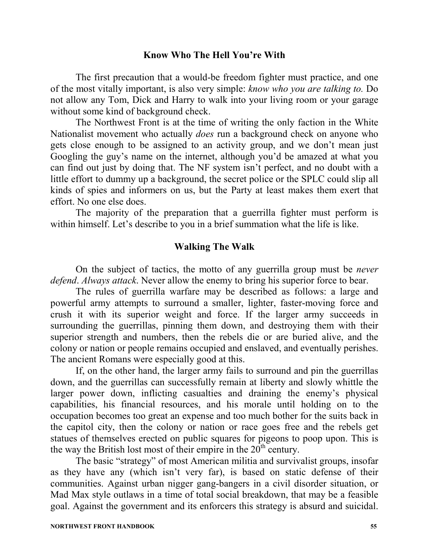#### **Know Who The Hell You're With**

The first precaution that a would-be freedom fighter must practice, and one of the most vitally important, is also very simple: *know who you are talking to.* Do not allow any Tom, Dick and Harry to walk into your living room or your garage without some kind of background check.

The Northwest Front is at the time of writing the only faction in the White Nationalist movement who actually *does* run a background check on anyone who gets close enough to be assigned to an activity group, and we don't mean just Googling the guy's name on the internet, although you'd be amazed at what you can find out just by doing that. The NF system isn't perfect, and no doubt with a little effort to dummy up a background, the secret police or the SPLC could slip all kinds of spies and informers on us, but the Party at least makes them exert that effort. No one else does.

The majority of the preparation that a guerrilla fighter must perform is within himself. Let's describe to you in a brief summation what the life is like.

#### **Walking The Walk**

 On the subject of tactics, the motto of any guerrilla group must be *never defend*. *Always attack*. Never allow the enemy to bring his superior force to bear.

The rules of guerrilla warfare may be described as follows: a large and powerful army attempts to surround a smaller, lighter, faster-moving force and crush it with its superior weight and force. If the larger army succeeds in surrounding the guerrillas, pinning them down, and destroying them with their superior strength and numbers, then the rebels die or are buried alive, and the colony or nation or people remains occupied and enslaved, and eventually perishes. The ancient Romans were especially good at this.

If, on the other hand, the larger army fails to surround and pin the guerrillas down, and the guerrillas can successfully remain at liberty and slowly whittle the larger power down, inflicting casualties and draining the enemy's physical capabilities, his financial resources, and his morale until holding on to the occupation becomes too great an expense and too much bother for the suits back in the capitol city, then the colony or nation or race goes free and the rebels get statues of themselves erected on public squares for pigeons to poop upon. This is the way the British lost most of their empire in the  $20<sup>th</sup>$  century.

The basic "strategy" of most American militia and survivalist groups, insofar as they have any (which isn't very far), is based on static defense of their communities. Against urban nigger gang-bangers in a civil disorder situation, or Mad Max style outlaws in a time of total social breakdown, that may be a feasible goal. Against the government and its enforcers this strategy is absurd and suicidal.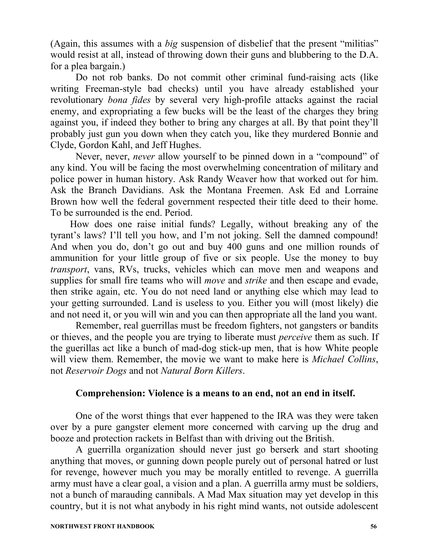(Again, this assumes with a *big* suspension of disbelief that the present "militias" would resist at all, instead of throwing down their guns and blubbering to the D.A. for a plea bargain.)

Do not rob banks. Do not commit other criminal fund-raising acts (like writing Freeman-style bad checks) until you have already established your revolutionary *bona fides* by several very high-profile attacks against the racial enemy, and expropriating a few bucks will be the least of the charges they bring against you, if indeed they bother to bring any charges at all. By that point they'll probably just gun you down when they catch you, like they murdered Bonnie and Clyde, Gordon Kahl, and Jeff Hughes.

Never, never, *never* allow yourself to be pinned down in a "compound" of any kind. You will be facing the most overwhelming concentration of military and police power in human history. Ask Randy Weaver how that worked out for him. Ask the Branch Davidians. Ask the Montana Freemen. Ask Ed and Lorraine Brown how well the federal government respected their title deed to their home. To be surrounded is the end. Period.

 How does one raise initial funds? Legally, without breaking any of the tyrant's laws? I'll tell you how, and I'm not joking. Sell the damned compound! And when you do, don't go out and buy 400 guns and one million rounds of ammunition for your little group of five or six people. Use the money to buy *transport*, vans, RVs, trucks, vehicles which can move men and weapons and supplies for small fire teams who will *move* and *strike* and then escape and evade, then strike again, etc. You do not need land or anything else which may lead to your getting surrounded. Land is useless to you. Either you will (most likely) die and not need it, or you will win and you can then appropriate all the land you want.

Remember, real guerrillas must be freedom fighters, not gangsters or bandits or thieves, and the people you are trying to liberate must *perceive* them as such. If the guerillas act like a bunch of mad-dog stick-up men, that is how White people will view them. Remember, the movie we want to make here is *Michael Collins*, not *Reservoir Dogs* and not *Natural Born Killers*.

#### **Comprehension: Violence is a means to an end, not an end in itself.**

One of the worst things that ever happened to the IRA was they were taken over by a pure gangster element more concerned with carving up the drug and booze and protection rackets in Belfast than with driving out the British.

 A guerrilla organization should never just go berserk and start shooting anything that moves, or gunning down people purely out of personal hatred or lust for revenge, however much you may be morally entitled to revenge. A guerrilla army must have a clear goal, a vision and a plan. A guerrilla army must be soldiers, not a bunch of marauding cannibals. A Mad Max situation may yet develop in this country, but it is not what anybody in his right mind wants, not outside adolescent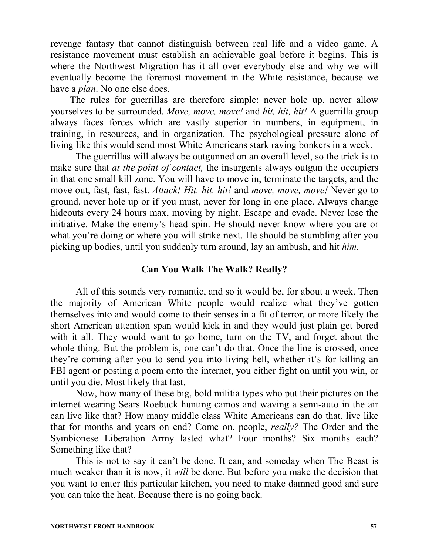revenge fantasy that cannot distinguish between real life and a video game. A resistance movement must establish an achievable goal before it begins. This is where the Northwest Migration has it all over everybody else and why we will eventually become the foremost movement in the White resistance, because we have a *plan*. No one else does.

 The rules for guerrillas are therefore simple: never hole up, never allow yourselves to be surrounded. *Move, move, move!* and *hit, hit, hit!* A guerrilla group always faces forces which are vastly superior in numbers, in equipment, in training, in resources, and in organization. The psychological pressure alone of living like this would send most White Americans stark raving bonkers in a week.

The guerrillas will always be outgunned on an overall level, so the trick is to make sure that *at the point of contact*, the insurgents always outgun the occupiers in that one small kill zone. You will have to move in, terminate the targets, and the move out, fast, fast, fast. *Attack! Hit, hit, hit!* and *move, move, move!* Never go to ground, never hole up or if you must, never for long in one place. Always change hideouts every 24 hours max, moving by night. Escape and evade. Never lose the initiative. Make the enemy's head spin. He should never know where you are or what you're doing or where you will strike next. He should be stumbling after you picking up bodies, until you suddenly turn around, lay an ambush, and hit *him.* 

#### **Can You Walk The Walk? Really?**

All of this sounds very romantic, and so it would be, for about a week. Then the majority of American White people would realize what they've gotten themselves into and would come to their senses in a fit of terror, or more likely the short American attention span would kick in and they would just plain get bored with it all. They would want to go home, turn on the TV, and forget about the whole thing. But the problem is, one can't do that. Once the line is crossed, once they're coming after you to send you into living hell, whether it's for killing an FBI agent or posting a poem onto the internet, you either fight on until you win, or until you die. Most likely that last.

Now, how many of these big, bold militia types who put their pictures on the internet wearing Sears Roebuck hunting camos and waving a semi-auto in the air can live like that? How many middle class White Americans can do that, live like that for months and years on end? Come on, people, *really?* The Order and the Symbionese Liberation Army lasted what? Four months? Six months each? Something like that?

This is not to say it can't be done. It can, and someday when The Beast is much weaker than it is now, it *will* be done. But before you make the decision that you want to enter this particular kitchen, you need to make damned good and sure you can take the heat. Because there is no going back.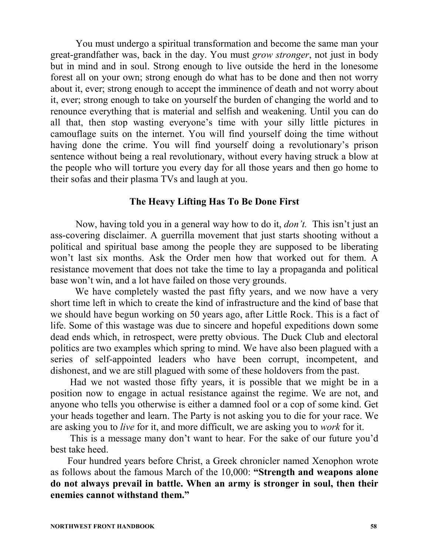You must undergo a spiritual transformation and become the same man your great-grandfather was, back in the day. You must *grow stronger*, not just in body but in mind and in soul. Strong enough to live outside the herd in the lonesome forest all on your own; strong enough do what has to be done and then not worry about it, ever; strong enough to accept the imminence of death and not worry about it, ever; strong enough to take on yourself the burden of changing the world and to renounce everything that is material and selfish and weakening. Until you can do all that, then stop wasting everyone's time with your silly little pictures in camouflage suits on the internet. You will find yourself doing the time without having done the crime. You will find yourself doing a revolutionary's prison sentence without being a real revolutionary, without every having struck a blow at the people who will torture you every day for all those years and then go home to their sofas and their plasma TVs and laugh at you.

#### **The Heavy Lifting Has To Be Done First**

 Now, having told you in a general way how to do it, *don't.* This isn't just an ass-covering disclaimer. A guerrilla movement that just starts shooting without a political and spiritual base among the people they are supposed to be liberating won't last six months. Ask the Order men how that worked out for them. A resistance movement that does not take the time to lay a propaganda and political base won't win, and a lot have failed on those very grounds.

 We have completely wasted the past fifty years, and we now have a very short time left in which to create the kind of infrastructure and the kind of base that we should have begun working on 50 years ago, after Little Rock. This is a fact of life. Some of this wastage was due to sincere and hopeful expeditions down some dead ends which, in retrospect, were pretty obvious. The Duck Club and electoral politics are two examples which spring to mind. We have also been plagued with a series of self-appointed leaders who have been corrupt, incompetent, and dishonest, and we are still plagued with some of these holdovers from the past.

 Had we not wasted those fifty years, it is possible that we might be in a position now to engage in actual resistance against the regime. We are not, and anyone who tells you otherwise is either a damned fool or a cop of some kind. Get your heads together and learn. The Party is not asking you to die for your race. We are asking you to *live* for it, and more difficult, we are asking you to *work* for it.

 This is a message many don't want to hear. For the sake of our future you'd best take heed.

 Four hundred years before Christ, a Greek chronicler named Xenophon wrote as follows about the famous March of the 10,000: **"Strength and weapons alone do not always prevail in battle. When an army is stronger in soul, then their enemies cannot withstand them."**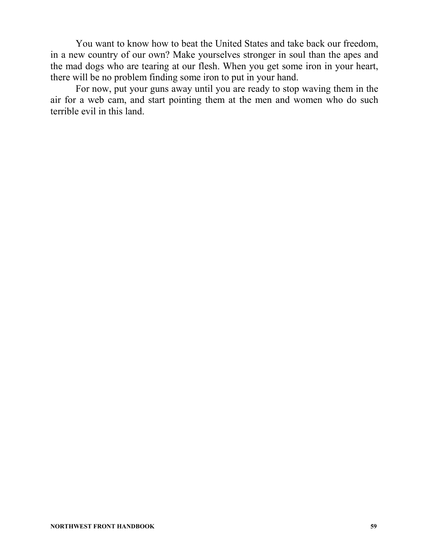You want to know how to beat the United States and take back our freedom, in a new country of our own? Make yourselves stronger in soul than the apes and the mad dogs who are tearing at our flesh. When you get some iron in your heart, there will be no problem finding some iron to put in your hand.

For now, put your guns away until you are ready to stop waving them in the air for a web cam, and start pointing them at the men and women who do such terrible evil in this land.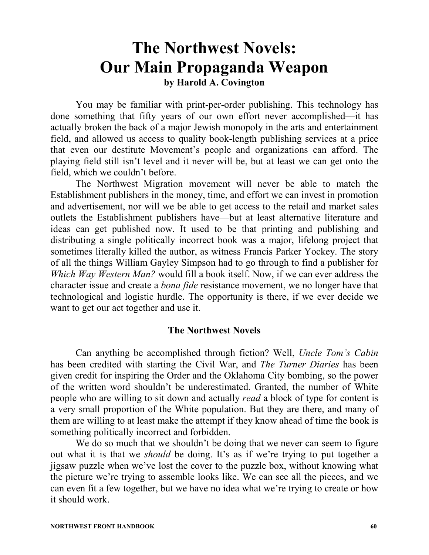### **The Northwest Novels: Our Main Propaganda Weapon by Harold A. Covington**

 You may be familiar with print-per-order publishing. This technology has done something that fifty years of our own effort never accomplished—it has actually broken the back of a major Jewish monopoly in the arts and entertainment field, and allowed us access to quality book-length publishing services at a price that even our destitute Movement's people and organizations can afford. The playing field still isn't level and it never will be, but at least we can get onto the field, which we couldn't before.

 The Northwest Migration movement will never be able to match the Establishment publishers in the money, time, and effort we can invest in promotion and advertisement, nor will we be able to get access to the retail and market sales outlets the Establishment publishers have—but at least alternative literature and ideas can get published now. It used to be that printing and publishing and distributing a single politically incorrect book was a major, lifelong project that sometimes literally killed the author, as witness Francis Parker Yockey. The story of all the things William Gayley Simpson had to go through to find a publisher for *Which Way Western Man?* would fill a book itself. Now, if we can ever address the character issue and create a *bona fide* resistance movement, we no longer have that technological and logistic hurdle. The opportunity is there, if we ever decide we want to get our act together and use it.

#### **The Northwest Novels**

 Can anything be accomplished through fiction? Well, *Uncle Tom's Cabin*  has been credited with starting the Civil War, and *The Turner Diaries* has been given credit for inspiring the Order and the Oklahoma City bombing, so the power of the written word shouldn't be underestimated. Granted, the number of White people who are willing to sit down and actually *read* a block of type for content is a very small proportion of the White population. But they are there, and many of them are willing to at least make the attempt if they know ahead of time the book is something politically incorrect and forbidden.

We do so much that we shouldn't be doing that we never can seem to figure out what it is that we *should* be doing. It's as if we're trying to put together a jigsaw puzzle when we've lost the cover to the puzzle box, without knowing what the picture we're trying to assemble looks like. We can see all the pieces, and we can even fit a few together, but we have no idea what we're trying to create or how it should work.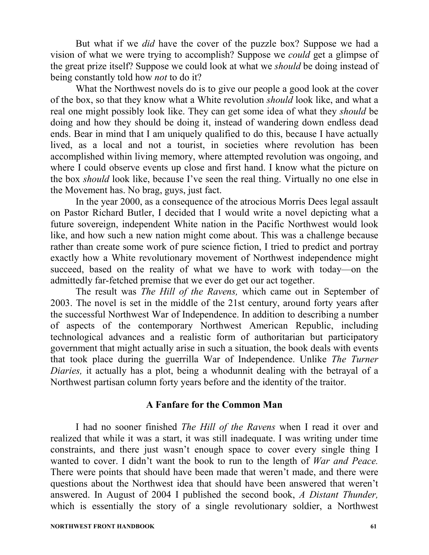But what if we *did* have the cover of the puzzle box? Suppose we had a vision of what we were trying to accomplish? Suppose we *could* get a glimpse of the great prize itself? Suppose we could look at what we *should* be doing instead of being constantly told how *not* to do it?

 What the Northwest novels do is to give our people a good look at the cover of the box, so that they know what a White revolution *should* look like, and what a real one might possibly look like. They can get some idea of what they *should* be doing and how they should be doing it, instead of wandering down endless dead ends. Bear in mind that I am uniquely qualified to do this, because I have actually lived, as a local and not a tourist, in societies where revolution has been accomplished within living memory, where attempted revolution was ongoing, and where I could observe events up close and first hand. I know what the picture on the box *should* look like, because I've seen the real thing. Virtually no one else in the Movement has. No brag, guys, just fact.

 In the year 2000, as a consequence of the atrocious Morris Dees legal assault on Pastor Richard Butler, I decided that I would write a novel depicting what a future sovereign, independent White nation in the Pacific Northwest would look like, and how such a new nation might come about. This was a challenge because rather than create some work of pure science fiction, I tried to predict and portray exactly how a White revolutionary movement of Northwest independence might succeed, based on the reality of what we have to work with today—on the admittedly far-fetched premise that we ever do get our act together.

 The result was *The Hill of the Ravens,* which came out in September of 2003. The novel is set in the middle of the 21st century, around forty years after the successful Northwest War of Independence. In addition to describing a number of aspects of the contemporary Northwest American Republic, including technological advances and a realistic form of authoritarian but participatory government that might actually arise in such a situation, the book deals with events that took place during the guerrilla War of Independence. Unlike *The Turner Diaries,* it actually has a plot, being a whodunnit dealing with the betrayal of a Northwest partisan column forty years before and the identity of the traitor.

#### **A Fanfare for the Common Man**

 I had no sooner finished *The Hill of the Ravens* when I read it over and realized that while it was a start, it was still inadequate. I was writing under time constraints, and there just wasn't enough space to cover every single thing I wanted to cover. I didn't want the book to run to the length of *War and Peace.*  There were points that should have been made that weren't made, and there were questions about the Northwest idea that should have been answered that weren't answered. In August of 2004 I published the second book, *A Distant Thunder,*  which is essentially the story of a single revolutionary soldier, a Northwest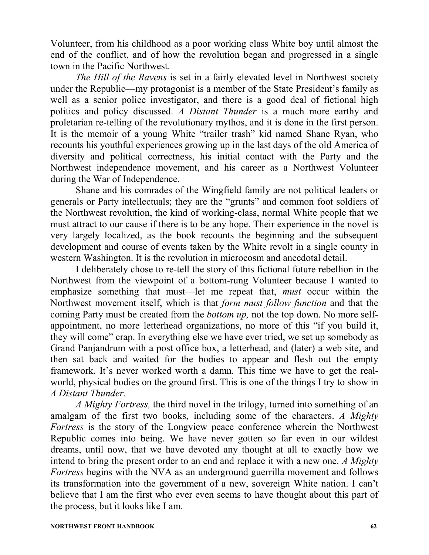Volunteer, from his childhood as a poor working class White boy until almost the end of the conflict, and of how the revolution began and progressed in a single town in the Pacific Northwest.

 *The Hill of the Ravens* is set in a fairly elevated level in Northwest society under the Republic—my protagonist is a member of the State President's family as well as a senior police investigator, and there is a good deal of fictional high politics and policy discussed. *A Distant Thunder* is a much more earthy and proletarian re-telling of the revolutionary mythos, and it is done in the first person. It is the memoir of a young White "trailer trash" kid named Shane Ryan, who recounts his youthful experiences growing up in the last days of the old America of diversity and political correctness, his initial contact with the Party and the Northwest independence movement, and his career as a Northwest Volunteer during the War of Independence.

 Shane and his comrades of the Wingfield family are not political leaders or generals or Party intellectuals; they are the "grunts" and common foot soldiers of the Northwest revolution, the kind of working-class, normal White people that we must attract to our cause if there is to be any hope. Their experience in the novel is very largely localized, as the book recounts the beginning and the subsequent development and course of events taken by the White revolt in a single county in western Washington. It is the revolution in microcosm and anecdotal detail.

 I deliberately chose to re-tell the story of this fictional future rebellion in the Northwest from the viewpoint of a bottom-rung Volunteer because I wanted to emphasize something that must—let me repeat that, *must* occur within the Northwest movement itself, which is that *form must follow function* and that the coming Party must be created from the *bottom up,* not the top down. No more selfappointment, no more letterhead organizations, no more of this "if you build it, they will come" crap. In everything else we have ever tried, we set up somebody as Grand Panjandrum with a post office box, a letterhead, and (later) a web site, and then sat back and waited for the bodies to appear and flesh out the empty framework. It's never worked worth a damn. This time we have to get the realworld, physical bodies on the ground first. This is one of the things I try to show in *A Distant Thunder.*

 *A Mighty Fortress,* the third novel in the trilogy, turned into something of an amalgam of the first two books, including some of the characters. *A Mighty Fortress* is the story of the Longview peace conference wherein the Northwest Republic comes into being. We have never gotten so far even in our wildest dreams, until now, that we have devoted any thought at all to exactly how we intend to bring the present order to an end and replace it with a new one. *A Mighty Fortress* begins with the NVA as an underground guerrilla movement and follows its transformation into the government of a new, sovereign White nation. I can't believe that I am the first who ever even seems to have thought about this part of the process, but it looks like I am.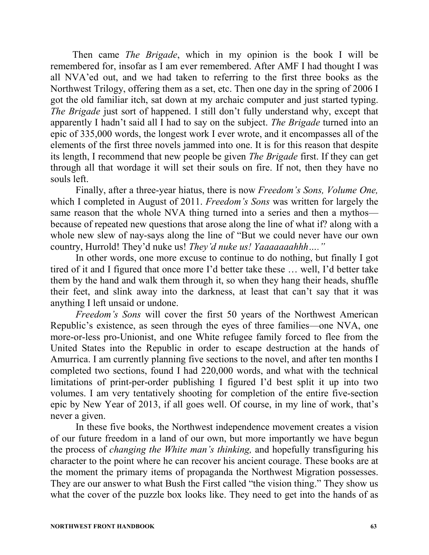Then came *The Brigade*, which in my opinion is the book I will be remembered for, insofar as I am ever remembered. After AMF I had thought I was all NVA'ed out, and we had taken to referring to the first three books as the Northwest Trilogy, offering them as a set, etc. Then one day in the spring of 2006 I got the old familiar itch, sat down at my archaic computer and just started typing. *The Brigade* just sort of happened. I still don't fully understand why, except that apparently I hadn't said all I had to say on the subject. *The Brigade* turned into an epic of 335,000 words, the longest work I ever wrote, and it encompasses all of the elements of the first three novels jammed into one. It is for this reason that despite its length, I recommend that new people be given *The Brigade* first. If they can get through all that wordage it will set their souls on fire. If not, then they have no souls left.

 Finally, after a three-year hiatus, there is now *Freedom's Sons, Volume One,* which I completed in August of 2011. *Freedom's Sons* was written for largely the same reason that the whole NVA thing turned into a series and then a mythos because of repeated new questions that arose along the line of what if? along with a whole new slew of nay-says along the line of "But we could never have our own country, Hurrold! They'd nuke us! *They'd nuke us! Yaaaaaaahhh…."* 

In other words, one more excuse to continue to do nothing, but finally I got tired of it and I figured that once more I'd better take these … well, I'd better take them by the hand and walk them through it, so when they hang their heads, shuffle their feet, and slink away into the darkness, at least that can't say that it was anything I left unsaid or undone.

*Freedom's Sons* will cover the first 50 years of the Northwest American Republic's existence, as seen through the eyes of three families—one NVA, one more-or-less pro-Unionist, and one White refugee family forced to flee from the United States into the Republic in order to escape destruction at the hands of Amurrica. I am currently planning five sections to the novel, and after ten months I completed two sections, found I had 220,000 words, and what with the technical limitations of print-per-order publishing I figured I'd best split it up into two volumes. I am very tentatively shooting for completion of the entire five-section epic by New Year of 2013, if all goes well. Of course, in my line of work, that's never a given.

 In these five books, the Northwest independence movement creates a vision of our future freedom in a land of our own, but more importantly we have begun the process of *changing the White man's thinking,* and hopefully transfiguring his character to the point where he can recover his ancient courage. These books are at the moment the primary items of propaganda the Northwest Migration possesses. They are our answer to what Bush the First called "the vision thing." They show us what the cover of the puzzle box looks like. They need to get into the hands of as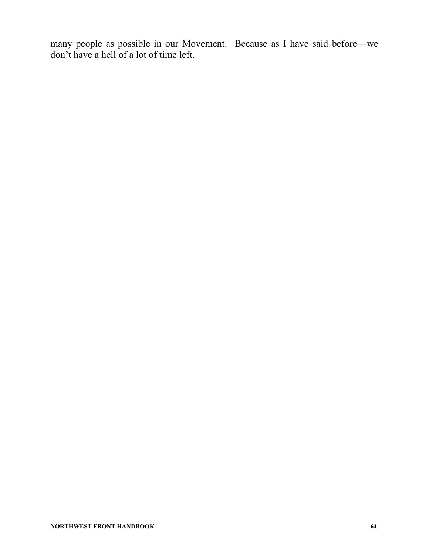many people as possible in our Movement. Because as I have said before—we don't have a hell of a lot of time left.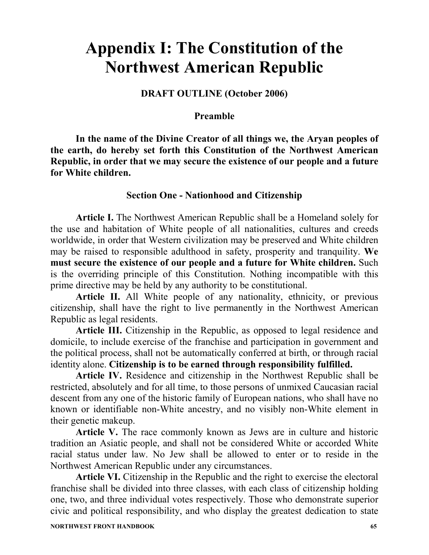# **Appendix I: The Constitution of the Northwest American Republic**

**DRAFT OUTLINE (October 2006)** 

#### **Preamble**

**In the name of the Divine Creator of all things we, the Aryan peoples of the earth, do hereby set forth this Constitution of the Northwest American Republic, in order that we may secure the existence of our people and a future for White children.** 

#### **Section One - Nationhood and Citizenship**

**Article I.** The Northwest American Republic shall be a Homeland solely for the use and habitation of White people of all nationalities, cultures and creeds worldwide, in order that Western civilization may be preserved and White children may be raised to responsible adulthood in safety, prosperity and tranquility. **We must secure the existence of our people and a future for White children.** Such is the overriding principle of this Constitution. Nothing incompatible with this prime directive may be held by any authority to be constitutional.

**Article II.** All White people of any nationality, ethnicity, or previous citizenship, shall have the right to live permanently in the Northwest American Republic as legal residents.

**Article III.** Citizenship in the Republic, as opposed to legal residence and domicile, to include exercise of the franchise and participation in government and the political process, shall not be automatically conferred at birth, or through racial identity alone. **Citizenship is to be earned through responsibility fulfilled.**

**Article IV.** Residence and citizenship in the Northwest Republic shall be restricted, absolutely and for all time, to those persons of unmixed Caucasian racial descent from any one of the historic family of European nations, who shall have no known or identifiable non-White ancestry, and no visibly non-White element in their genetic makeup.

**Article V.** The race commonly known as Jews are in culture and historic tradition an Asiatic people, and shall not be considered White or accorded White racial status under law. No Jew shall be allowed to enter or to reside in the Northwest American Republic under any circumstances.

**Article VI.** Citizenship in the Republic and the right to exercise the electoral franchise shall be divided into three classes, with each class of citizenship holding one, two, and three individual votes respectively. Those who demonstrate superior civic and political responsibility, and who display the greatest dedication to state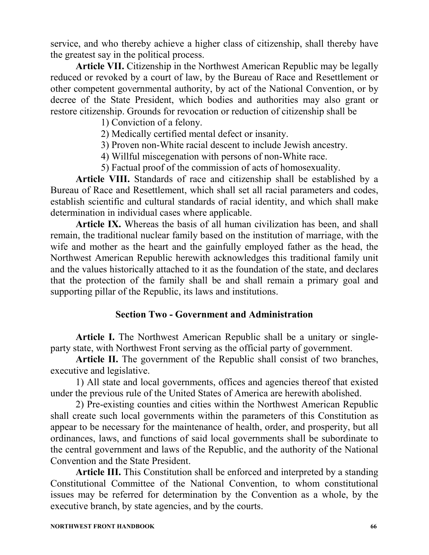service, and who thereby achieve a higher class of citizenship, shall thereby have the greatest say in the political process.

**Article VII.** Citizenship in the Northwest American Republic may be legally reduced or revoked by a court of law, by the Bureau of Race and Resettlement or other competent governmental authority, by act of the National Convention, or by decree of the State President, which bodies and authorities may also grant or restore citizenship. Grounds for revocation or reduction of citizenship shall be

1) Conviction of a felony.

- 2) Medically certified mental defect or insanity.
- 3) Proven non-White racial descent to include Jewish ancestry.
- 4) Willful miscegenation with persons of non-White race.
- 5) Factual proof of the commission of acts of homosexuality.

**Article VIII.** Standards of race and citizenship shall be established by a Bureau of Race and Resettlement, which shall set all racial parameters and codes, establish scientific and cultural standards of racial identity, and which shall make determination in individual cases where applicable.

**Article IX.** Whereas the basis of all human civilization has been, and shall remain, the traditional nuclear family based on the institution of marriage, with the wife and mother as the heart and the gainfully employed father as the head, the Northwest American Republic herewith acknowledges this traditional family unit and the values historically attached to it as the foundation of the state, and declares that the protection of the family shall be and shall remain a primary goal and supporting pillar of the Republic, its laws and institutions.

#### **Section Two - Government and Administration**

**Article I.** The Northwest American Republic shall be a unitary or singleparty state, with Northwest Front serving as the official party of government.

**Article II.** The government of the Republic shall consist of two branches, executive and legislative.

 1) All state and local governments, offices and agencies thereof that existed under the previous rule of the United States of America are herewith abolished.

 2) Pre-existing counties and cities within the Northwest American Republic shall create such local governments within the parameters of this Constitution as appear to be necessary for the maintenance of health, order, and prosperity, but all ordinances, laws, and functions of said local governments shall be subordinate to the central government and laws of the Republic, and the authority of the National Convention and the State President.

**Article III.** This Constitution shall be enforced and interpreted by a standing Constitutional Committee of the National Convention, to whom constitutional issues may be referred for determination by the Convention as a whole, by the executive branch, by state agencies, and by the courts.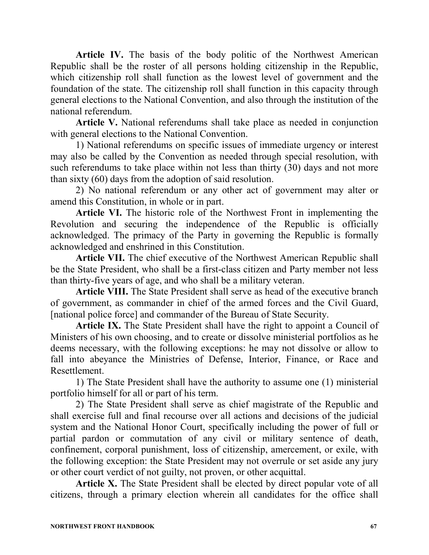**Article IV.** The basis of the body politic of the Northwest American Republic shall be the roster of all persons holding citizenship in the Republic, which citizenship roll shall function as the lowest level of government and the foundation of the state. The citizenship roll shall function in this capacity through general elections to the National Convention, and also through the institution of the national referendum.

**Article V.** National referendums shall take place as needed in conjunction with general elections to the National Convention.

 1) National referendums on specific issues of immediate urgency or interest may also be called by the Convention as needed through special resolution, with such referendums to take place within not less than thirty (30) days and not more than sixty (60) days from the adoption of said resolution.

 2) No national referendum or any other act of government may alter or amend this Constitution, in whole or in part.

**Article VI.** The historic role of the Northwest Front in implementing the Revolution and securing the independence of the Republic is officially acknowledged. The primacy of the Party in governing the Republic is formally acknowledged and enshrined in this Constitution.

**Article VII.** The chief executive of the Northwest American Republic shall be the State President, who shall be a first-class citizen and Party member not less than thirty-five years of age, and who shall be a military veteran.

**Article VIII.** The State President shall serve as head of the executive branch of government, as commander in chief of the armed forces and the Civil Guard, [national police force] and commander of the Bureau of State Security.

**Article IX.** The State President shall have the right to appoint a Council of Ministers of his own choosing, and to create or dissolve ministerial portfolios as he deems necessary, with the following exceptions: he may not dissolve or allow to fall into abeyance the Ministries of Defense, Interior, Finance, or Race and Resettlement.

 1) The State President shall have the authority to assume one (1) ministerial portfolio himself for all or part of his term.

 2) The State President shall serve as chief magistrate of the Republic and shall exercise full and final recourse over all actions and decisions of the judicial system and the National Honor Court, specifically including the power of full or partial pardon or commutation of any civil or military sentence of death, confinement, corporal punishment, loss of citizenship, amercement, or exile, with the following exception: the State President may not overrule or set aside any jury or other court verdict of not guilty, not proven, or other acquittal.

**Article X.** The State President shall be elected by direct popular vote of all citizens, through a primary election wherein all candidates for the office shall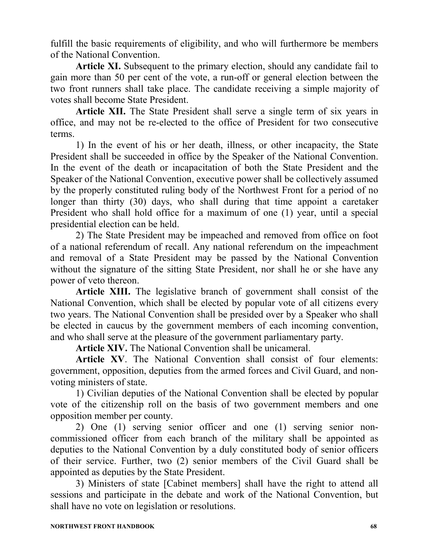fulfill the basic requirements of eligibility, and who will furthermore be members of the National Convention.

**Article XI.** Subsequent to the primary election, should any candidate fail to gain more than 50 per cent of the vote, a run-off or general election between the two front runners shall take place. The candidate receiving a simple majority of votes shall become State President.

**Article XII.** The State President shall serve a single term of six years in office, and may not be re-elected to the office of President for two consecutive terms.

 1) In the event of his or her death, illness, or other incapacity, the State President shall be succeeded in office by the Speaker of the National Convention. In the event of the death or incapacitation of both the State President and the Speaker of the National Convention, executive power shall be collectively assumed by the properly constituted ruling body of the Northwest Front for a period of no longer than thirty (30) days, who shall during that time appoint a caretaker President who shall hold office for a maximum of one (1) year, until a special presidential election can be held.

 2) The State President may be impeached and removed from office on foot of a national referendum of recall. Any national referendum on the impeachment and removal of a State President may be passed by the National Convention without the signature of the sitting State President, nor shall he or she have any power of veto thereon.

**Article XIII.** The legislative branch of government shall consist of the National Convention, which shall be elected by popular vote of all citizens every two years. The National Convention shall be presided over by a Speaker who shall be elected in caucus by the government members of each incoming convention, and who shall serve at the pleasure of the government parliamentary party.

**Article XIV.** The National Convention shall be unicameral.

**Article XV**. The National Convention shall consist of four elements: government, opposition, deputies from the armed forces and Civil Guard, and nonvoting ministers of state.

 1) Civilian deputies of the National Convention shall be elected by popular vote of the citizenship roll on the basis of two government members and one opposition member per county.

 2) One (1) serving senior officer and one (1) serving senior noncommissioned officer from each branch of the military shall be appointed as deputies to the National Convention by a duly constituted body of senior officers of their service. Further, two (2) senior members of the Civil Guard shall be appointed as deputies by the State President.

 3) Ministers of state [Cabinet members] shall have the right to attend all sessions and participate in the debate and work of the National Convention, but shall have no vote on legislation or resolutions.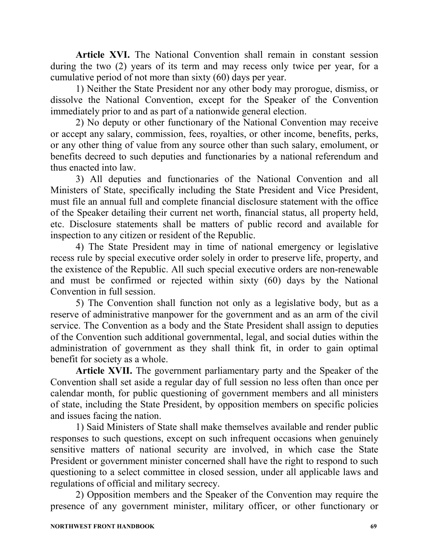**Article XVI.** The National Convention shall remain in constant session during the two (2) years of its term and may recess only twice per year, for a cumulative period of not more than sixty (60) days per year.

 1) Neither the State President nor any other body may prorogue, dismiss, or dissolve the National Convention, except for the Speaker of the Convention immediately prior to and as part of a nationwide general election.

 2) No deputy or other functionary of the National Convention may receive or accept any salary, commission, fees, royalties, or other income, benefits, perks, or any other thing of value from any source other than such salary, emolument, or benefits decreed to such deputies and functionaries by a national referendum and thus enacted into law.

 3) All deputies and functionaries of the National Convention and all Ministers of State, specifically including the State President and Vice President, must file an annual full and complete financial disclosure statement with the office of the Speaker detailing their current net worth, financial status, all property held, etc. Disclosure statements shall be matters of public record and available for inspection to any citizen or resident of the Republic.

 4) The State President may in time of national emergency or legislative recess rule by special executive order solely in order to preserve life, property, and the existence of the Republic. All such special executive orders are non-renewable and must be confirmed or rejected within sixty (60) days by the National Convention in full session.

 5) The Convention shall function not only as a legislative body, but as a reserve of administrative manpower for the government and as an arm of the civil service. The Convention as a body and the State President shall assign to deputies of the Convention such additional governmental, legal, and social duties within the administration of government as they shall think fit, in order to gain optimal benefit for society as a whole.

**Article XVII.** The government parliamentary party and the Speaker of the Convention shall set aside a regular day of full session no less often than once per calendar month, for public questioning of government members and all ministers of state, including the State President, by opposition members on specific policies and issues facing the nation.

 1) Said Ministers of State shall make themselves available and render public responses to such questions, except on such infrequent occasions when genuinely sensitive matters of national security are involved, in which case the State President or government minister concerned shall have the right to respond to such questioning to a select committee in closed session, under all applicable laws and regulations of official and military secrecy.

 2) Opposition members and the Speaker of the Convention may require the presence of any government minister, military officer, or other functionary or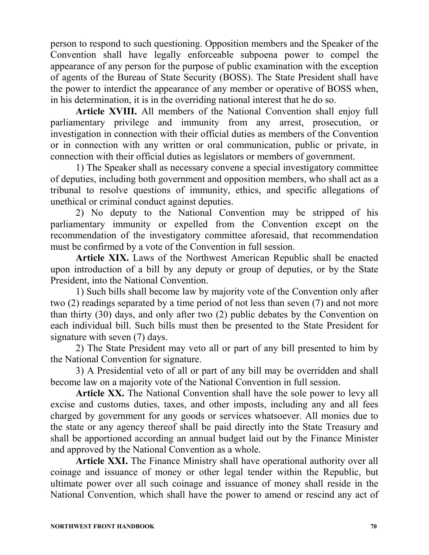person to respond to such questioning. Opposition members and the Speaker of the Convention shall have legally enforceable subpoena power to compel the appearance of any person for the purpose of public examination with the exception of agents of the Bureau of State Security (BOSS). The State President shall have the power to interdict the appearance of any member or operative of BOSS when, in his determination, it is in the overriding national interest that he do so.

**Article XVIII.** All members of the National Convention shall enjoy full parliamentary privilege and immunity from any arrest, prosecution, or investigation in connection with their official duties as members of the Convention or in connection with any written or oral communication, public or private, in connection with their official duties as legislators or members of government.

 1) The Speaker shall as necessary convene a special investigatory committee of deputies, including both government and opposition members, who shall act as a tribunal to resolve questions of immunity, ethics, and specific allegations of unethical or criminal conduct against deputies.

 2) No deputy to the National Convention may be stripped of his parliamentary immunity or expelled from the Convention except on the recommendation of the investigatory committee aforesaid, that recommendation must be confirmed by a vote of the Convention in full session.

**Article XIX.** Laws of the Northwest American Republic shall be enacted upon introduction of a bill by any deputy or group of deputies, or by the State President, into the National Convention.

 1) Such bills shall become law by majority vote of the Convention only after two (2) readings separated by a time period of not less than seven (7) and not more than thirty (30) days, and only after two (2) public debates by the Convention on each individual bill. Such bills must then be presented to the State President for signature with seven (7) days.

 2) The State President may veto all or part of any bill presented to him by the National Convention for signature.

 3) A Presidential veto of all or part of any bill may be overridden and shall become law on a majority vote of the National Convention in full session.

**Article XX.** The National Convention shall have the sole power to levy all excise and customs duties, taxes, and other imposts, including any and all fees charged by government for any goods or services whatsoever. All monies due to the state or any agency thereof shall be paid directly into the State Treasury and shall be apportioned according an annual budget laid out by the Finance Minister and approved by the National Convention as a whole.

**Article XXI.** The Finance Ministry shall have operational authority over all coinage and issuance of money or other legal tender within the Republic, but ultimate power over all such coinage and issuance of money shall reside in the National Convention, which shall have the power to amend or rescind any act of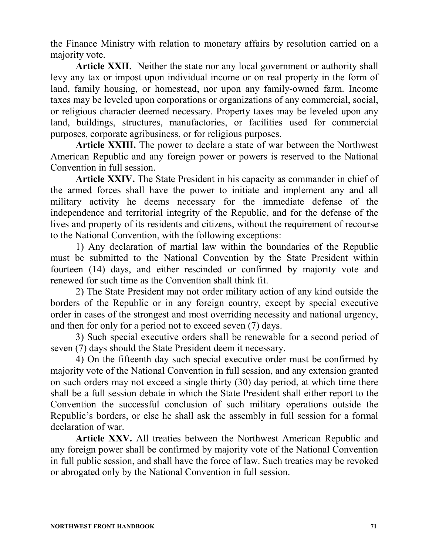the Finance Ministry with relation to monetary affairs by resolution carried on a majority vote.

Article XXII. Neither the state nor any local government or authority shall levy any tax or impost upon individual income or on real property in the form of land, family housing, or homestead, nor upon any family-owned farm. Income taxes may be leveled upon corporations or organizations of any commercial, social, or religious character deemed necessary. Property taxes may be leveled upon any land, buildings, structures, manufactories, or facilities used for commercial purposes, corporate agribusiness, or for religious purposes.

**Article XXIII.** The power to declare a state of war between the Northwest American Republic and any foreign power or powers is reserved to the National Convention in full session.

**Article XXIV.** The State President in his capacity as commander in chief of the armed forces shall have the power to initiate and implement any and all military activity he deems necessary for the immediate defense of the independence and territorial integrity of the Republic, and for the defense of the lives and property of its residents and citizens, without the requirement of recourse to the National Convention, with the following exceptions:

 1) Any declaration of martial law within the boundaries of the Republic must be submitted to the National Convention by the State President within fourteen (14) days, and either rescinded or confirmed by majority vote and renewed for such time as the Convention shall think fit.

 2) The State President may not order military action of any kind outside the borders of the Republic or in any foreign country, except by special executive order in cases of the strongest and most overriding necessity and national urgency, and then for only for a period not to exceed seven (7) days.

 3) Such special executive orders shall be renewable for a second period of seven (7) days should the State President deem it necessary.

 4) On the fifteenth day such special executive order must be confirmed by majority vote of the National Convention in full session, and any extension granted on such orders may not exceed a single thirty (30) day period, at which time there shall be a full session debate in which the State President shall either report to the Convention the successful conclusion of such military operations outside the Republic's borders, or else he shall ask the assembly in full session for a formal declaration of war.

**Article XXV.** All treaties between the Northwest American Republic and any foreign power shall be confirmed by majority vote of the National Convention in full public session, and shall have the force of law. Such treaties may be revoked or abrogated only by the National Convention in full session.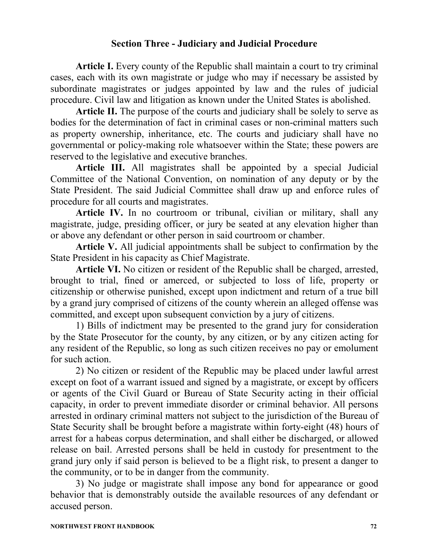#### **Section Three - Judiciary and Judicial Procedure**

**Article I.** Every county of the Republic shall maintain a court to try criminal cases, each with its own magistrate or judge who may if necessary be assisted by subordinate magistrates or judges appointed by law and the rules of judicial procedure. Civil law and litigation as known under the United States is abolished.

**Article II.** The purpose of the courts and judiciary shall be solely to serve as bodies for the determination of fact in criminal cases or non-criminal matters such as property ownership, inheritance, etc. The courts and judiciary shall have no governmental or policy-making role whatsoever within the State; these powers are reserved to the legislative and executive branches.

**Article III.** All magistrates shall be appointed by a special Judicial Committee of the National Convention, on nomination of any deputy or by the State President. The said Judicial Committee shall draw up and enforce rules of procedure for all courts and magistrates.

Article IV. In no courtroom or tribunal, civilian or military, shall any magistrate, judge, presiding officer, or jury be seated at any elevation higher than or above any defendant or other person in said courtroom or chamber.

**Article V.** All judicial appointments shall be subject to confirmation by the State President in his capacity as Chief Magistrate.

**Article VI.** No citizen or resident of the Republic shall be charged, arrested, brought to trial, fined or amerced, or subjected to loss of life, property or citizenship or otherwise punished, except upon indictment and return of a true bill by a grand jury comprised of citizens of the county wherein an alleged offense was committed, and except upon subsequent conviction by a jury of citizens.

 1) Bills of indictment may be presented to the grand jury for consideration by the State Prosecutor for the county, by any citizen, or by any citizen acting for any resident of the Republic, so long as such citizen receives no pay or emolument for such action.

 2) No citizen or resident of the Republic may be placed under lawful arrest except on foot of a warrant issued and signed by a magistrate, or except by officers or agents of the Civil Guard or Bureau of State Security acting in their official capacity, in order to prevent immediate disorder or criminal behavior. All persons arrested in ordinary criminal matters not subject to the jurisdiction of the Bureau of State Security shall be brought before a magistrate within forty-eight (48) hours of arrest for a habeas corpus determination, and shall either be discharged, or allowed release on bail. Arrested persons shall be held in custody for presentment to the grand jury only if said person is believed to be a flight risk, to present a danger to the community, or to be in danger from the community.

 3) No judge or magistrate shall impose any bond for appearance or good behavior that is demonstrably outside the available resources of any defendant or accused person.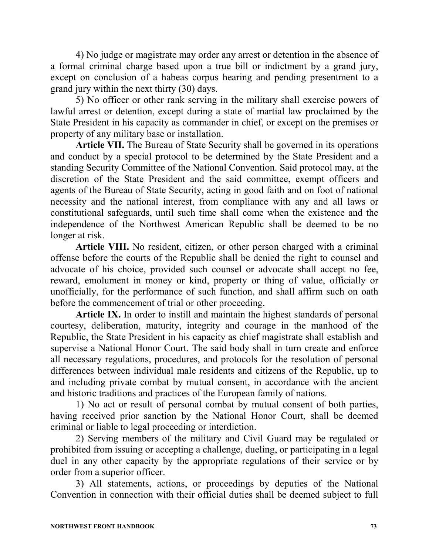4) No judge or magistrate may order any arrest or detention in the absence of a formal criminal charge based upon a true bill or indictment by a grand jury, except on conclusion of a habeas corpus hearing and pending presentment to a grand jury within the next thirty (30) days.

 5) No officer or other rank serving in the military shall exercise powers of lawful arrest or detention, except during a state of martial law proclaimed by the State President in his capacity as commander in chief, or except on the premises or property of any military base or installation.

**Article VII.** The Bureau of State Security shall be governed in its operations and conduct by a special protocol to be determined by the State President and a standing Security Committee of the National Convention. Said protocol may, at the discretion of the State President and the said committee, exempt officers and agents of the Bureau of State Security, acting in good faith and on foot of national necessity and the national interest, from compliance with any and all laws or constitutional safeguards, until such time shall come when the existence and the independence of the Northwest American Republic shall be deemed to be no longer at risk.

**Article VIII.** No resident, citizen, or other person charged with a criminal offense before the courts of the Republic shall be denied the right to counsel and advocate of his choice, provided such counsel or advocate shall accept no fee, reward, emolument in money or kind, property or thing of value, officially or unofficially, for the performance of such function, and shall affirm such on oath before the commencement of trial or other proceeding.

**Article IX.** In order to instill and maintain the highest standards of personal courtesy, deliberation, maturity, integrity and courage in the manhood of the Republic, the State President in his capacity as chief magistrate shall establish and supervise a National Honor Court. The said body shall in turn create and enforce all necessary regulations, procedures, and protocols for the resolution of personal differences between individual male residents and citizens of the Republic, up to and including private combat by mutual consent, in accordance with the ancient and historic traditions and practices of the European family of nations.

 1) No act or result of personal combat by mutual consent of both parties, having received prior sanction by the National Honor Court, shall be deemed criminal or liable to legal proceeding or interdiction.

 2) Serving members of the military and Civil Guard may be regulated or prohibited from issuing or accepting a challenge, dueling, or participating in a legal duel in any other capacity by the appropriate regulations of their service or by order from a superior officer.

 3) All statements, actions, or proceedings by deputies of the National Convention in connection with their official duties shall be deemed subject to full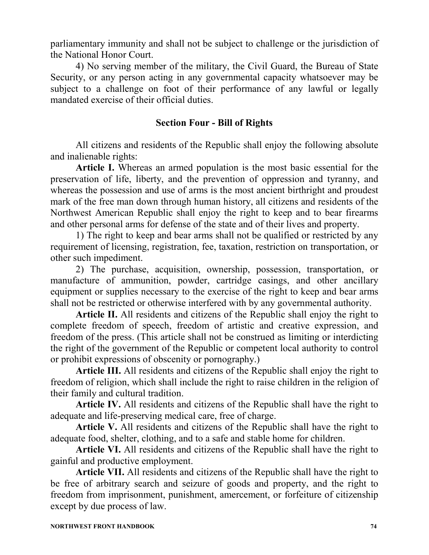parliamentary immunity and shall not be subject to challenge or the jurisdiction of the National Honor Court.

 4) No serving member of the military, the Civil Guard, the Bureau of State Security, or any person acting in any governmental capacity whatsoever may be subject to a challenge on foot of their performance of any lawful or legally mandated exercise of their official duties.

### **Section Four - Bill of Rights**

 All citizens and residents of the Republic shall enjoy the following absolute and inalienable rights:

**Article I.** Whereas an armed population is the most basic essential for the preservation of life, liberty, and the prevention of oppression and tyranny, and whereas the possession and use of arms is the most ancient birthright and proudest mark of the free man down through human history, all citizens and residents of the Northwest American Republic shall enjoy the right to keep and to bear firearms and other personal arms for defense of the state and of their lives and property.

 1) The right to keep and bear arms shall not be qualified or restricted by any requirement of licensing, registration, fee, taxation, restriction on transportation, or other such impediment.

 2) The purchase, acquisition, ownership, possession, transportation, or manufacture of ammunition, powder, cartridge casings, and other ancillary equipment or supplies necessary to the exercise of the right to keep and bear arms shall not be restricted or otherwise interfered with by any governmental authority.

**Article II.** All residents and citizens of the Republic shall enjoy the right to complete freedom of speech, freedom of artistic and creative expression, and freedom of the press. (This article shall not be construed as limiting or interdicting the right of the government of the Republic or competent local authority to control or prohibit expressions of obscenity or pornography.)

**Article III.** All residents and citizens of the Republic shall enjoy the right to freedom of religion, which shall include the right to raise children in the religion of their family and cultural tradition.

**Article IV.** All residents and citizens of the Republic shall have the right to adequate and life-preserving medical care, free of charge.

**Article V.** All residents and citizens of the Republic shall have the right to adequate food, shelter, clothing, and to a safe and stable home for children.

**Article VI.** All residents and citizens of the Republic shall have the right to gainful and productive employment.

**Article VII.** All residents and citizens of the Republic shall have the right to be free of arbitrary search and seizure of goods and property, and the right to freedom from imprisonment, punishment, amercement, or forfeiture of citizenship except by due process of law.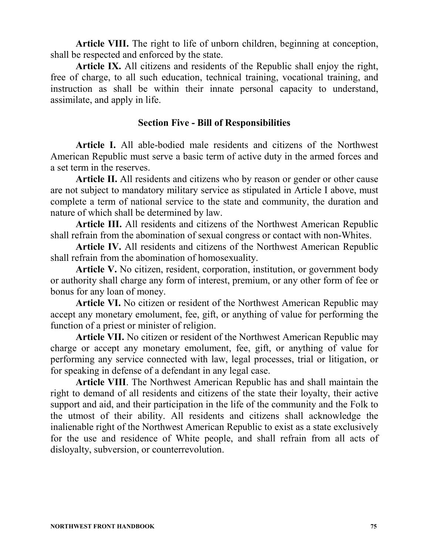**Article VIII.** The right to life of unborn children, beginning at conception, shall be respected and enforced by the state.

**Article IX.** All citizens and residents of the Republic shall enjoy the right, free of charge, to all such education, technical training, vocational training, and instruction as shall be within their innate personal capacity to understand, assimilate, and apply in life.

#### **Section Five - Bill of Responsibilities**

**Article I.** All able-bodied male residents and citizens of the Northwest American Republic must serve a basic term of active duty in the armed forces and a set term in the reserves.

**Article II.** All residents and citizens who by reason or gender or other cause are not subject to mandatory military service as stipulated in Article I above, must complete a term of national service to the state and community, the duration and nature of which shall be determined by law.

**Article III.** All residents and citizens of the Northwest American Republic shall refrain from the abomination of sexual congress or contact with non-Whites.

**Article IV.** All residents and citizens of the Northwest American Republic shall refrain from the abomination of homosexuality.

**Article V.** No citizen, resident, corporation, institution, or government body or authority shall charge any form of interest, premium, or any other form of fee or bonus for any loan of money.

**Article VI.** No citizen or resident of the Northwest American Republic may accept any monetary emolument, fee, gift, or anything of value for performing the function of a priest or minister of religion.

**Article VII.** No citizen or resident of the Northwest American Republic may charge or accept any monetary emolument, fee, gift, or anything of value for performing any service connected with law, legal processes, trial or litigation, or for speaking in defense of a defendant in any legal case.

**Article VIII**. The Northwest American Republic has and shall maintain the right to demand of all residents and citizens of the state their loyalty, their active support and aid, and their participation in the life of the community and the Folk to the utmost of their ability. All residents and citizens shall acknowledge the inalienable right of the Northwest American Republic to exist as a state exclusively for the use and residence of White people, and shall refrain from all acts of disloyalty, subversion, or counterrevolution.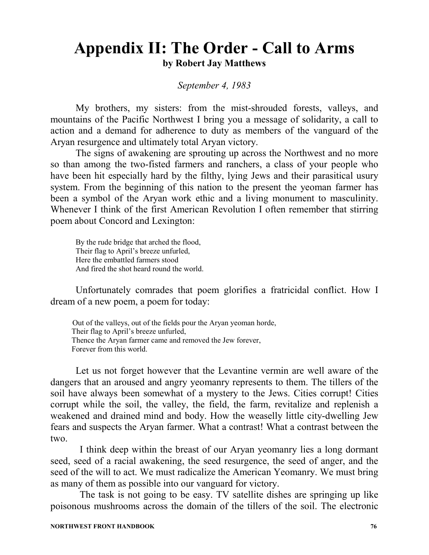## **Appendix II: The Order - Call to Arms by Robert Jay Matthews**

*September 4, 1983* 

 My brothers, my sisters: from the mist-shrouded forests, valleys, and mountains of the Pacific Northwest I bring you a message of solidarity, a call to action and a demand for adherence to duty as members of the vanguard of the Aryan resurgence and ultimately total Aryan victory.

 The signs of awakening are sprouting up across the Northwest and no more so than among the two-fisted farmers and ranchers, a class of your people who have been hit especially hard by the filthy, lying Jews and their parasitical usury system. From the beginning of this nation to the present the yeoman farmer has been a symbol of the Aryan work ethic and a living monument to masculinity. Whenever I think of the first American Revolution I often remember that stirring poem about Concord and Lexington:

By the rude bridge that arched the flood, Their flag to April's breeze unfurled, Here the embattled farmers stood And fired the shot heard round the world.

 Unfortunately comrades that poem glorifies a fratricidal conflict. How I dream of a new poem, a poem for today:

 Out of the valleys, out of the fields pour the Aryan yeoman horde, Their flag to April's breeze unfurled, Thence the Aryan farmer came and removed the Jew forever, Forever from this world.

 Let us not forget however that the Levantine vermin are well aware of the dangers that an aroused and angry yeomanry represents to them. The tillers of the soil have always been somewhat of a mystery to the Jews. Cities corrupt! Cities corrupt while the soil, the valley, the field, the farm, revitalize and replenish a weakened and drained mind and body. How the weaselly little city-dwelling Jew fears and suspects the Aryan farmer. What a contrast! What a contrast between the two.

 I think deep within the breast of our Aryan yeomanry lies a long dormant seed, seed of a racial awakening, the seed resurgence, the seed of anger, and the seed of the will to act. We must radicalize the American Yeomanry. We must bring as many of them as possible into our vanguard for victory.

 The task is not going to be easy. TV satellite dishes are springing up like poisonous mushrooms across the domain of the tillers of the soil. The electronic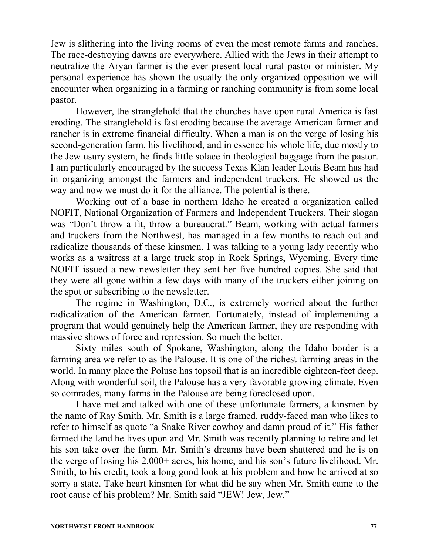Jew is slithering into the living rooms of even the most remote farms and ranches. The race-destroying dawns are everywhere. Allied with the Jews in their attempt to neutralize the Aryan farmer is the ever-present local rural pastor or minister. My personal experience has shown the usually the only organized opposition we will encounter when organizing in a farming or ranching community is from some local pastor.

 However, the stranglehold that the churches have upon rural America is fast eroding. The stranglehold is fast eroding because the average American farmer and rancher is in extreme financial difficulty. When a man is on the verge of losing his second-generation farm, his livelihood, and in essence his whole life, due mostly to the Jew usury system, he finds little solace in theological baggage from the pastor. I am particularly encouraged by the success Texas Klan leader Louis Beam has had in organizing amongst the farmers and independent truckers. He showed us the way and now we must do it for the alliance. The potential is there.

Working out of a base in northern Idaho he created a organization called NOFIT, National Organization of Farmers and Independent Truckers. Their slogan was "Don't throw a fit, throw a bureaucrat." Beam, working with actual farmers and truckers from the Northwest, has managed in a few months to reach out and radicalize thousands of these kinsmen. I was talking to a young lady recently who works as a waitress at a large truck stop in Rock Springs, Wyoming. Every time NOFIT issued a new newsletter they sent her five hundred copies. She said that they were all gone within a few days with many of the truckers either joining on the spot or subscribing to the newsletter.

 The regime in Washington, D.C., is extremely worried about the further radicalization of the American farmer. Fortunately, instead of implementing a program that would genuinely help the American farmer, they are responding with massive shows of force and repression. So much the better.

Sixty miles south of Spokane, Washington, along the Idaho border is a farming area we refer to as the Palouse. It is one of the richest farming areas in the world. In many place the Poluse has topsoil that is an incredible eighteen-feet deep. Along with wonderful soil, the Palouse has a very favorable growing climate. Even so comrades, many farms in the Palouse are being foreclosed upon.

 I have met and talked with one of these unfortunate farmers, a kinsmen by the name of Ray Smith. Mr. Smith is a large framed, ruddy-faced man who likes to refer to himself as quote "a Snake River cowboy and damn proud of it." His father farmed the land he lives upon and Mr. Smith was recently planning to retire and let his son take over the farm. Mr. Smith's dreams have been shattered and he is on the verge of losing his 2,000+ acres, his home, and his son's future livelihood. Mr. Smith, to his credit, took a long good look at his problem and how he arrived at so sorry a state. Take heart kinsmen for what did he say when Mr. Smith came to the root cause of his problem? Mr. Smith said "JEW! Jew, Jew."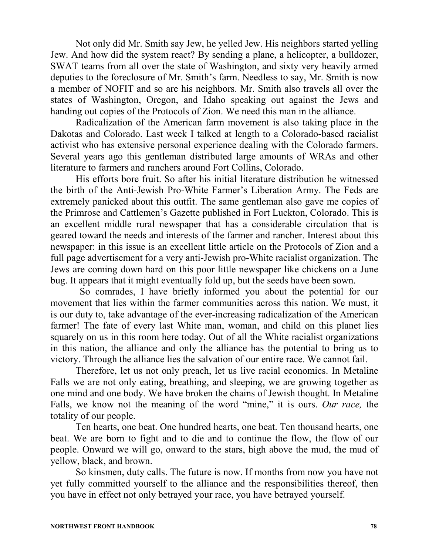Not only did Mr. Smith say Jew, he yelled Jew. His neighbors started yelling Jew. And how did the system react? By sending a plane, a helicopter, a bulldozer, SWAT teams from all over the state of Washington, and sixty very heavily armed deputies to the foreclosure of Mr. Smith's farm. Needless to say, Mr. Smith is now a member of NOFIT and so are his neighbors. Mr. Smith also travels all over the states of Washington, Oregon, and Idaho speaking out against the Jews and handing out copies of the Protocols of Zion. We need this man in the alliance.

 Radicalization of the American farm movement is also taking place in the Dakotas and Colorado. Last week I talked at length to a Colorado-based racialist activist who has extensive personal experience dealing with the Colorado farmers. Several years ago this gentleman distributed large amounts of WRAs and other literature to farmers and ranchers around Fort Collins, Colorado.

 His efforts bore fruit. So after his initial literature distribution he witnessed the birth of the Anti-Jewish Pro-White Farmer's Liberation Army. The Feds are extremely panicked about this outfit. The same gentleman also gave me copies of the Primrose and Cattlemen's Gazette published in Fort Luckton, Colorado. This is an excellent middle rural newspaper that has a considerable circulation that is geared toward the needs and interests of the farmer and rancher. Interest about this newspaper: in this issue is an excellent little article on the Protocols of Zion and a full page advertisement for a very anti-Jewish pro-White racialist organization. The Jews are coming down hard on this poor little newspaper like chickens on a June bug. It appears that it might eventually fold up, but the seeds have been sown.

 So comrades, I have briefly informed you about the potential for our movement that lies within the farmer communities across this nation. We must, it is our duty to, take advantage of the ever-increasing radicalization of the American farmer! The fate of every last White man, woman, and child on this planet lies squarely on us in this room here today. Out of all the White racialist organizations in this nation, the alliance and only the alliance has the potential to bring us to victory. Through the alliance lies the salvation of our entire race. We cannot fail.

 Therefore, let us not only preach, let us live racial economics. In Metaline Falls we are not only eating, breathing, and sleeping, we are growing together as one mind and one body. We have broken the chains of Jewish thought. In Metaline Falls, we know not the meaning of the word "mine," it is ours. *Our race,* the totality of our people.

 Ten hearts, one beat. One hundred hearts, one beat. Ten thousand hearts, one beat. We are born to fight and to die and to continue the flow, the flow of our people. Onward we will go, onward to the stars, high above the mud, the mud of yellow, black, and brown.

 So kinsmen, duty calls. The future is now. If months from now you have not yet fully committed yourself to the alliance and the responsibilities thereof, then you have in effect not only betrayed your race, you have betrayed yourself.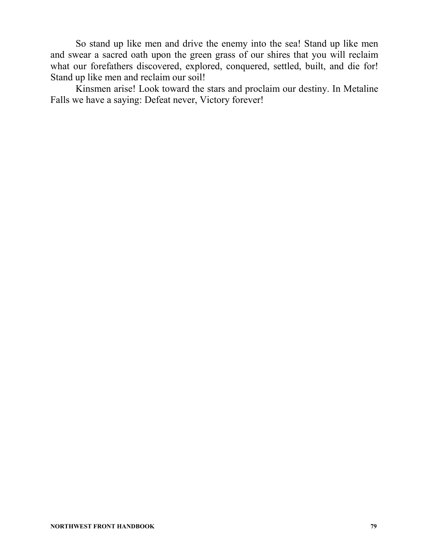So stand up like men and drive the enemy into the sea! Stand up like men and swear a sacred oath upon the green grass of our shires that you will reclaim what our forefathers discovered, explored, conquered, settled, built, and die for! Stand up like men and reclaim our soil!

 Kinsmen arise! Look toward the stars and proclaim our destiny. In Metaline Falls we have a saying: Defeat never, Victory forever!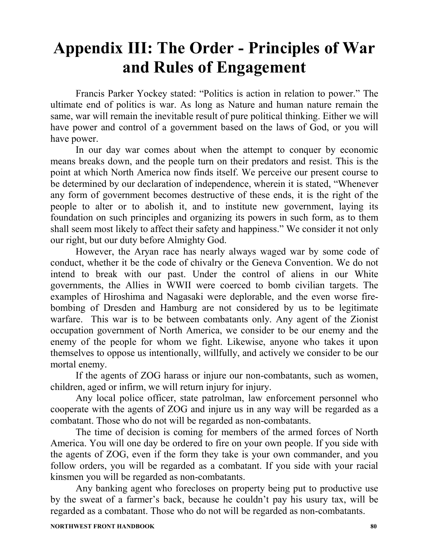# **Appendix III: The Order - Principles of War and Rules of Engagement**

 Francis Parker Yockey stated: "Politics is action in relation to power." The ultimate end of politics is war. As long as Nature and human nature remain the same, war will remain the inevitable result of pure political thinking. Either we will have power and control of a government based on the laws of God, or you will have power.

 In our day war comes about when the attempt to conquer by economic means breaks down, and the people turn on their predators and resist. This is the point at which North America now finds itself. We perceive our present course to be determined by our declaration of independence, wherein it is stated, "Whenever any form of government becomes destructive of these ends, it is the right of the people to alter or to abolish it, and to institute new government, laying its foundation on such principles and organizing its powers in such form, as to them shall seem most likely to affect their safety and happiness." We consider it not only our right, but our duty before Almighty God.

 However, the Aryan race has nearly always waged war by some code of conduct, whether it be the code of chivalry or the Geneva Convention. We do not intend to break with our past. Under the control of aliens in our White governments, the Allies in WWII were coerced to bomb civilian targets. The examples of Hiroshima and Nagasaki were deplorable, and the even worse firebombing of Dresden and Hamburg are not considered by us to be legitimate warfare. This war is to be between combatants only. Any agent of the Zionist occupation government of North America, we consider to be our enemy and the enemy of the people for whom we fight. Likewise, anyone who takes it upon themselves to oppose us intentionally, willfully, and actively we consider to be our mortal enemy.

 If the agents of ZOG harass or injure our non-combatants, such as women, children, aged or infirm, we will return injury for injury.

 Any local police officer, state patrolman, law enforcement personnel who cooperate with the agents of ZOG and injure us in any way will be regarded as a combatant. Those who do not will be regarded as non-combatants.

 The time of decision is coming for members of the armed forces of North America. You will one day be ordered to fire on your own people. If you side with the agents of ZOG, even if the form they take is your own commander, and you follow orders, you will be regarded as a combatant. If you side with your racial kinsmen you will be regarded as non-combatants.

 Any banking agent who forecloses on property being put to productive use by the sweat of a farmer's back, because he couldn't pay his usury tax, will be regarded as a combatant. Those who do not will be regarded as non-combatants.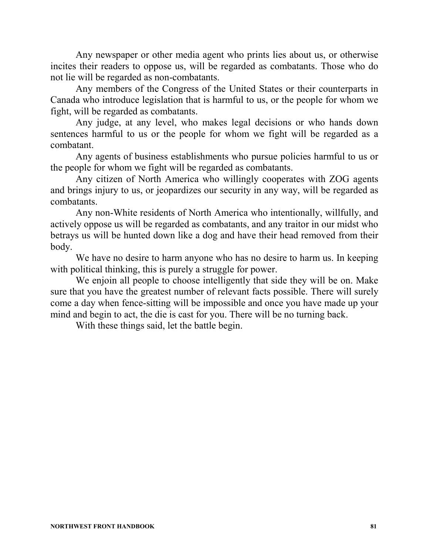Any newspaper or other media agent who prints lies about us, or otherwise incites their readers to oppose us, will be regarded as combatants. Those who do not lie will be regarded as non-combatants.

 Any members of the Congress of the United States or their counterparts in Canada who introduce legislation that is harmful to us, or the people for whom we fight, will be regarded as combatants.

 Any judge, at any level, who makes legal decisions or who hands down sentences harmful to us or the people for whom we fight will be regarded as a combatant.

 Any agents of business establishments who pursue policies harmful to us or the people for whom we fight will be regarded as combatants.

 Any citizen of North America who willingly cooperates with ZOG agents and brings injury to us, or jeopardizes our security in any way, will be regarded as combatants.

 Any non-White residents of North America who intentionally, willfully, and actively oppose us will be regarded as combatants, and any traitor in our midst who betrays us will be hunted down like a dog and have their head removed from their body.

 We have no desire to harm anyone who has no desire to harm us. In keeping with political thinking, this is purely a struggle for power.

 We enjoin all people to choose intelligently that side they will be on. Make sure that you have the greatest number of relevant facts possible. There will surely come a day when fence-sitting will be impossible and once you have made up your mind and begin to act, the die is cast for you. There will be no turning back.

With these things said, let the battle begin.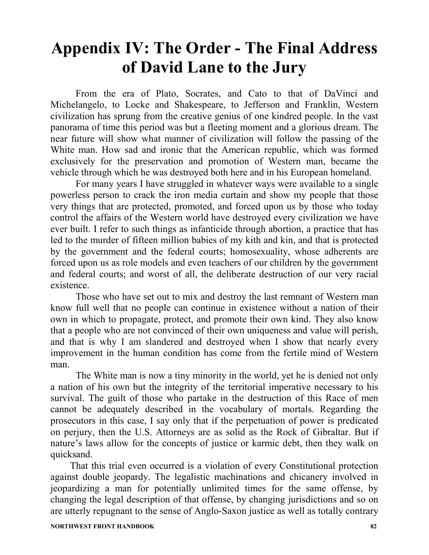## **Appendix IV: The Order - The Final Address of David Lane to the Jury**

 From the era of Plato, Socrates, and Cato to that of DaVinci and Michelangelo, to Locke and Shakespeare, to Jefferson and Franklin, Western civilization has sprung from the creative genius of one kindred people. In the vast panorama of time this period was but a fleeting moment and a glorious dream. The near future will show what manner of civilization will follow the passing of the White man. How sad and ironic that the American republic, which was formed exclusively for the preservation and promotion of Western man, became the vehicle through which he was destroyed both here and in his European homeland.

 For many years I have struggled in whatever ways were available to a single powerless person to crack the iron media curtain and show my people that those very things that are protected, promoted, and forced upon us by those who today control the affairs of the Western world have destroyed every civilization we have ever built. I refer to such things as infanticide through abortion, a practice that has led to the murder of fifteen million babies of my kith and kin, and that is protected by the government and the federal courts; homosexuality, whose adherents are forced upon us as role models and even teachers of our children by the government and federal courts; and worst of all, the deliberate destruction of our very racial existence.

 Those who have set out to mix and destroy the last remnant of Western man know full well that no people can continue in existence without a nation of their own in which to propagate, protect, and promote their own kind. They also know that a people who are not convinced of their own uniqueness and value will perish, and that is why I am slandered and destroyed when I show that nearly every improvement in the human condition has come from the fertile mind of Western man.

 The White man is now a tiny minority in the world, yet he is denied not only a nation of his own but the integrity of the territorial imperative necessary to his survival. The guilt of those who partake in the destruction of this Race of men cannot be adequately described in the vocabulary of mortals. Regarding the prosecutors in this case, I say only that if the perpetuation of power is predicated on perjury, then the U.S. Attorneys are as solid as the Rock of Gibraltar. But if nature's laws allow for the concepts of justice or karmic debt, then they walk on quicksand.

 That this trial even occurred is a violation of every Constitutional protection against double jeopardy. The legalistic machinations and chicanery involved in jeopardizing a man for potentially unlimited times for the same offense, by changing the legal description of that offense, by changing jurisdictions and so on are utterly repugnant to the sense of Anglo-Saxon justice as well as totally contrary